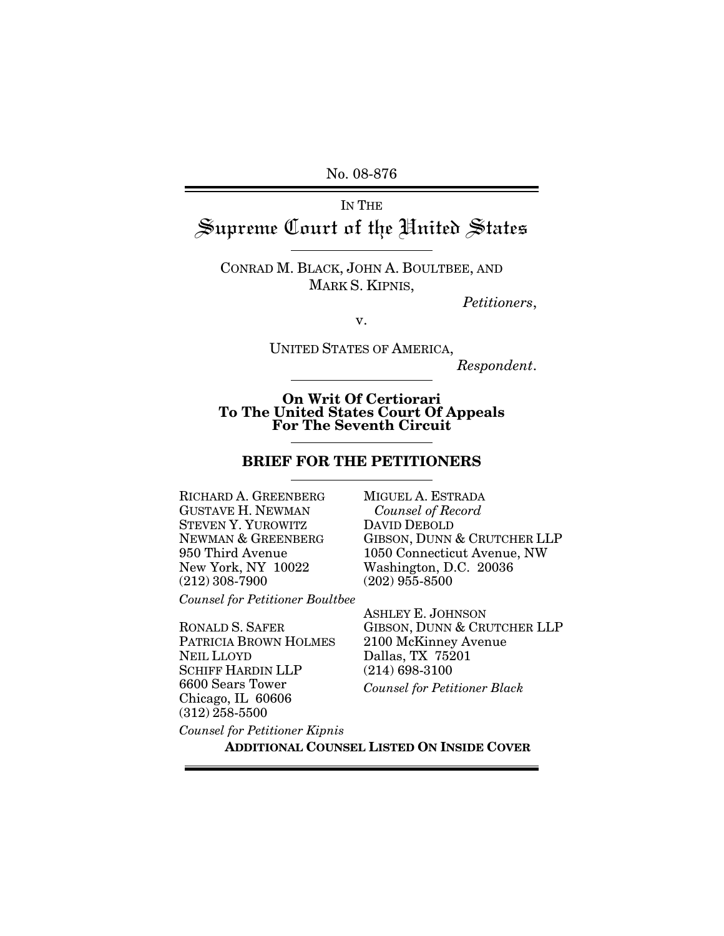No. 08-876

IN THE

# Supreme Court of the United States

CONRAD M. BLACK, JOHN A. BOULTBEE, AND MARK S. KIPNIS,

*Petitioners*,

v.

UNITED STATES OF AMERICA,

*Respondent*.

**On Writ Of Certiorari To The United States Court Of Appeals For The Seventh Circuit**

#### **BRIEF FOR THE PETITIONERS**

RICHARD A. GREENBERG GUSTAVE H. NEWMAN STEVEN Y. YUROWITZ NEWMAN & GREENBERG 950 Third Avenue New York, NY 10022 (212) 308-7900

*Counsel for Petitioner Boultbee*

RONALD S. SAFER PATRICIA BROWN HOLMES NEIL LLOYD SCHIFF HARDIN LLP 6600 Sears Tower Chicago, IL 60606 (312) 258-5500

MIGUEL A. ESTRADA  *Counsel of Record* DAVID DEBOLD GIBSON, DUNN & CRUTCHER LLP 1050 Connecticut Avenue, NW Washington, D.C. 20036 (202) 955-8500

ASHLEY E. JOHNSON GIBSON, DUNN & CRUTCHER LLP 2100 McKinney Avenue Dallas, TX 75201 (214) 698-3100 *Counsel for Petitioner Black*

*Counsel for Petitioner Kipnis*

**ADDITIONAL COUNSEL LISTED ON INSIDE COVER**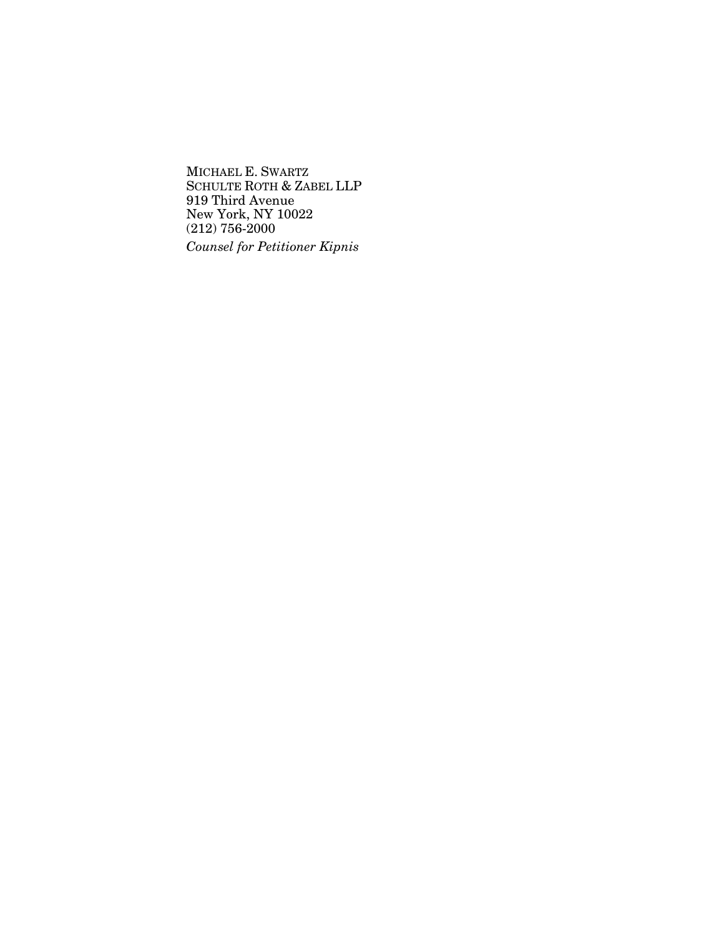MICHAEL E. SWARTZ SCHULTE ROTH & ZABEL LLP 919 Third Avenue New York, NY 10022 (212) 756-2000 *Counsel for Petitioner Kipnis*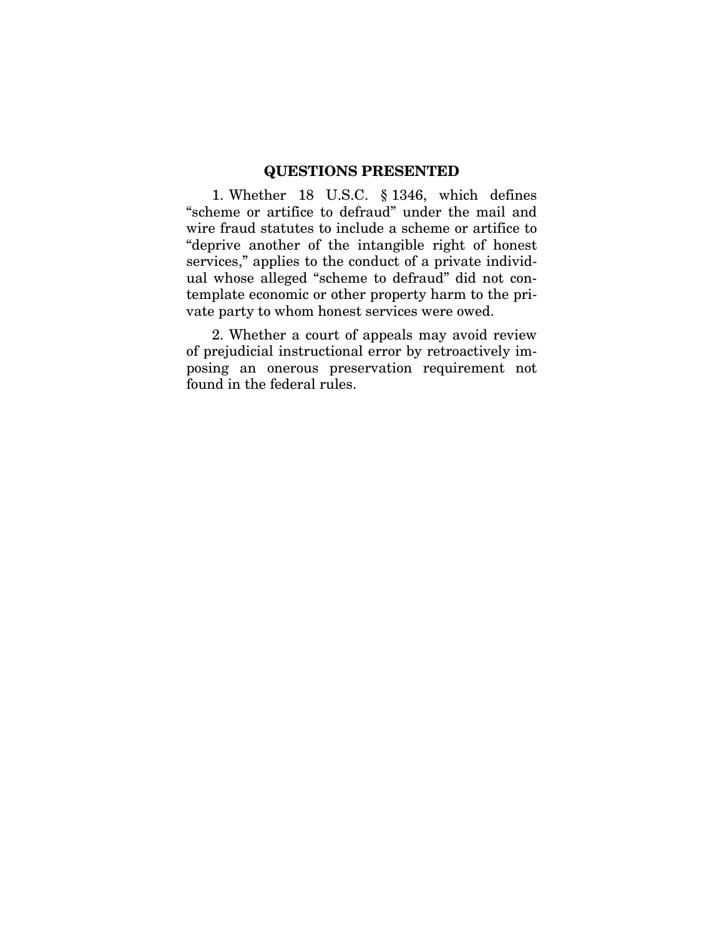### **QUESTIONS PRESENTED**

<span id="page-2-0"></span>1. Whether 18 U.S.C. § 1346, which defines "scheme or artifice to defraud" under the mail and wire fraud statutes to include a scheme or artifice to "deprive another of the intangible right of honest services," applies to the conduct of a private individual whose alleged "scheme to defraud" did not contemplate economic or other property harm to the private party to whom honest services were owed.

2. Whether a court of appeals may avoid review of prejudicial instructional error by retroactively imposing an onerous preservation requirement not found in the federal rules.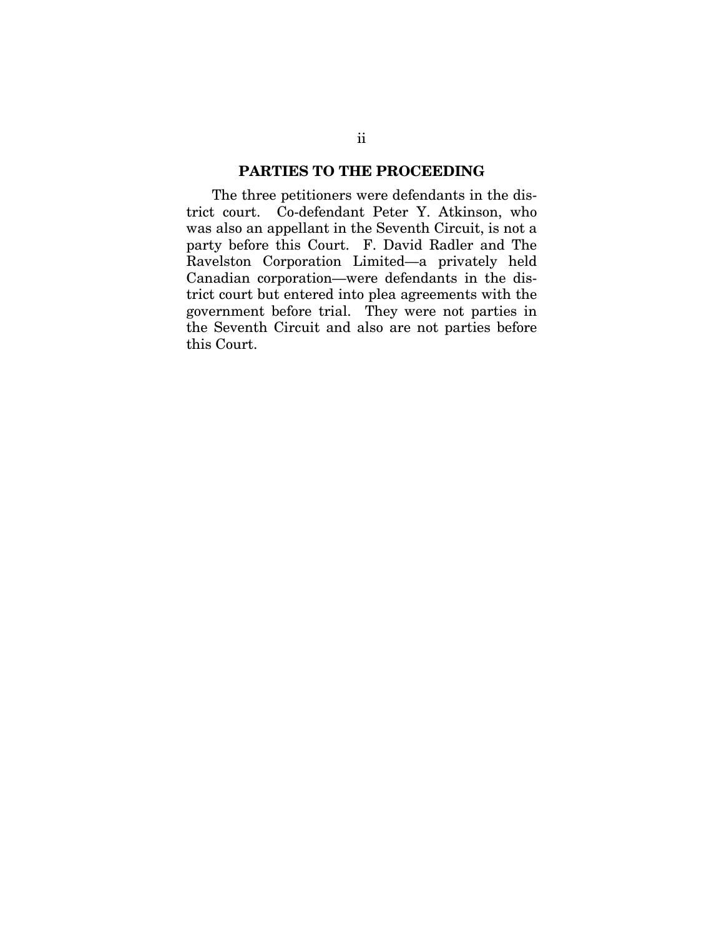#### **PARTIES TO THE PROCEEDING**

<span id="page-3-0"></span>The three petitioners were defendants in the district court. Co-defendant Peter Y. Atkinson, who was also an appellant in the Seventh Circuit, is not a party before this Court. F. David Radler and The Ravelston Corporation Limited—a privately held Canadian corporation—were defendants in the district court but entered into plea agreements with the government before trial. They were not parties in the Seventh Circuit and also are not parties before this Court.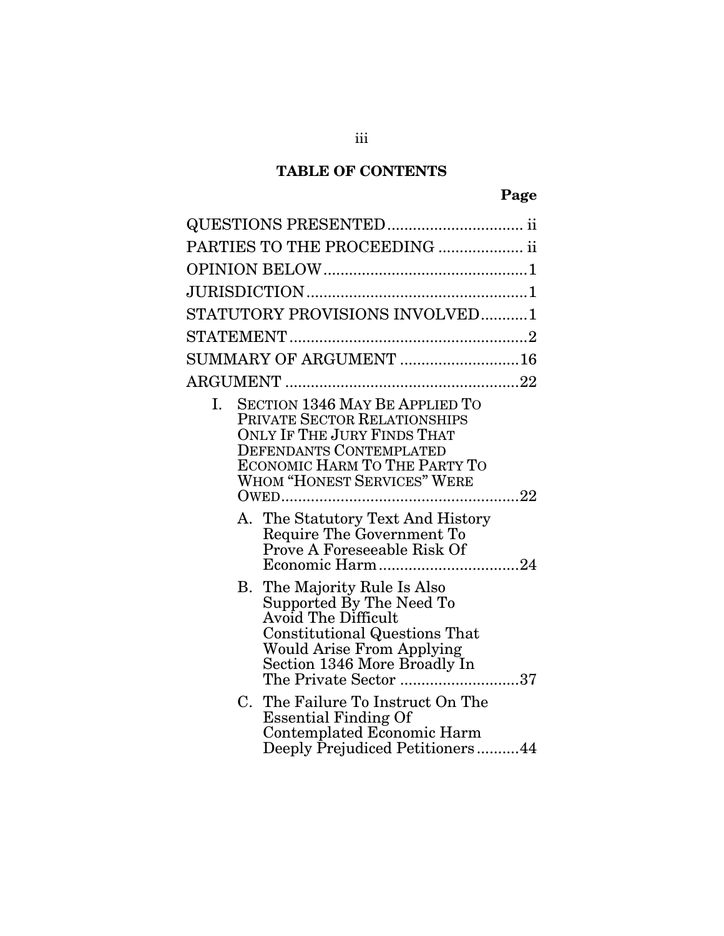# **TABLE OF CONTENTS**

|    | PARTIES TO THE PROCEEDING  ii                                                                                                                                                                                                  |             |
|----|--------------------------------------------------------------------------------------------------------------------------------------------------------------------------------------------------------------------------------|-------------|
|    |                                                                                                                                                                                                                                |             |
|    |                                                                                                                                                                                                                                |             |
|    | STATUTORY PROVISIONS INVOLVED1                                                                                                                                                                                                 |             |
|    |                                                                                                                                                                                                                                |             |
|    | SUMMARY OF ARGUMENT 16                                                                                                                                                                                                         |             |
|    |                                                                                                                                                                                                                                |             |
| Ι. | <b>SECTION 1346 MAY BE APPLIED TO</b><br>PRIVATE SECTOR RELATIONSHIPS<br><b>ONLY IF THE JURY FINDS THAT</b><br><b>DEFENDANTS CONTEMPLATED</b><br>ECONOMIC HARM TO THE PARTY TO<br><b>WHOM "HONEST SERVICES" WERE</b><br>$OWED$ | $\ldots$ 22 |
|    | A. The Statutory Text And History<br>Require The Government To<br>Prove A Foreseeable Risk Of                                                                                                                                  |             |
|    | B. The Majority Rule Is Also<br>Supported By The Need To<br>Avoid The Difficult<br><b>Constitutional Questions That</b><br><b>Would Arise From Applying</b><br>Section 1346 More Broadly In<br>The Private Sector 37           |             |
| C. | The Failure To Instruct On The<br><b>Essential Finding Of</b><br>Contemplated Economic Harm<br>Deeply Prejudiced Petitioners44                                                                                                 |             |

iii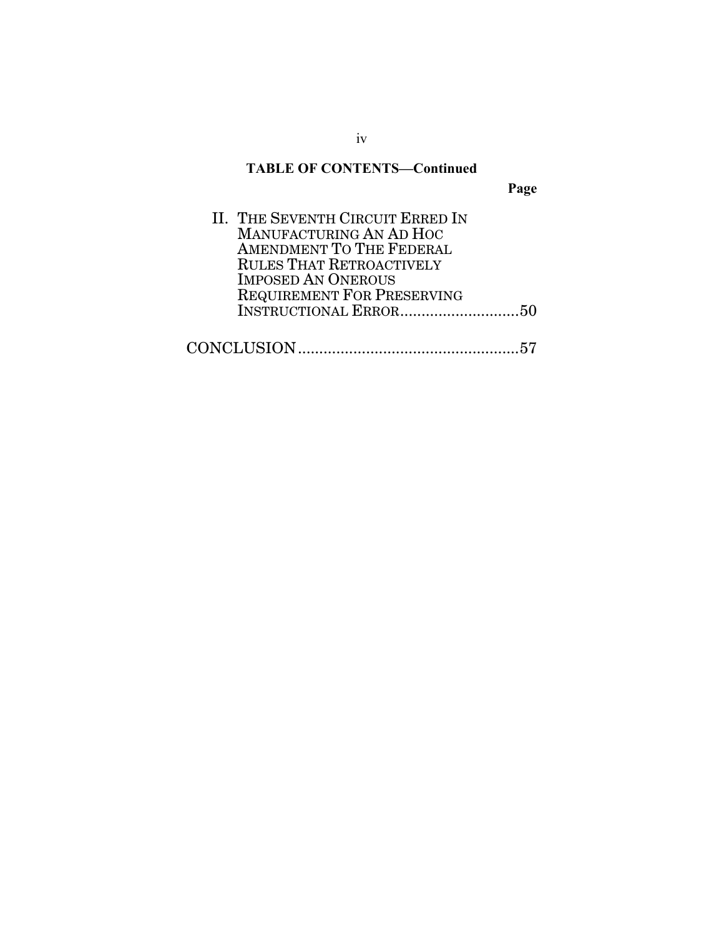## **TABLE OF CONTENTS—Continued**

**Page** 

| II. THE SEVENTH CIRCUIT ERRED IN  |  |
|-----------------------------------|--|
| MANUFACTURING AN AD HOC           |  |
| AMENDMENT TO THE FEDERAL          |  |
| <b>RULES THAT RETROACTIVELY</b>   |  |
| <b>IMPOSED AN ONEROUS</b>         |  |
| <b>REQUIREMENT FOR PRESERVING</b> |  |
|                                   |  |
|                                   |  |
|                                   |  |

iv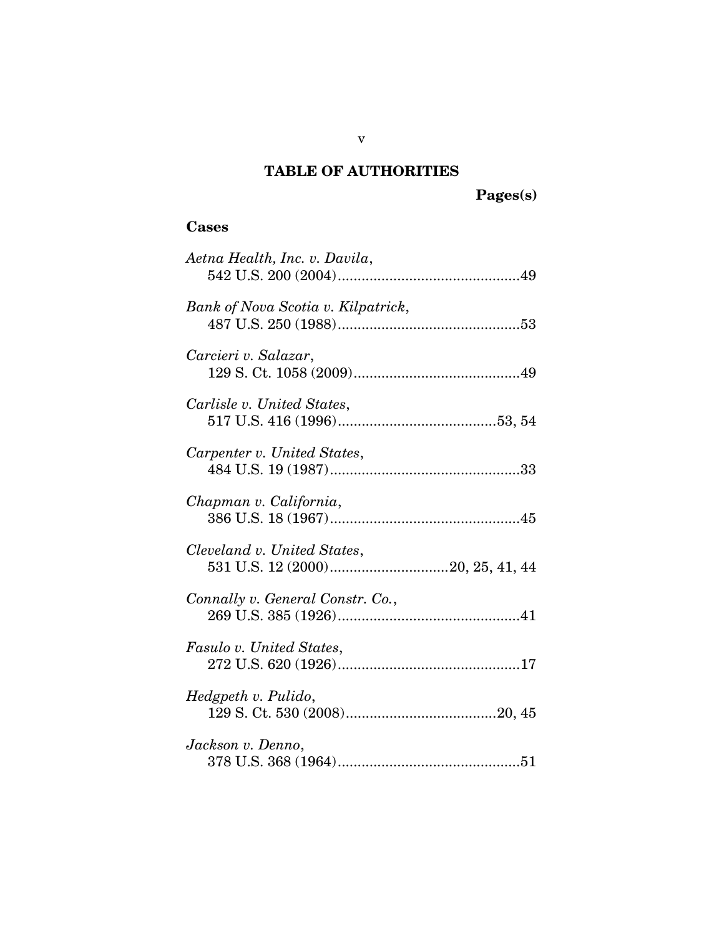# **TABLE OF AUTHORITIES**

**Pages(s)** 

#### **Cases**

| Aetna Health, Inc. v. Davila,      |
|------------------------------------|
| Bank of Nova Scotia v. Kilpatrick, |
| Carcieri v. Salazar,               |
| Carlisle v. United States,         |
| Carpenter v. United States,        |
| Chapman v. California,             |
| Cleveland v. United States,        |
| Connally v. General Constr. Co.,   |
| Fasulo v. United States,           |
| Hedgpeth v. Pulido,                |
| Jackson v. Denno,                  |

v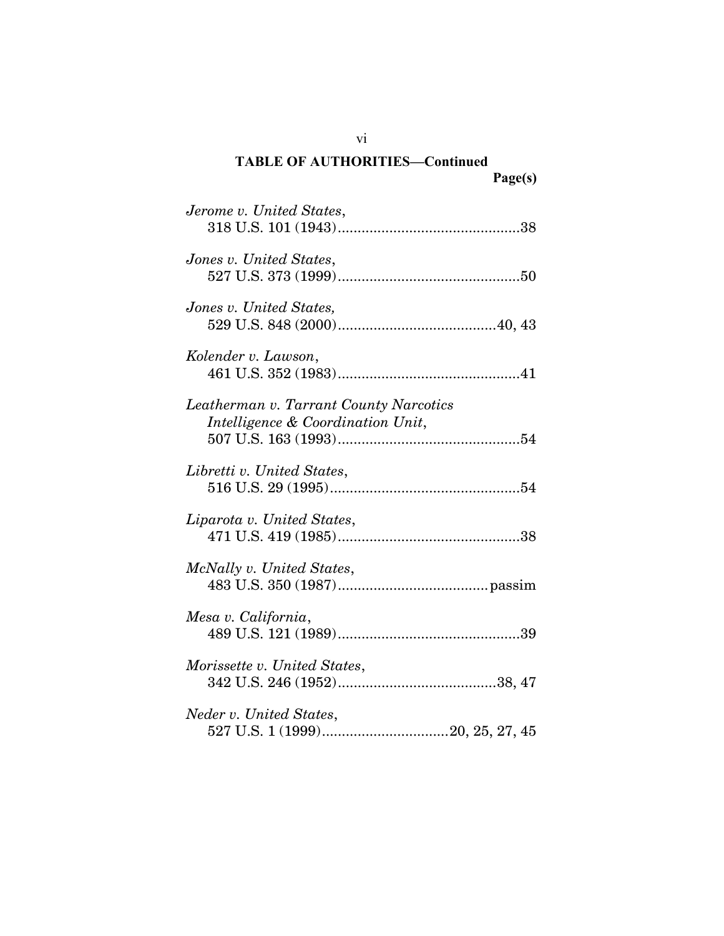| Jerome v. United States,                                                    |
|-----------------------------------------------------------------------------|
| Jones v. United States,                                                     |
| Jones v. United States,                                                     |
| Kolender v. Lawson,                                                         |
| Leatherman v. Tarrant County Narcotics<br>Intelligence & Coordination Unit, |
| Libretti v. United States,                                                  |
| Liparota v. United States,                                                  |
| McNally v. United States,                                                   |
| Mesa v. California,                                                         |
| Morissette v. United States,                                                |
| Neder v. United States,                                                     |

vi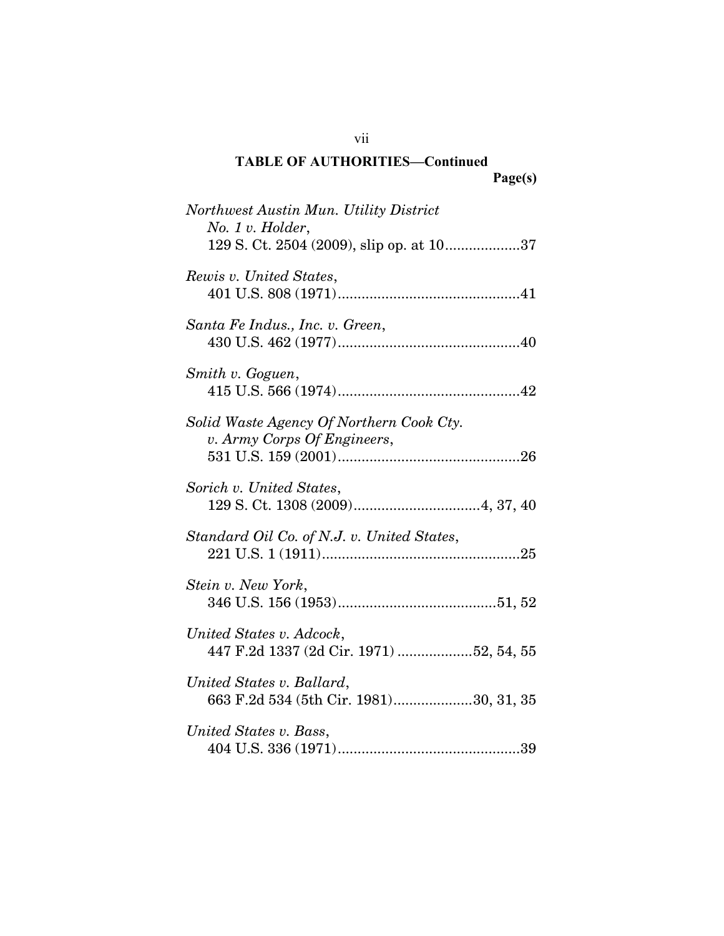| Northwest Austin Mun. Utility District<br>No. 1 v. Holder,<br>129 S. Ct. 2504 (2009), slip op. at 1037 |
|--------------------------------------------------------------------------------------------------------|
| Rewis v. United States,                                                                                |
| Santa Fe Indus., Inc. v. Green,                                                                        |
| Smith v. Goguen,                                                                                       |
| Solid Waste Agency Of Northern Cook Cty.<br>v. Army Corps Of Engineers,                                |
| Sorich v. United States,                                                                               |
| Standard Oil Co. of N.J. v. United States,                                                             |
| Stein v. New York,                                                                                     |
| United States v. Adcock,<br>447 F.2d 1337 (2d Cir. 1971) 52, 54, 55                                    |
| United States v. Ballard,<br>663 F.2d 534 (5th Cir. 1981)30, 31, 35                                    |
| United States v. Bass,                                                                                 |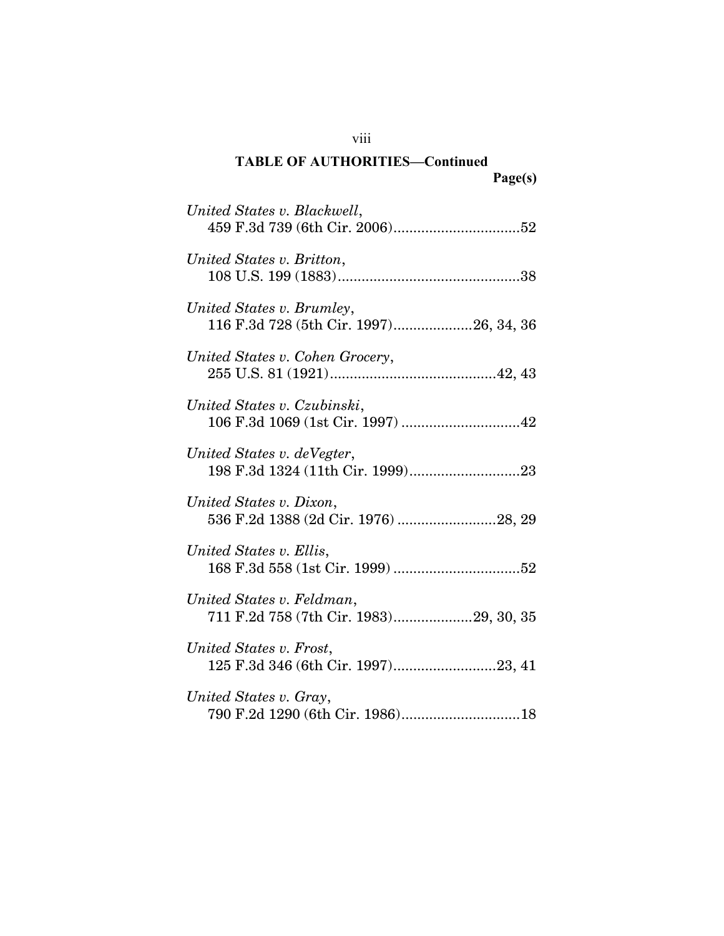| United States v. Blackwell,                                         |
|---------------------------------------------------------------------|
| United States v. Britton,                                           |
| United States v. Brumley,<br>116 F.3d 728 (5th Cir. 1997)26, 34, 36 |
| United States v. Cohen Grocery,                                     |
| United States v. Czubinski,                                         |
| United States v. deVegter,                                          |
| United States v. Dixon,<br>536 F.2d 1388 (2d Cir. 1976) 28, 29      |
| United States v. Ellis,                                             |
| United States v. Feldman,<br>711 F.2d 758 (7th Cir. 1983)29, 30, 35 |
| United States v. Frost,<br>125 F.3d 346 (6th Cir. 1997)23, 41       |
| United States v. Gray,                                              |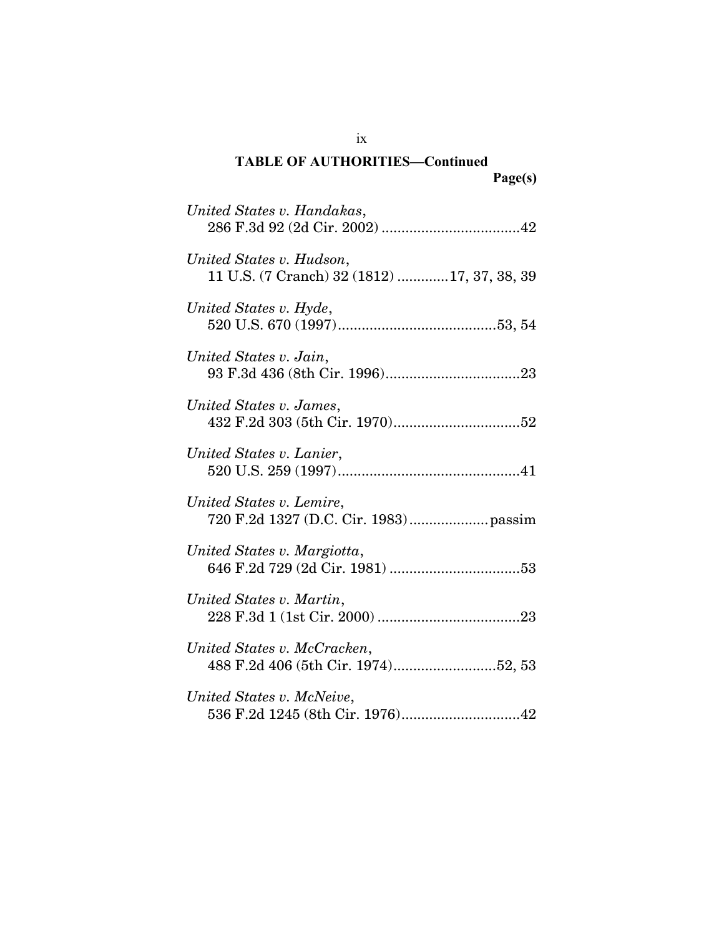| United States v. Handakas,                                              |
|-------------------------------------------------------------------------|
| United States v. Hudson,<br>11 U.S. (7 Cranch) 32 (1812) 17, 37, 38, 39 |
| United States v. Hyde,                                                  |
| United States v. Jain,                                                  |
| United States v. James,                                                 |
| United States v. Lanier,                                                |
| United States v. Lemire,                                                |
| United States v. Margiotta,                                             |
| United States v. Martin,                                                |
| United States v. McCracken,<br>488 F.2d 406 (5th Cir. 1974)52, 53       |
| United States v. McNeive,                                               |

ix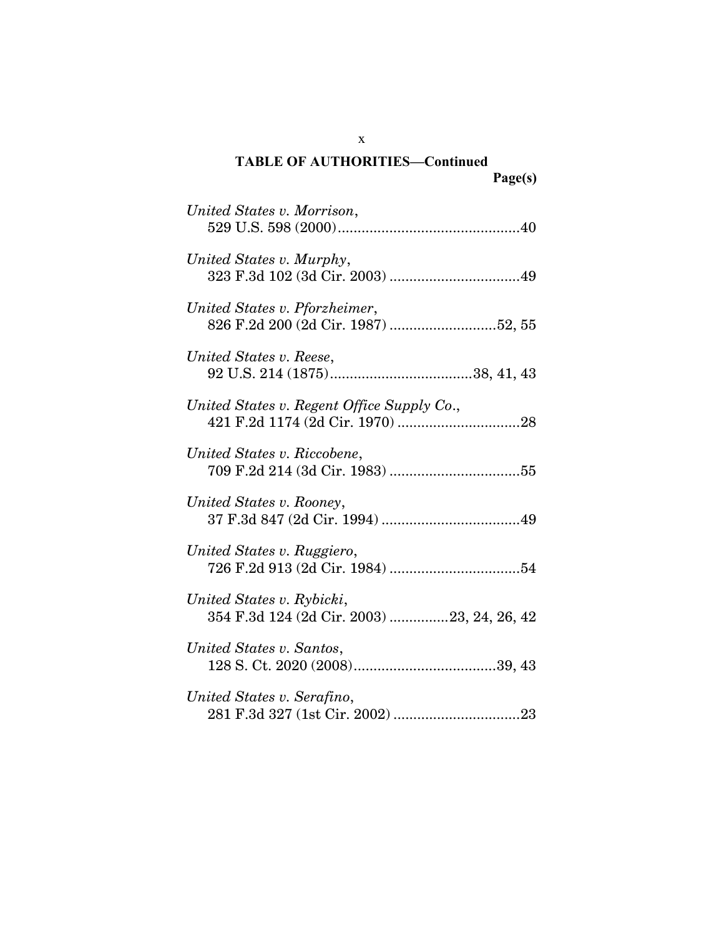| United States v. Morrison,                                              |
|-------------------------------------------------------------------------|
| United States v. Murphy,                                                |
| United States v. Pforzheimer,<br>826 F.2d 200 (2d Cir. 1987) 52, 55     |
| United States v. Reese,                                                 |
| United States v. Regent Office Supply Co.,                              |
| United States v. Riccobene,                                             |
| United States v. Rooney,                                                |
| United States v. Ruggiero,                                              |
| United States v. Rybicki,<br>354 F.3d 124 (2d Cir. 2003) 23, 24, 26, 42 |
| United States v. Santos,                                                |
| United States v. Serafino,                                              |

x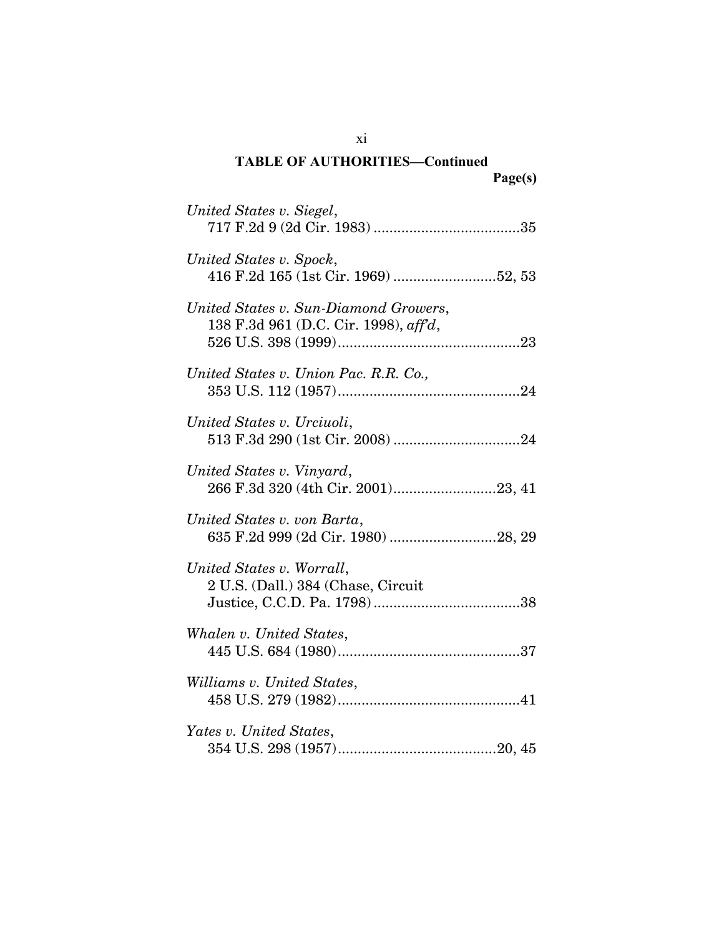| United States v. Siegel,                                                       |
|--------------------------------------------------------------------------------|
| United States v. Spock,<br>416 F.2d 165 (1st Cir. 1969) 52, 53                 |
| United States v. Sun-Diamond Growers,<br>138 F.3d 961 (D.C. Cir. 1998), aff'd, |
| United States v. Union Pac. R.R. Co.,                                          |
| United States v. Urciuoli,                                                     |
| United States v. Vinyard,<br>266 F.3d 320 (4th Cir. 2001)23, 41                |
| United States v. von Barta,<br>635 F.2d 999 (2d Cir. 1980) 28, 29              |
| United States v. Worrall,<br>2 U.S. (Dall.) 384 (Chase, Circuit                |
| Whalen v. United States,                                                       |
| Williams v. United States,                                                     |
| Yates v. United States,                                                        |

xi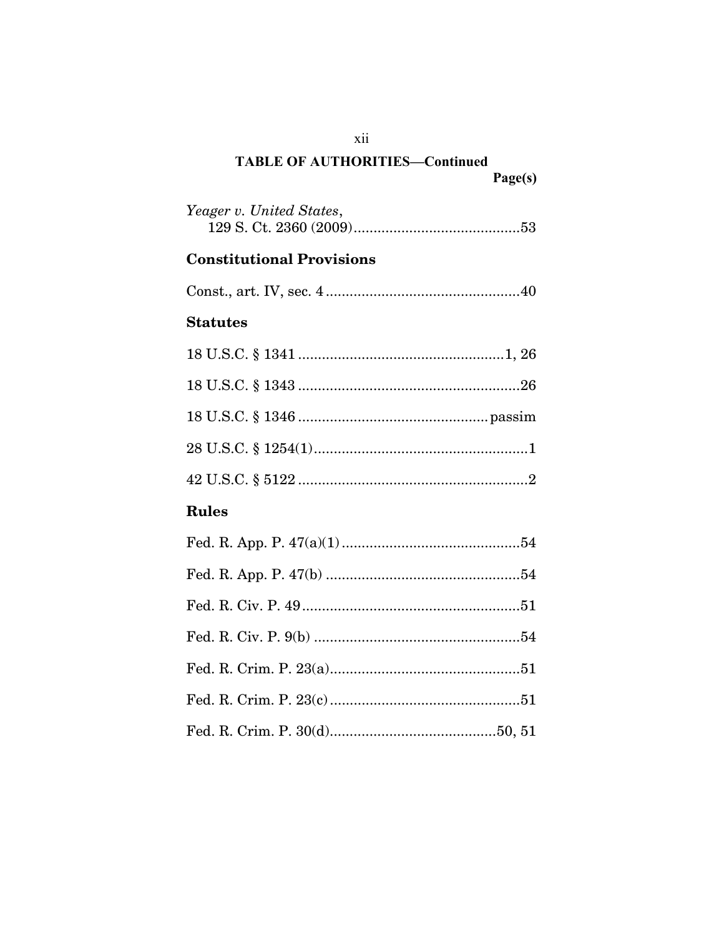| <b>TABLE OF AUTHORITIES-Continued</b> |         |
|---------------------------------------|---------|
|                                       | Page(s) |

| Yeager v. United States,         |
|----------------------------------|
| <b>Constitutional Provisions</b> |
|                                  |
| <b>Statutes</b>                  |
|                                  |
|                                  |
|                                  |
|                                  |
|                                  |
| <b>Rules</b>                     |
|                                  |
|                                  |
|                                  |
|                                  |
|                                  |
|                                  |
|                                  |

xii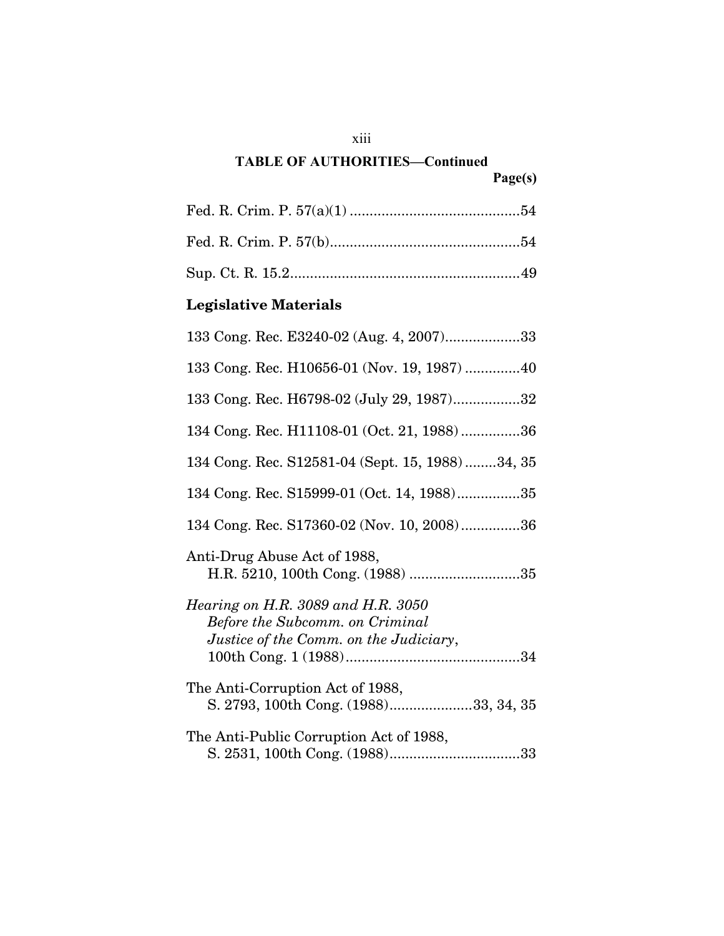### **TABLE OF AUTHORITIES—Continued**

# Sup. Ct. R. 15.2..........................................................49

# **Legislative Materials**

| 133 Cong. Rec. E3240-02 (Aug. 4, 2007)33                                                                               |
|------------------------------------------------------------------------------------------------------------------------|
| 133 Cong. Rec. H10656-01 (Nov. 19, 1987) 40                                                                            |
| 133 Cong. Rec. H6798-02 (July 29, 1987)32                                                                              |
| 134 Cong. Rec. H11108-01 (Oct. 21, 1988)36                                                                             |
| 134 Cong. Rec. S12581-04 (Sept. 15, 1988)34, 35                                                                        |
| 134 Cong. Rec. S15999-01 (Oct. 14, 1988)35                                                                             |
| 134 Cong. Rec. S17360-02 (Nov. 10, 2008)36                                                                             |
| Anti-Drug Abuse Act of 1988,<br>H.R. 5210, 100th Cong. (1988) 35                                                       |
| Hearing on H.R. 3089 and H.R. 3050<br><b>Before the Subcomm. on Criminal</b><br>Justice of the Comm. on the Judiciary, |
| The Anti-Corruption Act of 1988,<br>S. 2793, 100th Cong. (1988)33, 34, 35                                              |
| The Anti-Public Corruption Act of 1988,                                                                                |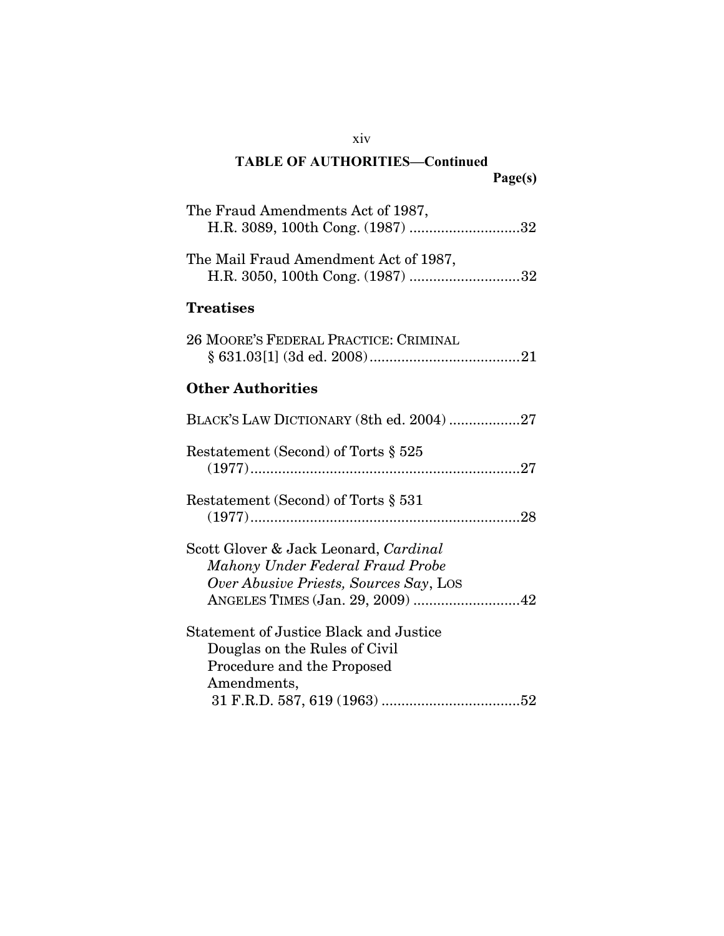| The Fraud Amendments Act of 1987,<br>H.R. 3089, 100th Cong. (1987) 32                                                                                   |
|---------------------------------------------------------------------------------------------------------------------------------------------------------|
| The Mail Fraud Amendment Act of 1987,<br>H.R. 3050, 100th Cong. (1987) 32                                                                               |
| <b>Treatises</b>                                                                                                                                        |
| 26 MOORE'S FEDERAL PRACTICE: CRIMINAL                                                                                                                   |
| <b>Other Authorities</b>                                                                                                                                |
| BLACK'S LAW DICTIONARY (8th ed. 2004)27                                                                                                                 |
| Restatement (Second) of Torts § 525                                                                                                                     |
| Restatement (Second) of Torts $\S 531$                                                                                                                  |
| Scott Glover & Jack Leonard, Cardinal<br>Mahony Under Federal Fraud Probe<br>Over Abusive Priests, Sources Say, Los<br>ANGELES TIMES (Jan. 29, 2009) 42 |
| Statement of Justice Black and Justice<br>Douglas on the Rules of Civil<br>Procedure and the Proposed<br>Amendments,                                    |

xiv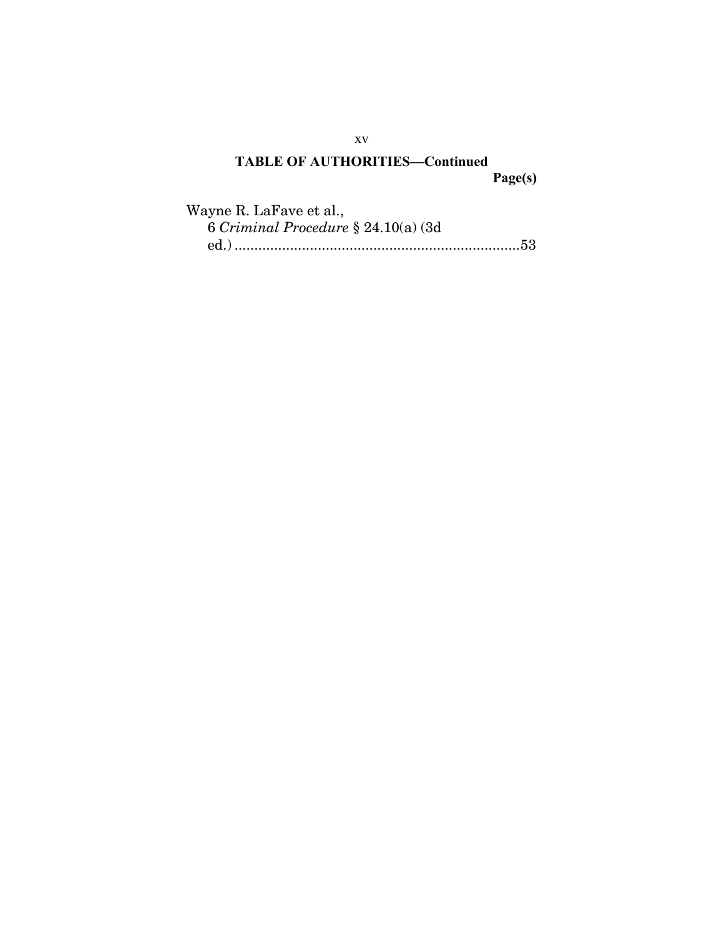| Wayne R. LaFave et al.,                |  |
|----------------------------------------|--|
| 6 Criminal Procedure $\S 24.10(a)$ (3d |  |
|                                        |  |

xv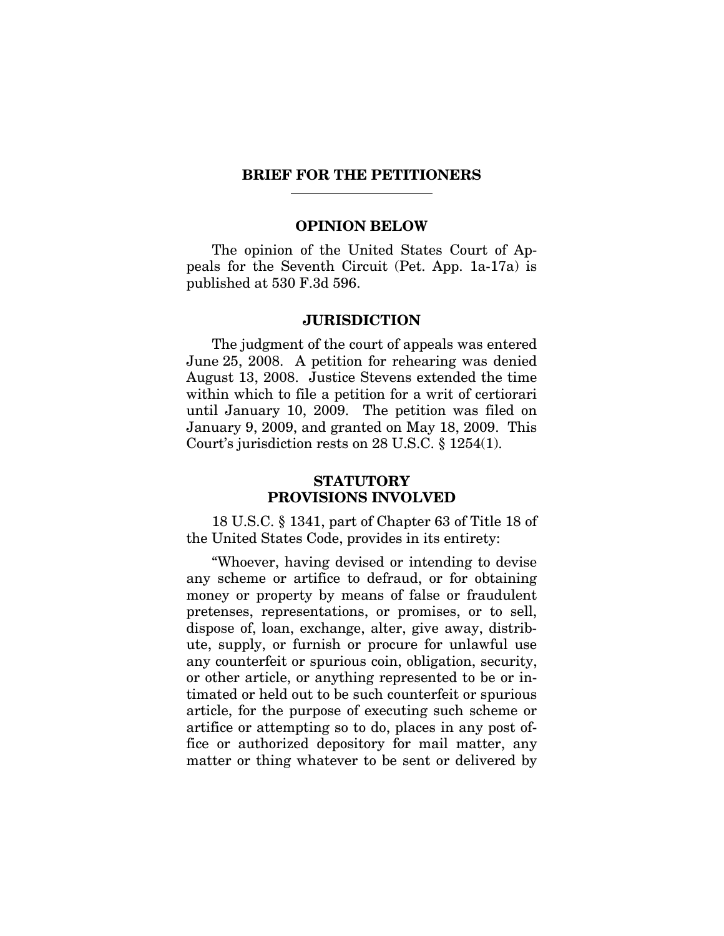#### <span id="page-17-0"></span>**BRIEF FOR THE PETITIONERS**

#### **OPINION BELOW**

The opinion of the United States Court of Appeals for the Seventh Circuit (Pet. App. 1a-17a) is published at 530 F.3d 596.

#### **JURISDICTION**

The judgment of the court of appeals was entered June 25, 2008. A petition for rehearing was denied August 13, 2008. Justice Stevens extended the time within which to file a petition for a writ of certiorari until January 10, 2009. The petition was filed on January 9, 2009, and granted on May 18, 2009. This Court's jurisdiction rests on 28 U.S.C. § 1254(1).

#### **STATUTORY PROVISIONS INVOLVED**

18 U.S.C. § 1341, part of Chapter 63 of Title 18 of the United States Code, provides in its entirety:

"Whoever, having devised or intending to devise any scheme or artifice to defraud, or for obtaining money or property by means of false or fraudulent pretenses, representations, or promises, or to sell, dispose of, loan, exchange, alter, give away, distribute, supply, or furnish or procure for unlawful use any counterfeit or spurious coin, obligation, security, or other article, or anything represented to be or intimated or held out to be such counterfeit or spurious article, for the purpose of executing such scheme or artifice or attempting so to do, places in any post office or authorized depository for mail matter, any matter or thing whatever to be sent or delivered by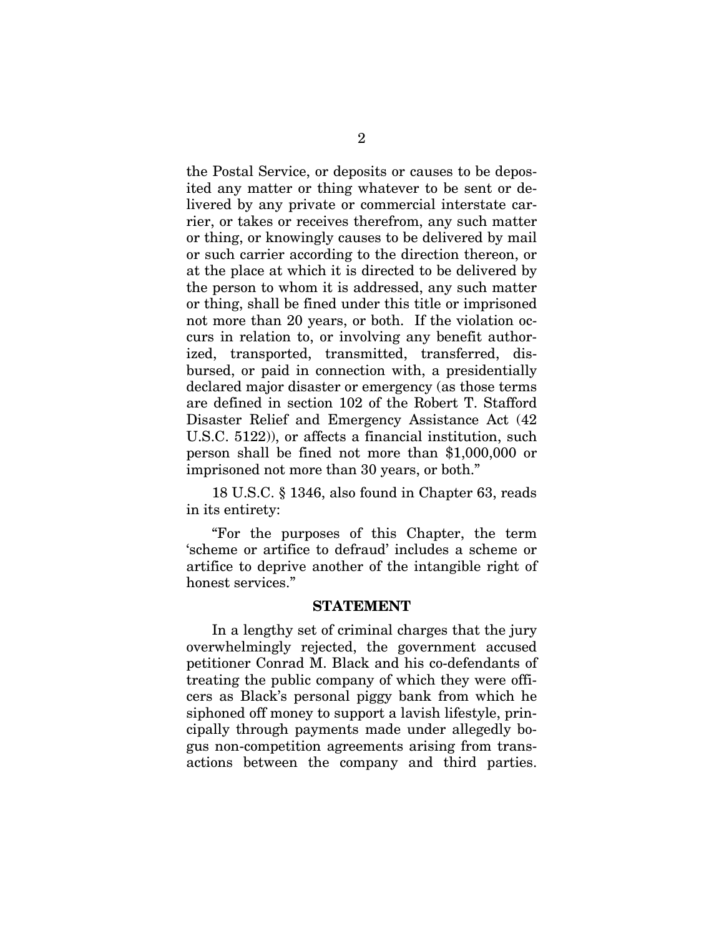<span id="page-18-0"></span>the Postal Service, or deposits or causes to be deposited any matter or thing whatever to be sent or delivered by any private or commercial interstate carrier, or takes or receives therefrom, any such matter or thing, or knowingly causes to be delivered by mail or such carrier according to the direction thereon, or at the place at which it is directed to be delivered by the person to whom it is addressed, any such matter or thing, shall be fined under this title or imprisoned not more than 20 years, or both. If the violation occurs in relation to, or involving any benefit authorized, transported, transmitted, transferred, disbursed, or paid in connection with, a presidentially declared major disaster or emergency (as those terms are defined in section 102 of the Robert T. Stafford Disaster Relief and Emergency Assistance Act (42 U.S.C. 5122)), or affects a financial institution, such person shall be fined not more than \$1,000,000 or imprisoned not more than 30 years, or both."

18 U.S.C. § 1346, also found in Chapter 63, reads in its entirety:

"For the purposes of this Chapter, the term 'scheme or artifice to defraud' includes a scheme or artifice to deprive another of the intangible right of honest services."

#### **STATEMENT**

In a lengthy set of criminal charges that the jury overwhelmingly rejected, the government accused petitioner Conrad M. Black and his co-defendants of treating the public company of which they were officers as Black's personal piggy bank from which he siphoned off money to support a lavish lifestyle, principally through payments made under allegedly bogus non-competition agreements arising from transactions between the company and third parties.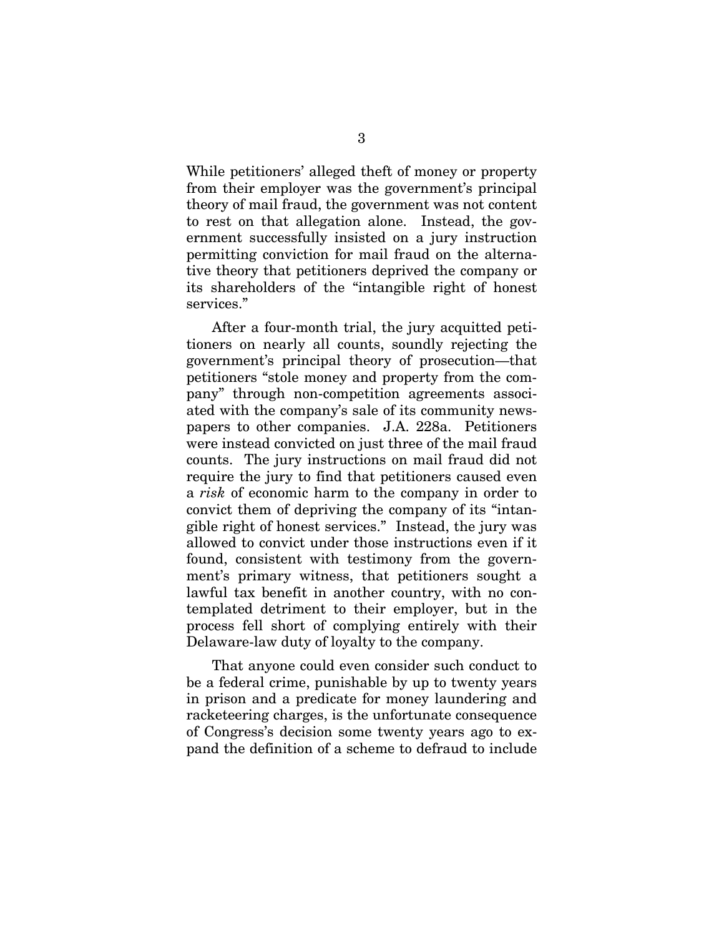While petitioners' alleged theft of money or property from their employer was the government's principal theory of mail fraud, the government was not content to rest on that allegation alone. Instead, the government successfully insisted on a jury instruction permitting conviction for mail fraud on the alternative theory that petitioners deprived the company or its shareholders of the "intangible right of honest services."

After a four-month trial, the jury acquitted petitioners on nearly all counts, soundly rejecting the government's principal theory of prosecution—that petitioners "stole money and property from the company" through non-competition agreements associated with the company's sale of its community newspapers to other companies. J.A. 228a. Petitioners were instead convicted on just three of the mail fraud counts. The jury instructions on mail fraud did not require the jury to find that petitioners caused even a *risk* of economic harm to the company in order to convict them of depriving the company of its "intangible right of honest services." Instead, the jury was allowed to convict under those instructions even if it found, consistent with testimony from the government's primary witness, that petitioners sought a lawful tax benefit in another country, with no contemplated detriment to their employer, but in the process fell short of complying entirely with their Delaware-law duty of loyalty to the company.

That anyone could even consider such conduct to be a federal crime, punishable by up to twenty years in prison and a predicate for money laundering and racketeering charges, is the unfortunate consequence of Congress's decision some twenty years ago to expand the definition of a scheme to defraud to include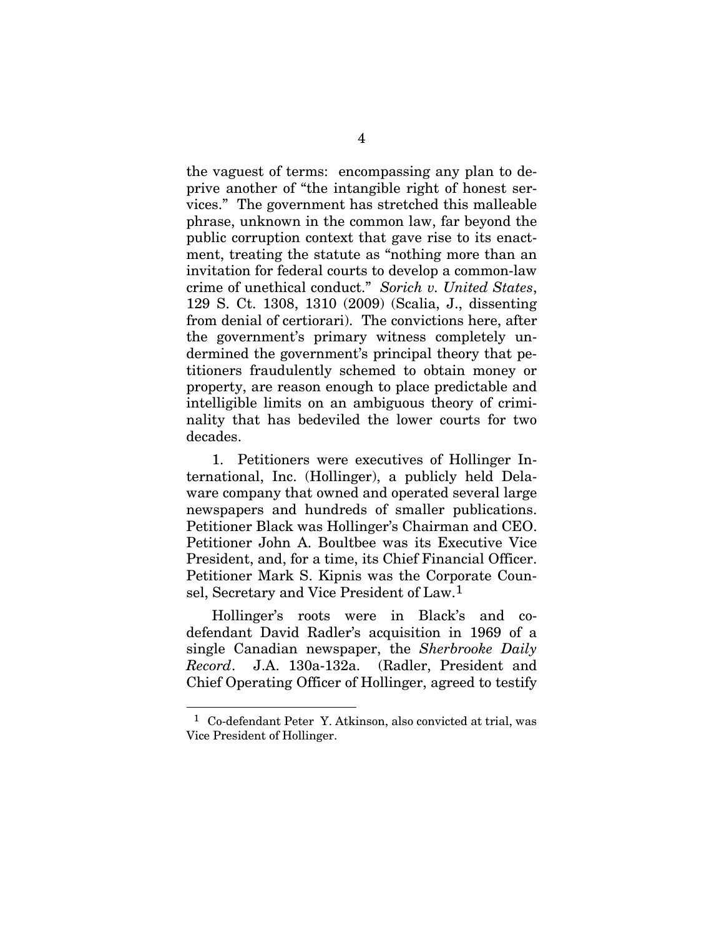the vaguest of terms: encompassing any plan to deprive another of "the intangible right of honest services." The government has stretched this malleable phrase, unknown in the common law, far beyond the public corruption context that gave rise to its enactment, treating the statute as "nothing more than an invitation for federal courts to develop a common-law crime of unethical conduct." *Sorich v. United States*, 129 S. Ct. 1308, 1310 (2009) (Scalia, J., dissenting from denial of certiorari). The convictions here, after the government's primary witness completely undermined the government's principal theory that petitioners fraudulently schemed to obtain money or property, are reason enough to place predictable and intelligible limits on an ambiguous theory of criminality that has bedeviled the lower courts for two decades.

1. Petitioners were executives of Hollinger International, Inc. (Hollinger), a publicly held Delaware company that owned and operated several large newspapers and hundreds of smaller publications. Petitioner Black was Hollinger's Chairman and CEO. Petitioner John A. Boultbee was its Executive Vice President, and, for a time, its Chief Financial Officer. Petitioner Mark S. Kipnis was the Corporate Counsel, Secretary and Vice President of Law.[1](#page-20-0)

Hollinger's roots were in Black's and codefendant David Radler's acquisition in 1969 of a single Canadian newspaper, the *Sherbrooke Daily Record*. J.A. 130a-132a. (Radler, President and Chief Operating Officer of Hollinger, agreed to testify

<span id="page-20-0"></span><sup>1</sup> Co-defendant Peter Y. Atkinson, also convicted at trial, was Vice President of Hollinger.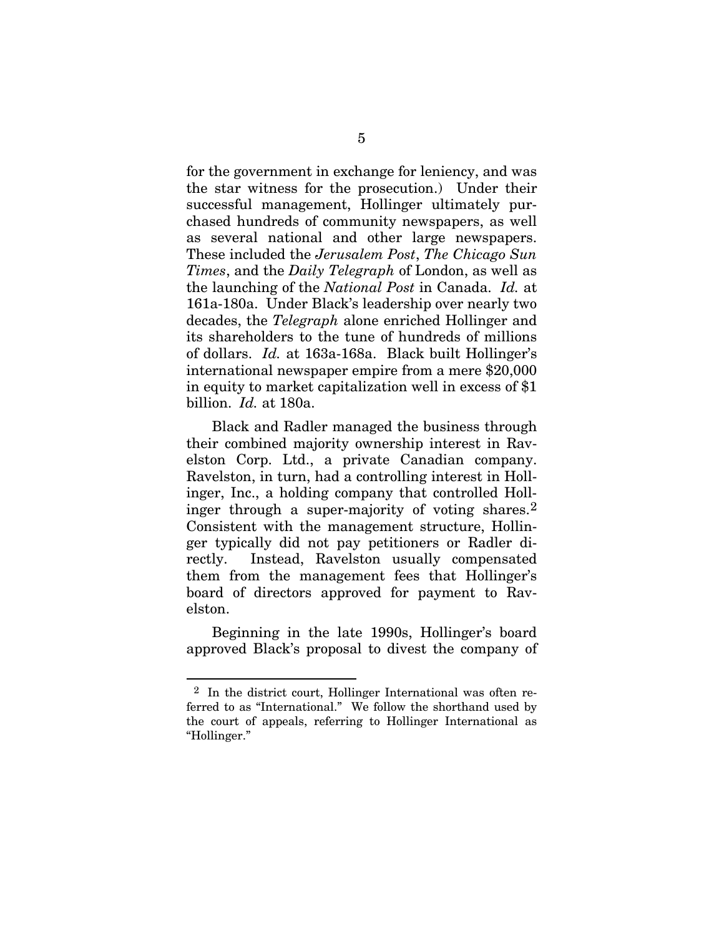for the government in exchange for leniency, and was the star witness for the prosecution.) Under their successful management, Hollinger ultimately purchased hundreds of community newspapers, as well as several national and other large newspapers. These included the *Jerusalem Post*, *The Chicago Sun Times*, and the *Daily Telegraph* of London, as well as the launching of the *National Post* in Canada. *Id.* at 161a-180a. Under Black's leadership over nearly two decades, the *Telegraph* alone enriched Hollinger and its shareholders to the tune of hundreds of millions of dollars. *Id.* at 163a-168a. Black built Hollinger's international newspaper empire from a mere \$20,000 in equity to market capitalization well in excess of \$1 billion. *Id.* at 180a.

Black and Radler managed the business through their combined majority ownership interest in Ravelston Corp. Ltd., a private Canadian company. Ravelston, in turn, had a controlling interest in Hollinger, Inc., a holding company that controlled Hollinger through a super-majority of voting shares.[2](#page-21-0) Consistent with the management structure, Hollinger typically did not pay petitioners or Radler directly. Instead, Ravelston usually compensated them from the management fees that Hollinger's board of directors approved for payment to Ravelston.

Beginning in the late 1990s, Hollinger's board approved Black's proposal to divest the company of

<span id="page-21-0"></span><sup>2</sup> In the district court, Hollinger International was often referred to as "International." We follow the shorthand used by the court of appeals, referring to Hollinger International as "Hollinger."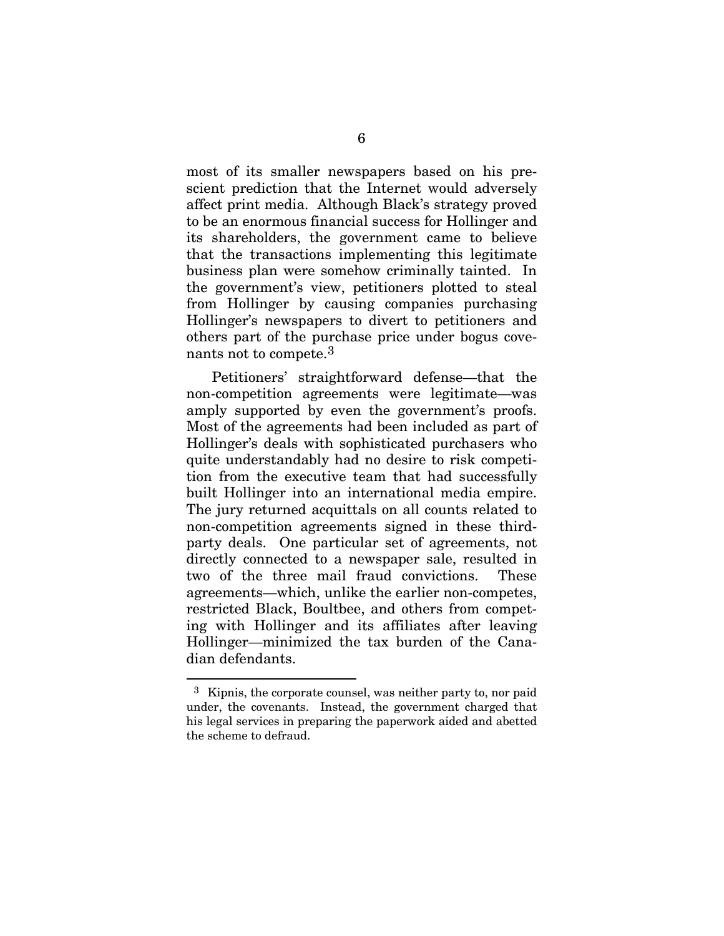most of its smaller newspapers based on his prescient prediction that the Internet would adversely affect print media. Although Black's strategy proved to be an enormous financial success for Hollinger and its shareholders, the government came to believe that the transactions implementing this legitimate business plan were somehow criminally tainted. In the government's view, petitioners plotted to steal from Hollinger by causing companies purchasing Hollinger's newspapers to divert to petitioners and others part of the purchase price under bogus covenants not to compete.[3](#page-22-0)

Petitioners' straightforward defense—that the non-competition agreements were legitimate—was amply supported by even the government's proofs. Most of the agreements had been included as part of Hollinger's deals with sophisticated purchasers who quite understandably had no desire to risk competition from the executive team that had successfully built Hollinger into an international media empire. The jury returned acquittals on all counts related to non-competition agreements signed in these thirdparty deals. One particular set of agreements, not directly connected to a newspaper sale, resulted in two of the three mail fraud convictions. These agreements—which, unlike the earlier non-competes, restricted Black, Boultbee, and others from competing with Hollinger and its affiliates after leaving Hollinger—minimized the tax burden of the Canadian defendants.

<span id="page-22-0"></span><sup>3</sup> Kipnis, the corporate counsel, was neither party to, nor paid under, the covenants. Instead, the government charged that his legal services in preparing the paperwork aided and abetted the scheme to defraud.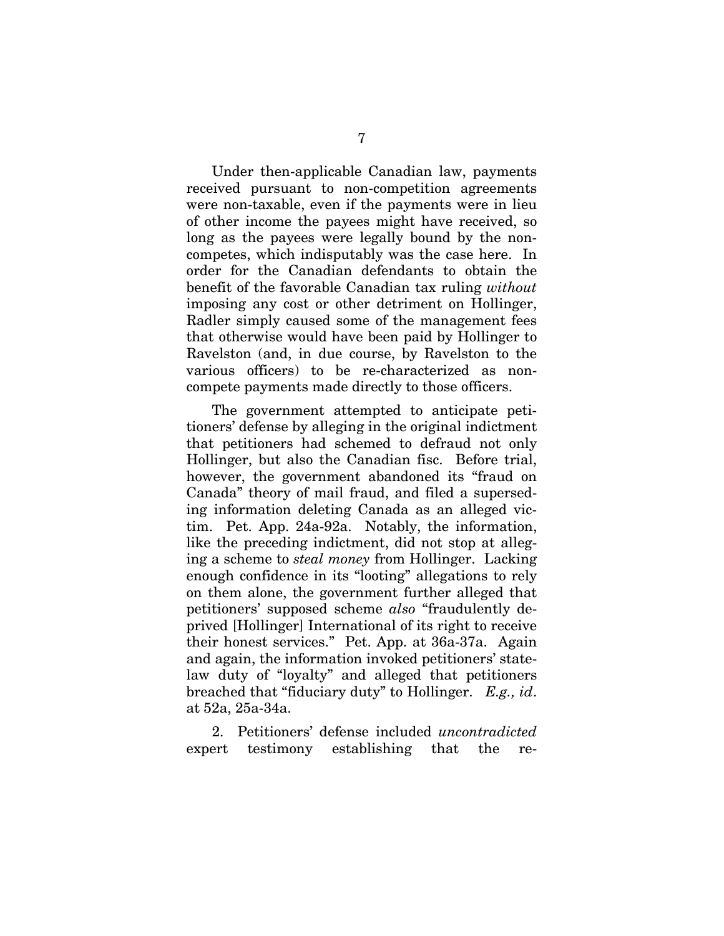Under then-applicable Canadian law, payments received pursuant to non-competition agreements were non-taxable, even if the payments were in lieu of other income the payees might have received, so long as the payees were legally bound by the noncompetes, which indisputably was the case here. In order for the Canadian defendants to obtain the benefit of the favorable Canadian tax ruling *without* imposing any cost or other detriment on Hollinger, Radler simply caused some of the management fees that otherwise would have been paid by Hollinger to Ravelston (and, in due course, by Ravelston to the various officers) to be re-characterized as noncompete payments made directly to those officers.

The government attempted to anticipate petitioners' defense by alleging in the original indictment that petitioners had schemed to defraud not only Hollinger, but also the Canadian fisc. Before trial, however, the government abandoned its "fraud on Canada" theory of mail fraud, and filed a superseding information deleting Canada as an alleged victim. Pet. App. 24a-92a. Notably, the information, like the preceding indictment, did not stop at alleging a scheme to *steal money* from Hollinger. Lacking enough confidence in its "looting" allegations to rely on them alone, the government further alleged that petitioners' supposed scheme *also* "fraudulently deprived [Hollinger] International of its right to receive their honest services." Pet. App. at 36a-37a. Again and again, the information invoked petitioners' statelaw duty of "loyalty" and alleged that petitioners breached that "fiduciary duty" to Hollinger. *E.g., id*. at 52a, 25a-34a.

2. Petitioners' defense included *uncontradicted* expert testimony establishing that the re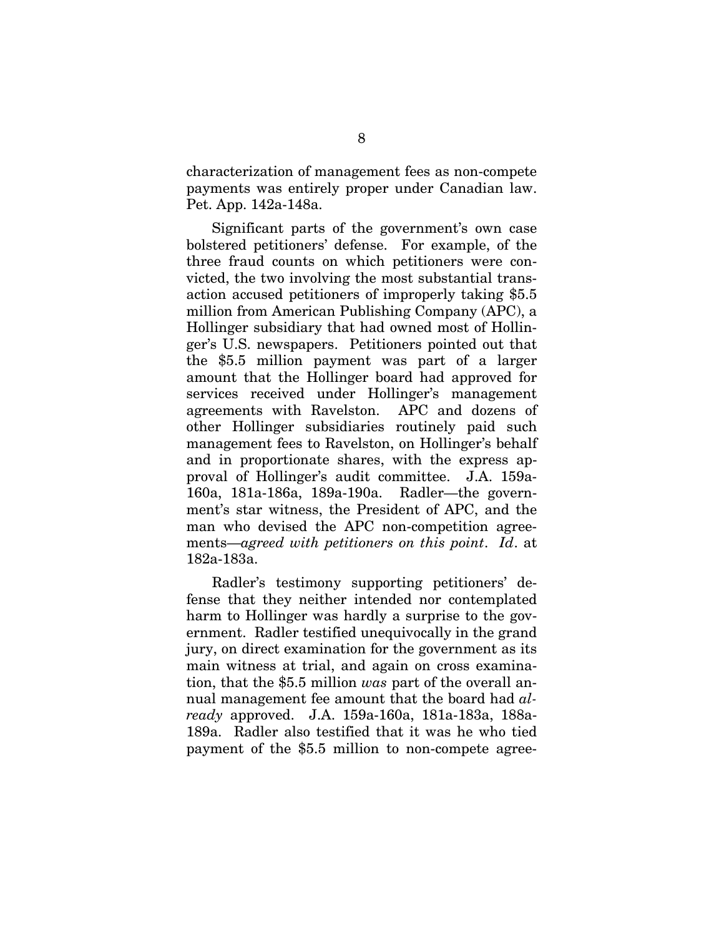characterization of management fees as non-compete payments was entirely proper under Canadian law. Pet. App. 142a-148a.

Significant parts of the government's own case bolstered petitioners' defense. For example, of the three fraud counts on which petitioners were convicted, the two involving the most substantial transaction accused petitioners of improperly taking \$5.5 million from American Publishing Company (APC), a Hollinger subsidiary that had owned most of Hollinger's U.S. newspapers. Petitioners pointed out that the \$5.5 million payment was part of a larger amount that the Hollinger board had approved for services received under Hollinger's management agreements with Ravelston. APC and dozens of other Hollinger subsidiaries routinely paid such management fees to Ravelston, on Hollinger's behalf and in proportionate shares, with the express approval of Hollinger's audit committee. J.A. 159a-160a, 181a-186a, 189a-190a. Radler—the government's star witness, the President of APC, and the man who devised the APC non-competition agreements—*agreed with petitioners on this point*. *Id*. at 182a-183a.

Radler's testimony supporting petitioners' defense that they neither intended nor contemplated harm to Hollinger was hardly a surprise to the government. Radler testified unequivocally in the grand jury, on direct examination for the government as its main witness at trial, and again on cross examination, that the \$5.5 million *was* part of the overall annual management fee amount that the board had *already* approved. J.A. 159a-160a, 181a-183a, 188a-189a. Radler also testified that it was he who tied payment of the \$5.5 million to non-compete agree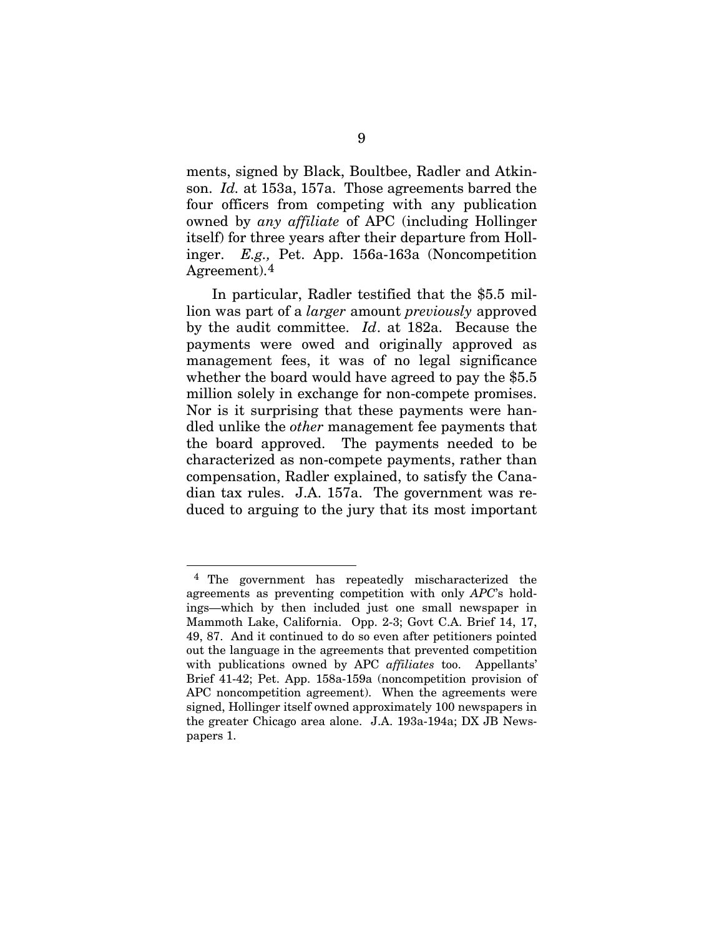ments, signed by Black, Boultbee, Radler and Atkinson. *Id.* at 153a, 157a. Those agreements barred the four officers from competing with any publication owned by *any affiliate* of APC (including Hollinger itself) for three years after their departure from Hollinger. *E.g.,* Pet. App. 156a-163a (Noncompetition Agreement).[4](#page-25-0)

In particular, Radler testified that the \$5.5 million was part of a *larger* amount *previously* approved by the audit committee. *Id*. at 182a. Because the payments were owed and originally approved as management fees, it was of no legal significance whether the board would have agreed to pay the \$5.5 million solely in exchange for non-compete promises. Nor is it surprising that these payments were handled unlike the *other* management fee payments that the board approved. The payments needed to be characterized as non-compete payments, rather than compensation, Radler explained, to satisfy the Canadian tax rules. J.A. 157a. The government was reduced to arguing to the jury that its most important

<span id="page-25-0"></span><sup>4</sup> The government has repeatedly mischaracterized the agreements as preventing competition with only *APC*'s holdings—which by then included just one small newspaper in Mammoth Lake, California. Opp. 2-3; Govt C.A. Brief 14, 17, 49, 87. And it continued to do so even after petitioners pointed out the language in the agreements that prevented competition with publications owned by APC *affiliates* too. Appellants' Brief 41-42; Pet. App. 158a-159a (noncompetition provision of APC noncompetition agreement). When the agreements were signed, Hollinger itself owned approximately 100 newspapers in the greater Chicago area alone. J.A. 193a-194a; DX JB Newspapers 1.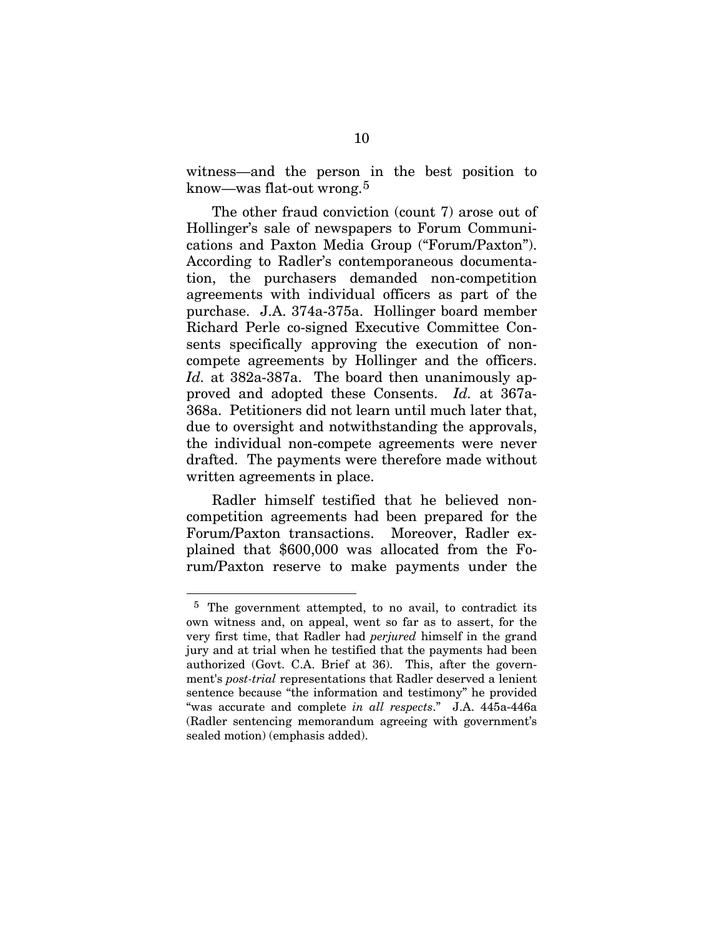witness—and the person in the best position to know—was flat-out wrong.[5](#page-26-0)

The other fraud conviction (count 7) arose out of Hollinger's sale of newspapers to Forum Communications and Paxton Media Group ("Forum/Paxton"). According to Radler's contemporaneous documentation, the purchasers demanded non-competition agreements with individual officers as part of the purchase. J.A. 374a-375a. Hollinger board member Richard Perle co-signed Executive Committee Consents specifically approving the execution of noncompete agreements by Hollinger and the officers. Id. at 382a-387a. The board then unanimously approved and adopted these Consents. *Id.* at 367a-368a. Petitioners did not learn until much later that, due to oversight and notwithstanding the approvals, the individual non-compete agreements were never drafted. The payments were therefore made without written agreements in place.

Radler himself testified that he believed noncompetition agreements had been prepared for the Forum/Paxton transactions. Moreover, Radler explained that \$600,000 was allocated from the Forum/Paxton reserve to make payments under the

<span id="page-26-0"></span><sup>5</sup> The government attempted, to no avail, to contradict its own witness and, on appeal, went so far as to assert, for the very first time, that Radler had *perjured* himself in the grand jury and at trial when he testified that the payments had been authorized (Govt. C.A. Brief at 36). This, after the government's *post-trial* representations that Radler deserved a lenient sentence because "the information and testimony" he provided "was accurate and complete *in all respects*." J.A. 445a-446a (Radler sentencing memorandum agreeing with government's sealed motion) (emphasis added).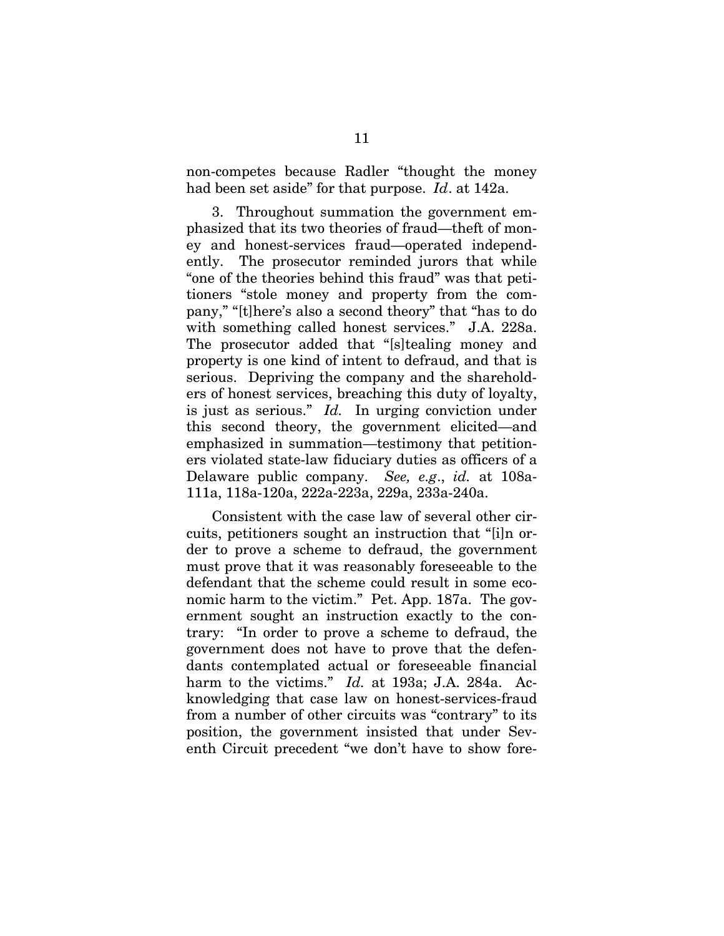non-competes because Radler "thought the money had been set aside" for that purpose. *Id*. at 142a.

3. Throughout summation the government emphasized that its two theories of fraud—theft of money and honest-services fraud—operated independently. The prosecutor reminded jurors that while "one of the theories behind this fraud" was that petitioners "stole money and property from the company," "[t]here's also a second theory" that "has to do with something called honest services." J.A. 228a. The prosecutor added that "[s]tealing money and property is one kind of intent to defraud, and that is serious. Depriving the company and the shareholders of honest services, breaching this duty of loyalty, is just as serious." *Id.* In urging conviction under this second theory, the government elicited—and emphasized in summation—testimony that petitioners violated state-law fiduciary duties as officers of a Delaware public company. *See, e.g*., *id.* at 108a-111a, 118a-120a, 222a-223a, 229a, 233a-240a.

Consistent with the case law of several other circuits, petitioners sought an instruction that "[i]n order to prove a scheme to defraud, the government must prove that it was reasonably foreseeable to the defendant that the scheme could result in some economic harm to the victim." Pet. App. 187a. The government sought an instruction exactly to the contrary: "In order to prove a scheme to defraud, the government does not have to prove that the defendants contemplated actual or foreseeable financial harm to the victims." *Id.* at 193a; J.A. 284a. Acknowledging that case law on honest-services-fraud from a number of other circuits was "contrary" to its position, the government insisted that under Seventh Circuit precedent "we don't have to show fore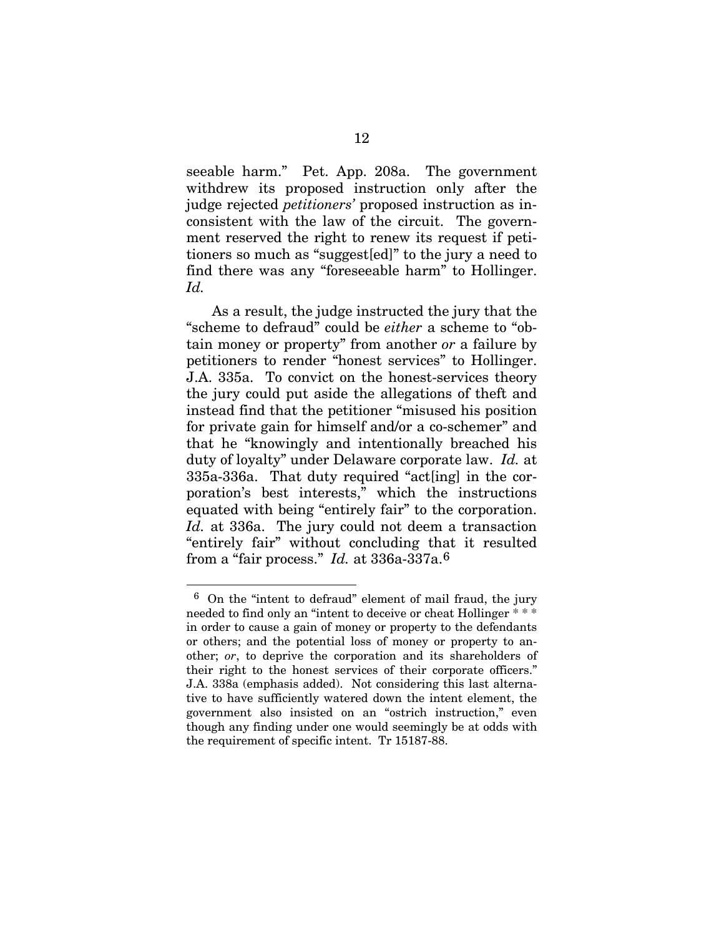seeable harm." Pet. App. 208a. The government withdrew its proposed instruction only after the judge rejected *petitioners'* proposed instruction as inconsistent with the law of the circuit. The government reserved the right to renew its request if petitioners so much as "suggest[ed]" to the jury a need to find there was any "foreseeable harm" to Hollinger. *Id.*

As a result, the judge instructed the jury that the "scheme to defraud" could be *either* a scheme to "obtain money or property" from another *or* a failure by petitioners to render "honest services" to Hollinger. J.A. 335a. To convict on the honest-services theory the jury could put aside the allegations of theft and instead find that the petitioner "misused his position for private gain for himself and/or a co-schemer" and that he "knowingly and intentionally breached his duty of loyalty" under Delaware corporate law. *Id.* at 335a-336a. That duty required "act[ing] in the corporation's best interests," which the instructions equated with being "entirely fair" to the corporation. *Id.* at 336a. The jury could not deem a transaction "entirely fair" without concluding that it resulted from a "fair process." *Id.* at 336a-337a.[6](#page-28-0)

<span id="page-28-0"></span><sup>6</sup> On the "intent to defraud" element of mail fraud, the jury needed to find only an "intent to deceive or cheat Hollinger \* \* \* in order to cause a gain of money or property to the defendants or others; and the potential loss of money or property to another; *or*, to deprive the corporation and its shareholders of their right to the honest services of their corporate officers." J.A. 338a (emphasis added). Not considering this last alternative to have sufficiently watered down the intent element, the government also insisted on an "ostrich instruction," even though any finding under one would seemingly be at odds with the requirement of specific intent. Tr 15187-88.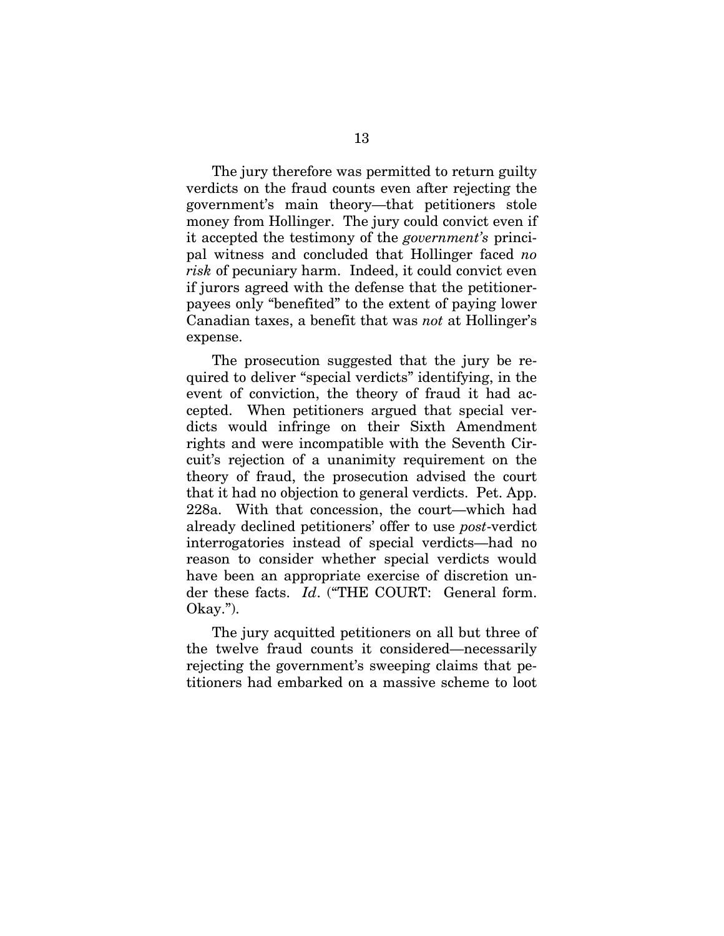The jury therefore was permitted to return guilty verdicts on the fraud counts even after rejecting the government's main theory—that petitioners stole money from Hollinger. The jury could convict even if it accepted the testimony of the *government's* principal witness and concluded that Hollinger faced *no risk* of pecuniary harm. Indeed, it could convict even if jurors agreed with the defense that the petitionerpayees only "benefited" to the extent of paying lower Canadian taxes, a benefit that was *not* at Hollinger's expense.

The prosecution suggested that the jury be required to deliver "special verdicts" identifying, in the event of conviction, the theory of fraud it had accepted. When petitioners argued that special verdicts would infringe on their Sixth Amendment rights and were incompatible with the Seventh Circuit's rejection of a unanimity requirement on the theory of fraud, the prosecution advised the court that it had no objection to general verdicts. Pet. App. 228a. With that concession, the court—which had already declined petitioners' offer to use *post*-verdict interrogatories instead of special verdicts—had no reason to consider whether special verdicts would have been an appropriate exercise of discretion under these facts. *Id*. ("THE COURT: General form. Okay.").

The jury acquitted petitioners on all but three of the twelve fraud counts it considered—necessarily rejecting the government's sweeping claims that petitioners had embarked on a massive scheme to loot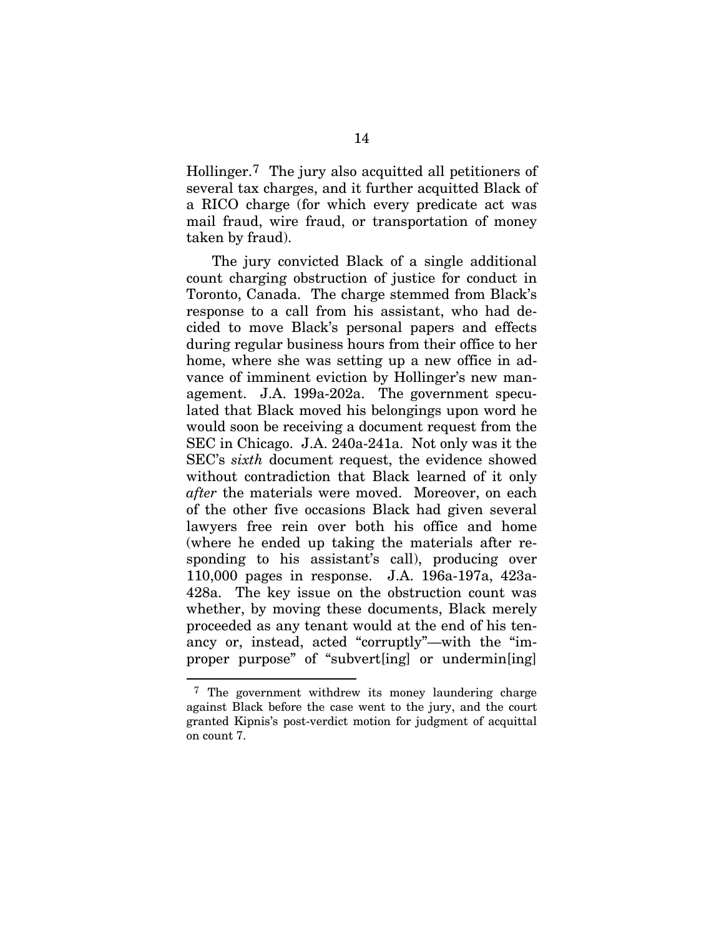Hollinger.[7](#page-30-0) The jury also acquitted all petitioners of several tax charges, and it further acquitted Black of a RICO charge (for which every predicate act was mail fraud, wire fraud, or transportation of money taken by fraud).

The jury convicted Black of a single additional count charging obstruction of justice for conduct in Toronto, Canada. The charge stemmed from Black's response to a call from his assistant, who had decided to move Black's personal papers and effects during regular business hours from their office to her home, where she was setting up a new office in advance of imminent eviction by Hollinger's new management. J.A. 199a-202a. The government speculated that Black moved his belongings upon word he would soon be receiving a document request from the SEC in Chicago. J.A. 240a-241a. Not only was it the SEC's *sixth* document request, the evidence showed without contradiction that Black learned of it only *after* the materials were moved. Moreover, on each of the other five occasions Black had given several lawyers free rein over both his office and home (where he ended up taking the materials after responding to his assistant's call), producing over 110,000 pages in response. J.A. 196a-197a, 423a-428a. The key issue on the obstruction count was whether, by moving these documents, Black merely proceeded as any tenant would at the end of his tenancy or, instead, acted "corruptly"—with the "improper purpose" of "subvert[ing] or undermin[ing]

<span id="page-30-0"></span><sup>7</sup> The government withdrew its money laundering charge against Black before the case went to the jury, and the court granted Kipnis's post-verdict motion for judgment of acquittal on count 7.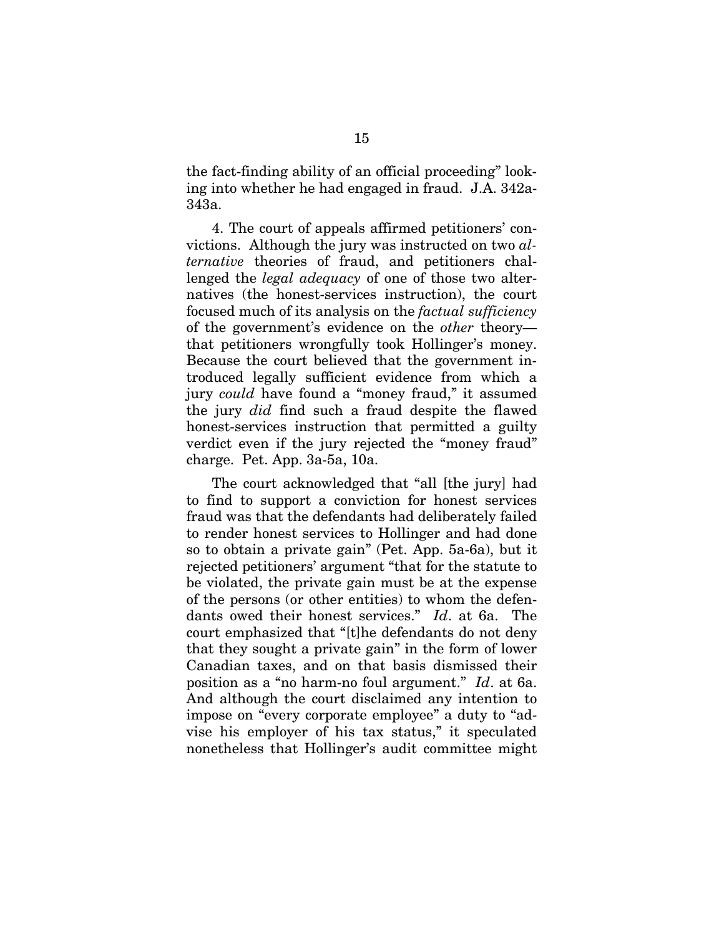the fact-finding ability of an official proceeding" looking into whether he had engaged in fraud. J.A. 342a-343a.

4. The court of appeals affirmed petitioners' convictions. Although the jury was instructed on two *alternative* theories of fraud, and petitioners challenged the *legal adequacy* of one of those two alternatives (the honest-services instruction), the court focused much of its analysis on the *factual sufficiency*  of the government's evidence on the *other* theory that petitioners wrongfully took Hollinger's money. Because the court believed that the government introduced legally sufficient evidence from which a jury *could* have found a "money fraud," it assumed the jury *did* find such a fraud despite the flawed honest-services instruction that permitted a guilty verdict even if the jury rejected the "money fraud" charge. Pet. App. 3a-5a, 10a.

The court acknowledged that "all [the jury] had to find to support a conviction for honest services fraud was that the defendants had deliberately failed to render honest services to Hollinger and had done so to obtain a private gain" (Pet. App. 5a-6a), but it rejected petitioners' argument "that for the statute to be violated, the private gain must be at the expense of the persons (or other entities) to whom the defendants owed their honest services." *Id*. at 6a. The court emphasized that "[t]he defendants do not deny that they sought a private gain" in the form of lower Canadian taxes, and on that basis dismissed their position as a "no harm-no foul argument." *Id*. at 6a. And although the court disclaimed any intention to impose on "every corporate employee" a duty to "advise his employer of his tax status," it speculated nonetheless that Hollinger's audit committee might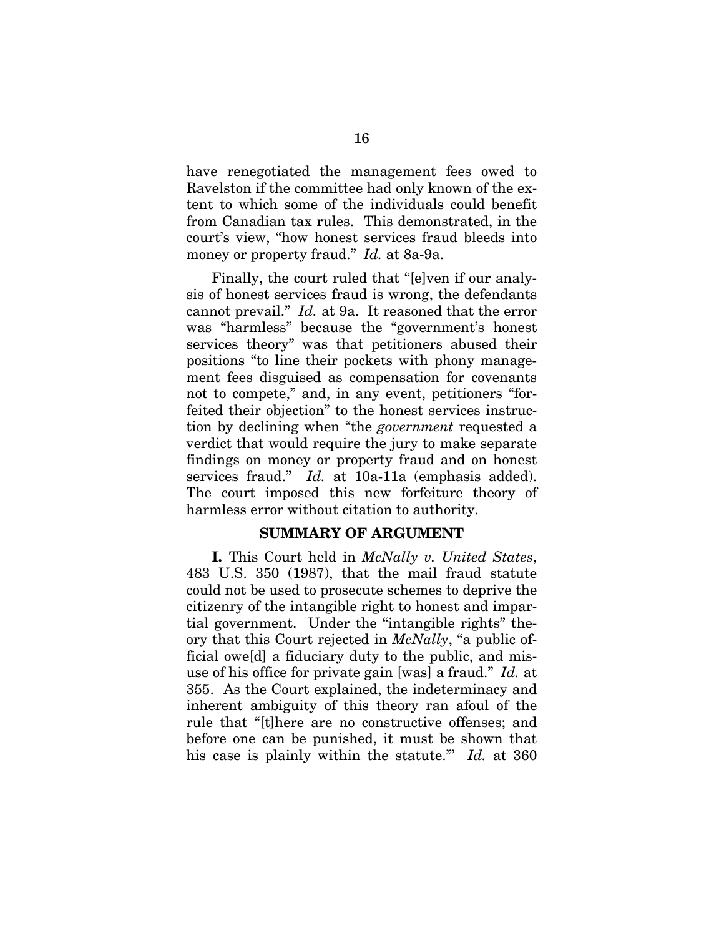<span id="page-32-0"></span>have renegotiated the management fees owed to Ravelston if the committee had only known of the extent to which some of the individuals could benefit from Canadian tax rules. This demonstrated, in the court's view, "how honest services fraud bleeds into money or property fraud." *Id.* at 8a-9a.

Finally, the court ruled that "[e]ven if our analysis of honest services fraud is wrong, the defendants cannot prevail." *Id.* at 9a. It reasoned that the error was "harmless" because the "government's honest services theory" was that petitioners abused their positions "to line their pockets with phony management fees disguised as compensation for covenants not to compete," and, in any event, petitioners "forfeited their objection" to the honest services instruction by declining when "the *government* requested a verdict that would require the jury to make separate findings on money or property fraud and on honest services fraud." *Id.* at 10a-11a (emphasis added). The court imposed this new forfeiture theory of harmless error without citation to authority.

#### **SUMMARY OF ARGUMENT**

**I.** This Court held in *McNally v. United States*, 483 U.S. 350 (1987), that the mail fraud statute could not be used to prosecute schemes to deprive the citizenry of the intangible right to honest and impartial government. Under the "intangible rights" theory that this Court rejected in *McNally*, "a public official owe[d] a fiduciary duty to the public, and misuse of his office for private gain [was] a fraud." *Id.* at 355. As the Court explained, the indeterminacy and inherent ambiguity of this theory ran afoul of the rule that "[t]here are no constructive offenses; and before one can be punished, it must be shown that his case is plainly within the statute.'" *Id.* at 360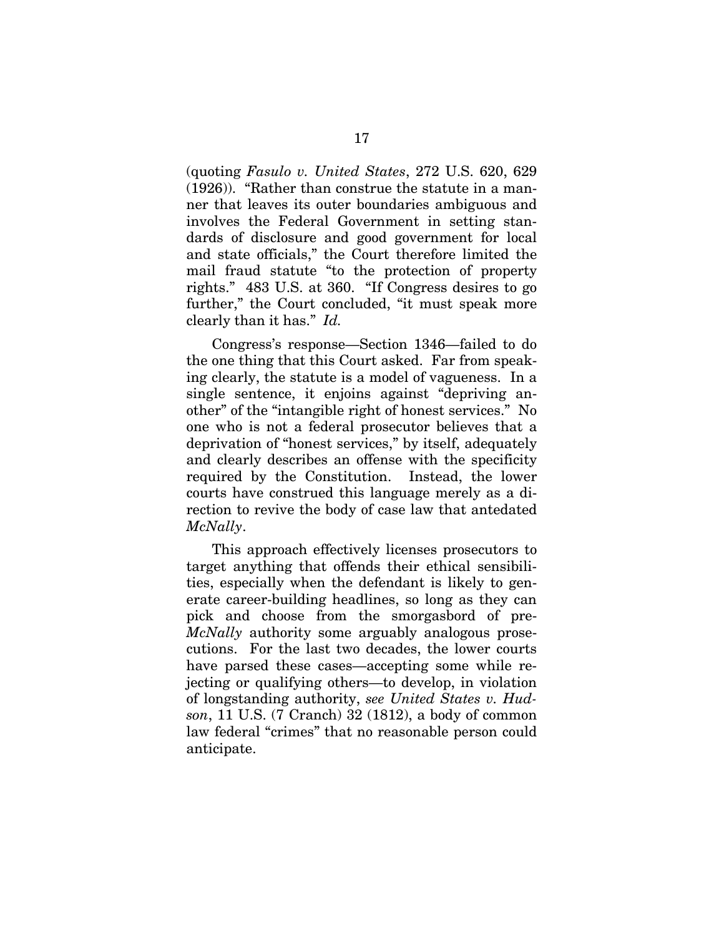(quoting *Fasulo v. United States*, 272 U.S. 620, 629 (1926)). "Rather than construe the statute in a manner that leaves its outer boundaries ambiguous and involves the Federal Government in setting standards of disclosure and good government for local and state officials," the Court therefore limited the mail fraud statute "to the protection of property rights." 483 U.S. at 360. "If Congress desires to go further," the Court concluded, "it must speak more clearly than it has." *Id.*

Congress's response—Section 1346—failed to do the one thing that this Court asked. Far from speaking clearly, the statute is a model of vagueness. In a single sentence, it enjoins against "depriving another" of the "intangible right of honest services." No one who is not a federal prosecutor believes that a deprivation of "honest services," by itself, adequately and clearly describes an offense with the specificity required by the Constitution. Instead, the lower courts have construed this language merely as a direction to revive the body of case law that antedated *McNally*.

This approach effectively licenses prosecutors to target anything that offends their ethical sensibilities, especially when the defendant is likely to generate career-building headlines, so long as they can pick and choose from the smorgasbord of pre-*McNally* authority some arguably analogous prosecutions. For the last two decades, the lower courts have parsed these cases—accepting some while rejecting or qualifying others—to develop, in violation of longstanding authority, *see United States v. Hudson*, 11 U.S. (7 Cranch) 32 (1812), a body of common law federal "crimes" that no reasonable person could anticipate.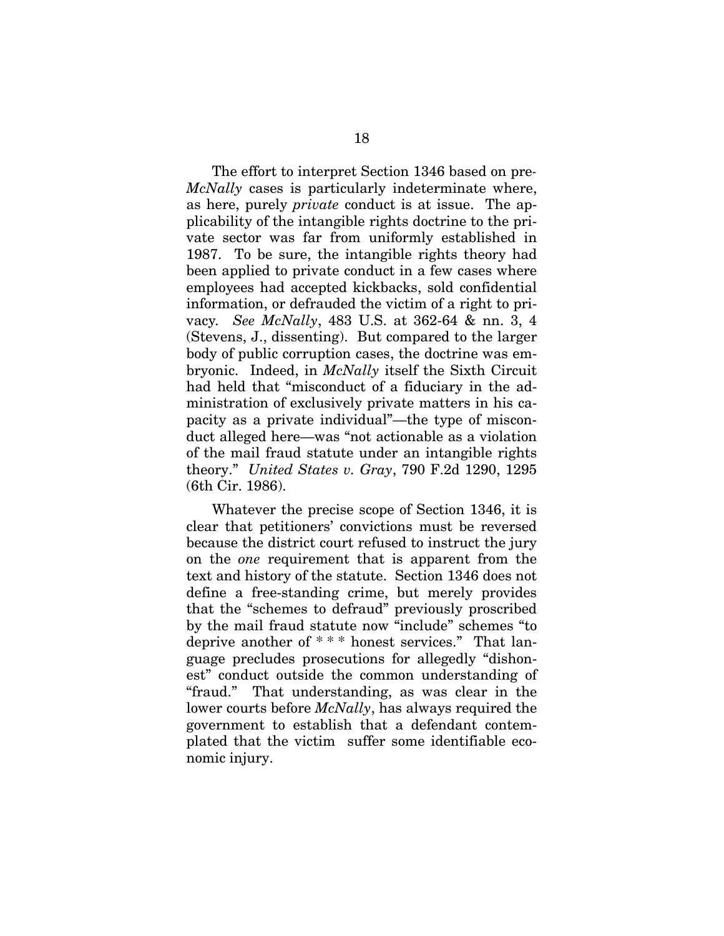The effort to interpret Section 1346 based on pre*-McNally* cases is particularly indeterminate where, as here, purely *private* conduct is at issue. The applicability of the intangible rights doctrine to the private sector was far from uniformly established in 1987. To be sure, the intangible rights theory had been applied to private conduct in a few cases where employees had accepted kickbacks, sold confidential information, or defrauded the victim of a right to privacy*. See McNally*, 483 U.S. at 362-64 & nn. 3, 4 (Stevens, J., dissenting). But compared to the larger body of public corruption cases, the doctrine was embryonic. Indeed, in *McNally* itself the Sixth Circuit had held that "misconduct of a fiduciary in the administration of exclusively private matters in his capacity as a private individual"—the type of misconduct alleged here—was "not actionable as a violation of the mail fraud statute under an intangible rights theory." *United States v. Gray*, 790 F.2d 1290, 1295 (6th Cir. 1986).

Whatever the precise scope of Section 1346, it is clear that petitioners' convictions must be reversed because the district court refused to instruct the jury on the *one* requirement that is apparent from the text and history of the statute. Section 1346 does not define a free-standing crime, but merely provides that the "schemes to defraud" previously proscribed by the mail fraud statute now "include" schemes "to deprive another of \* \* \* honest services." That language precludes prosecutions for allegedly "dishonest" conduct outside the common understanding of "fraud." That understanding, as was clear in the lower courts before *McNally*, has always required the government to establish that a defendant contemplated that the victim suffer some identifiable economic injury.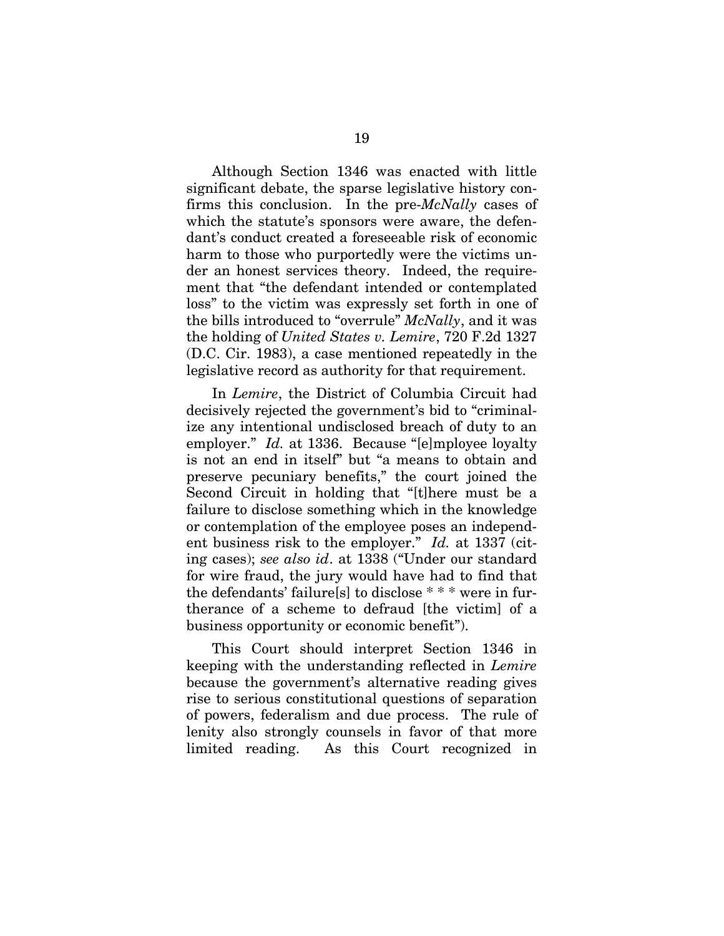Although Section 1346 was enacted with little significant debate, the sparse legislative history confirms this conclusion. In the pre-*McNally* cases of which the statute's sponsors were aware, the defendant's conduct created a foreseeable risk of economic harm to those who purportedly were the victims under an honest services theory. Indeed, the requirement that "the defendant intended or contemplated loss" to the victim was expressly set forth in one of the bills introduced to "overrule" *McNally*, and it was the holding of *United States v. Lemire*, 720 F.2d 1327 (D.C. Cir. 1983), a case mentioned repeatedly in the legislative record as authority for that requirement.

In *Lemire*, the District of Columbia Circuit had decisively rejected the government's bid to "criminalize any intentional undisclosed breach of duty to an employer." *Id.* at 1336. Because "[e]mployee loyalty is not an end in itself" but "a means to obtain and preserve pecuniary benefits," the court joined the Second Circuit in holding that "[t]here must be a failure to disclose something which in the knowledge or contemplation of the employee poses an independent business risk to the employer." *Id.* at 1337 (citing cases); *see also id*. at 1338 ("Under our standard for wire fraud, the jury would have had to find that the defendants' failure[s] to disclose \* \* \* were in furtherance of a scheme to defraud [the victim] of a business opportunity or economic benefit").

This Court should interpret Section 1346 in keeping with the understanding reflected in *Lemire* because the government's alternative reading gives rise to serious constitutional questions of separation of powers, federalism and due process. The rule of lenity also strongly counsels in favor of that more limited reading. As this Court recognized in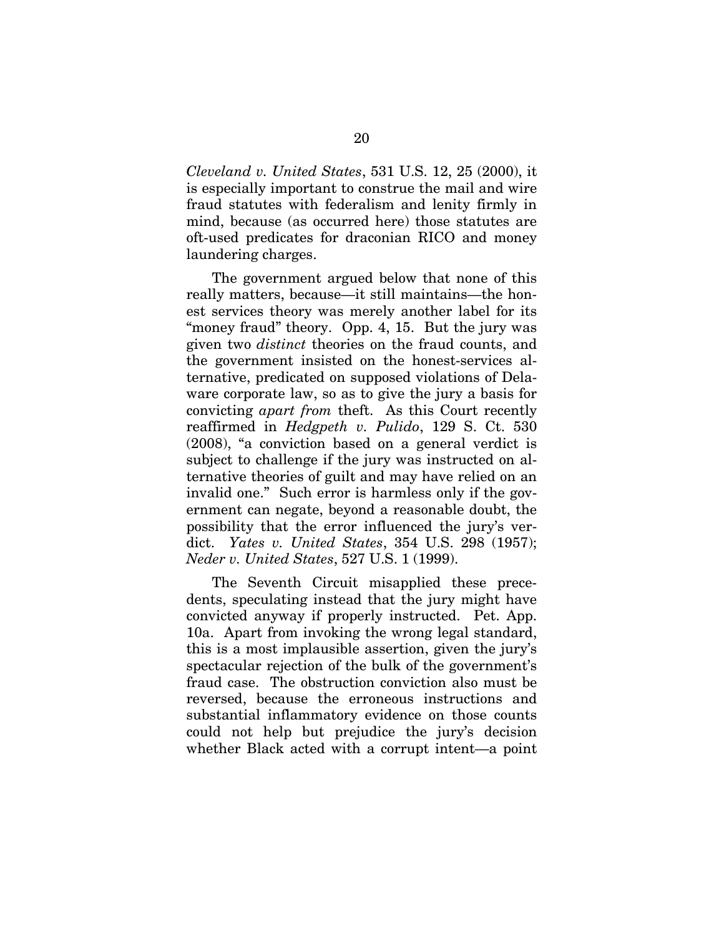*Cleveland v. United States*, 531 U.S. 12, 25 (2000), it is especially important to construe the mail and wire fraud statutes with federalism and lenity firmly in mind, because (as occurred here) those statutes are oft-used predicates for draconian RICO and money laundering charges.

The government argued below that none of this really matters, because—it still maintains—the honest services theory was merely another label for its "money fraud" theory. Opp. 4, 15. But the jury was given two *distinct* theories on the fraud counts, and the government insisted on the honest-services alternative, predicated on supposed violations of Delaware corporate law, so as to give the jury a basis for convicting *apart from* theft. As this Court recently reaffirmed in *Hedgpeth v. Pulido*, 129 S. Ct. 530 (2008), "a conviction based on a general verdict is subject to challenge if the jury was instructed on alternative theories of guilt and may have relied on an invalid one." Such error is harmless only if the government can negate, beyond a reasonable doubt, the possibility that the error influenced the jury's verdict. *Yates v. United States*, 354 U.S. 298 (1957); *Neder v. United States*, 527 U.S. 1 (1999).

The Seventh Circuit misapplied these precedents, speculating instead that the jury might have convicted anyway if properly instructed. Pet. App. 10a. Apart from invoking the wrong legal standard, this is a most implausible assertion, given the jury's spectacular rejection of the bulk of the government's fraud case. The obstruction conviction also must be reversed, because the erroneous instructions and substantial inflammatory evidence on those counts could not help but prejudice the jury's decision whether Black acted with a corrupt intent—a point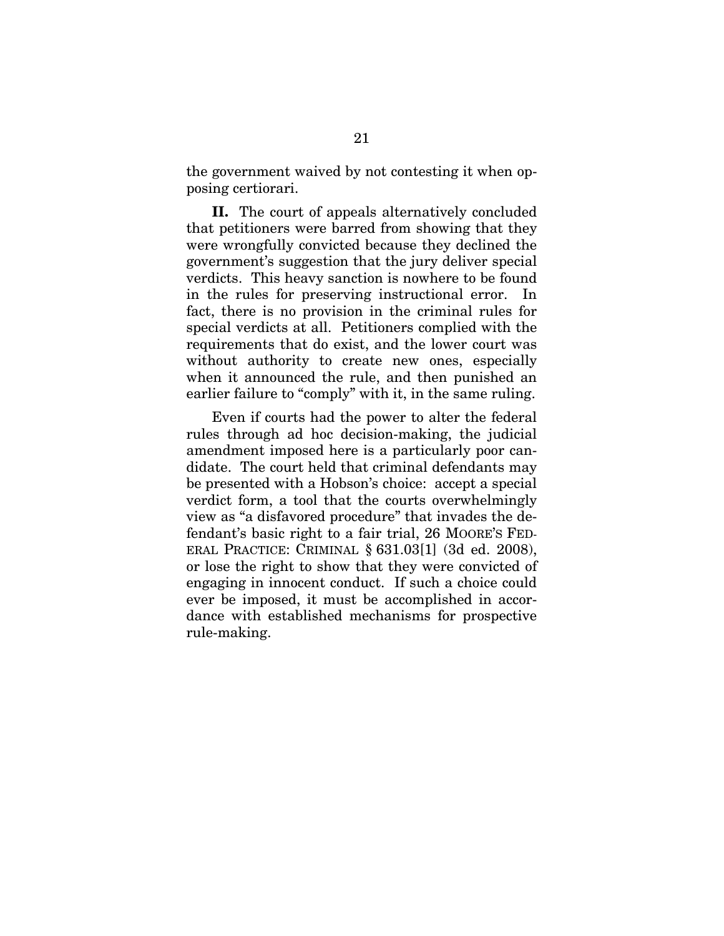the government waived by not contesting it when opposing certiorari.

**II.** The court of appeals alternatively concluded that petitioners were barred from showing that they were wrongfully convicted because they declined the government's suggestion that the jury deliver special verdicts. This heavy sanction is nowhere to be found in the rules for preserving instructional error. In fact, there is no provision in the criminal rules for special verdicts at all. Petitioners complied with the requirements that do exist, and the lower court was without authority to create new ones, especially when it announced the rule, and then punished an earlier failure to "comply" with it, in the same ruling.

Even if courts had the power to alter the federal rules through ad hoc decision-making, the judicial amendment imposed here is a particularly poor candidate. The court held that criminal defendants may be presented with a Hobson's choice: accept a special verdict form, a tool that the courts overwhelmingly view as "a disfavored procedure" that invades the defendant's basic right to a fair trial, 26 MOORE'S FED-ERAL PRACTICE: CRIMINAL § 631.03[1] (3d ed. 2008), or lose the right to show that they were convicted of engaging in innocent conduct. If such a choice could ever be imposed, it must be accomplished in accordance with established mechanisms for prospective rule-making.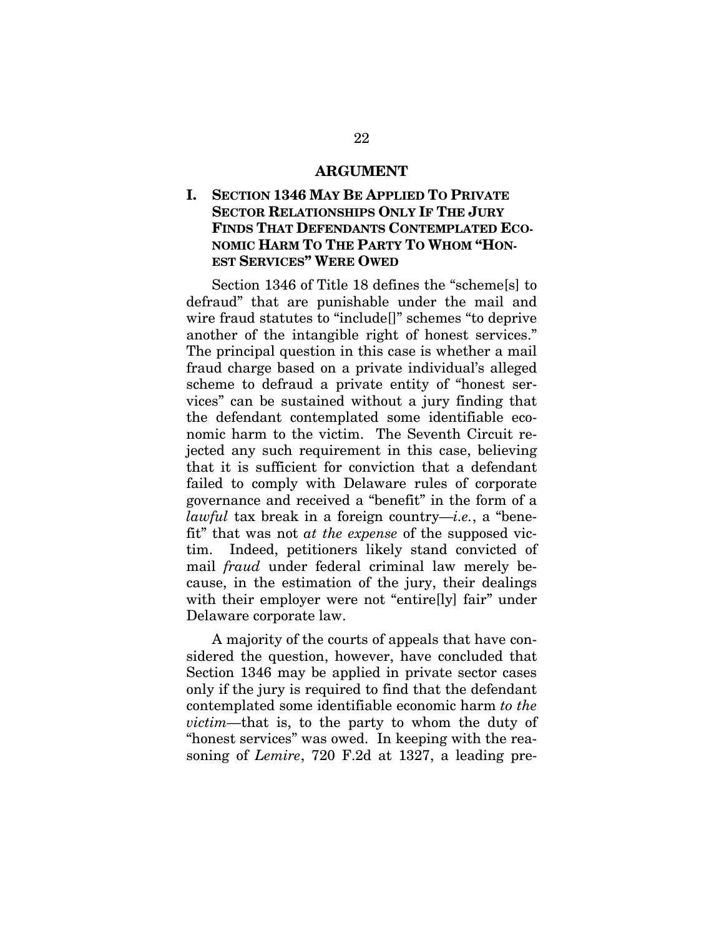#### **ARGUMENT**

# **I. SECTION 1346 MAY BE APPLIED TO PRIVATE SECTOR RELATIONSHIPS ONLY IF THE JURY FINDS THAT DEFENDANTS CONTEMPLATED ECO-NOMIC HARM TO THE PARTY TO WHOM "HON-EST SERVICES" WERE OWED**

Section 1346 of Title 18 defines the "scheme[s] to defraud" that are punishable under the mail and wire fraud statutes to "include[]" schemes "to deprive another of the intangible right of honest services." The principal question in this case is whether a mail fraud charge based on a private individual's alleged scheme to defraud a private entity of "honest services" can be sustained without a jury finding that the defendant contemplated some identifiable economic harm to the victim. The Seventh Circuit rejected any such requirement in this case, believing that it is sufficient for conviction that a defendant failed to comply with Delaware rules of corporate governance and received a "benefit" in the form of a *lawful* tax break in a foreign country—*i.e.*, a "benefit" that was not *at the expense* of the supposed victim. Indeed, petitioners likely stand convicted of mail *fraud* under federal criminal law merely because, in the estimation of the jury, their dealings with their employer were not "entire<sup>[]</sup>y] fair" under Delaware corporate law.

A majority of the courts of appeals that have considered the question, however, have concluded that Section 1346 may be applied in private sector cases only if the jury is required to find that the defendant contemplated some identifiable economic harm *to the victim—*that is, to the party to whom the duty of "honest services" was owed. In keeping with the reasoning of *Lemire*, 720 F.2d at 1327, a leading pre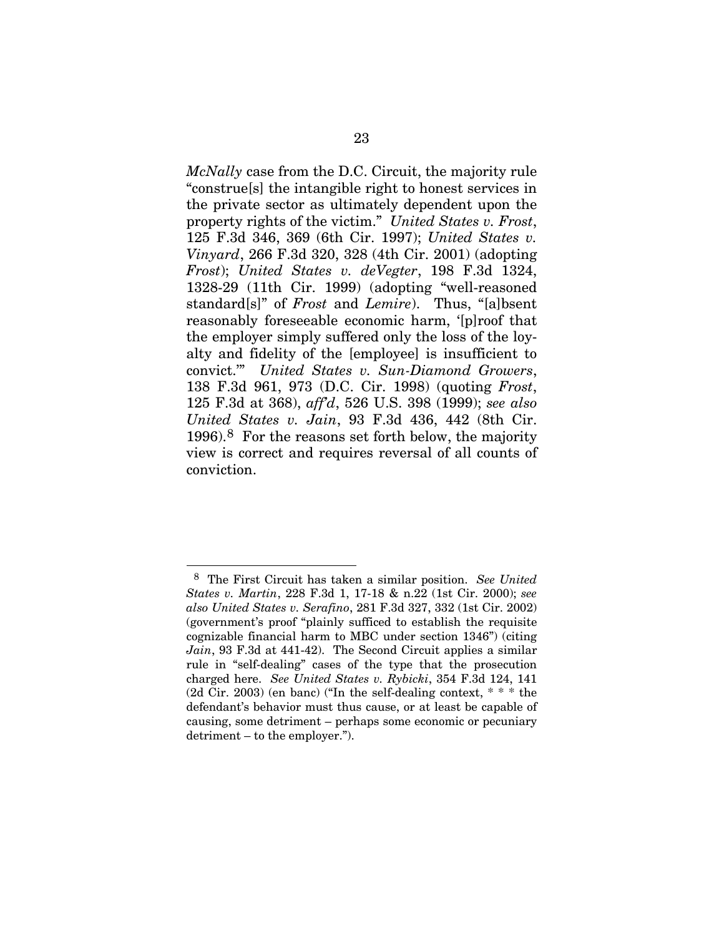*McNally* case from the D.C. Circuit, the majority rule "construe[s] the intangible right to honest services in the private sector as ultimately dependent upon the property rights of the victim." *United States v. Frost*, 125 F.3d 346, 369 (6th Cir. 1997); *United States v. Vinyard*, 266 F.3d 320, 328 (4th Cir. 2001) (adopting *Frost*); *United States v. deVegter*, 198 F.3d 1324, 1328-29 (11th Cir. 1999) (adopting "well-reasoned standard[s]" of *Frost* and *Lemire*). Thus, "[a]bsent reasonably foreseeable economic harm, '[p]roof that the employer simply suffered only the loss of the loyalty and fidelity of the [employee] is insufficient to convict.'" *United States v. Sun-Diamond Growers*, 138 F.3d 961, 973 (D.C. Cir. 1998) (quoting *Frost*, 125 F.3d at 368), *aff'd*, 526 U.S. 398 (1999); *see also United States v. Jain*, 93 F.3d 436, 442 (8th Cir. 1996).[8](#page-39-0) For the reasons set forth below, the majority view is correct and requires reversal of all counts of conviction.

 $\overline{a}$ 

<span id="page-39-0"></span><sup>8</sup> The First Circuit has taken a similar position. *See United States v. Martin*, 228 F.3d 1, 17-18 & n.22 (1st Cir. 2000); *see also United States v. Serafino*, 281 F.3d 327, 332 (1st Cir. 2002) (government's proof "plainly sufficed to establish the requisite cognizable financial harm to MBC under section 1346") (citing *Jain*, 93 F.3d at 441-42). The Second Circuit applies a similar rule in "self-dealing" cases of the type that the prosecution charged here. *See United States v. Rybicki*, 354 F.3d 124, 141 (2d Cir. 2003) (en banc) ("In the self-dealing context, \* \* \* the defendant's behavior must thus cause, or at least be capable of causing, some detriment – perhaps some economic or pecuniary detriment – to the employer.").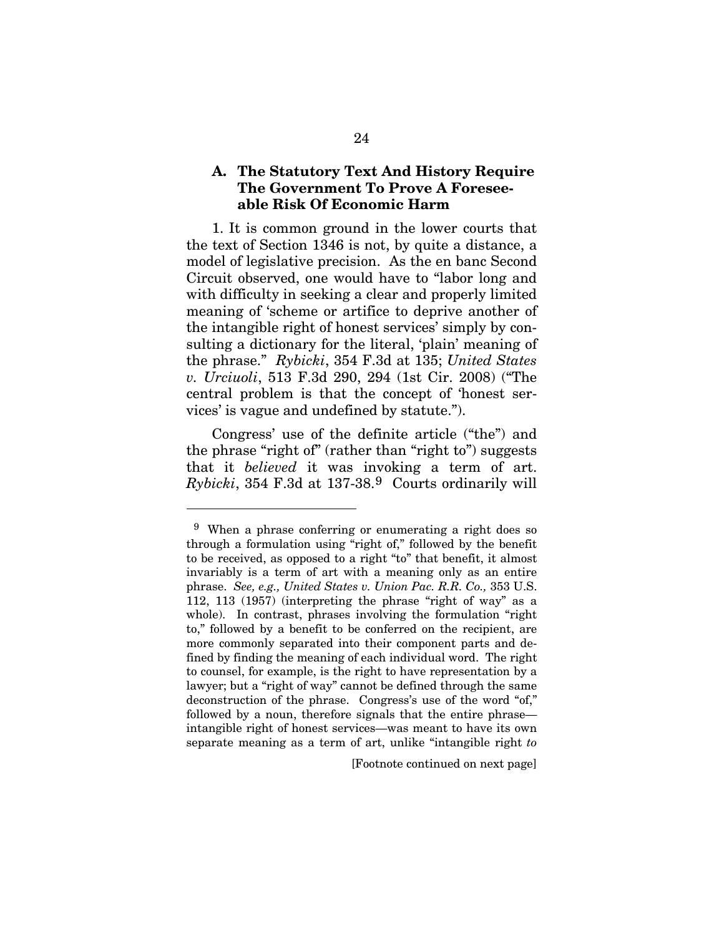#### **A. The Statutory Text And History Require The Government To Prove A Foreseeable Risk Of Economic Harm**

1. It is common ground in the lower courts that the text of Section 1346 is not, by quite a distance, a model of legislative precision. As the en banc Second Circuit observed, one would have to "labor long and with difficulty in seeking a clear and properly limited meaning of 'scheme or artifice to deprive another of the intangible right of honest services' simply by consulting a dictionary for the literal, 'plain' meaning of the phrase." *Rybicki*, 354 F.3d at 135; *United States v. Urciuoli*, 513 F.3d 290, 294 (1st Cir. 2008) ("The central problem is that the concept of 'honest services' is vague and undefined by statute.").

Congress' use of the definite article ("the") and the phrase "right of" (rather than "right to") suggests that it *believed* it was invoking a term of art. *Rybicki*, 354 F.3d at 137-38.[9](#page-40-0) Courts ordinarily will

 $\overline{a}$ 

[Footnote continued on next page]

<span id="page-40-0"></span><sup>9</sup> When a phrase conferring or enumerating a right does so through a formulation using "right of," followed by the benefit to be received, as opposed to a right "to" that benefit, it almost invariably is a term of art with a meaning only as an entire phrase. *See, e.g., United States v. Union Pac. R.R. Co.,* 353 U.S. 112, 113 (1957) (interpreting the phrase "right of way" as a whole). In contrast, phrases involving the formulation "right to," followed by a benefit to be conferred on the recipient, are more commonly separated into their component parts and defined by finding the meaning of each individual word. The right to counsel, for example, is the right to have representation by a lawyer; but a "right of way" cannot be defined through the same deconstruction of the phrase. Congress's use of the word "of," followed by a noun, therefore signals that the entire phrase intangible right of honest services—was meant to have its own separate meaning as a term of art, unlike "intangible right *to*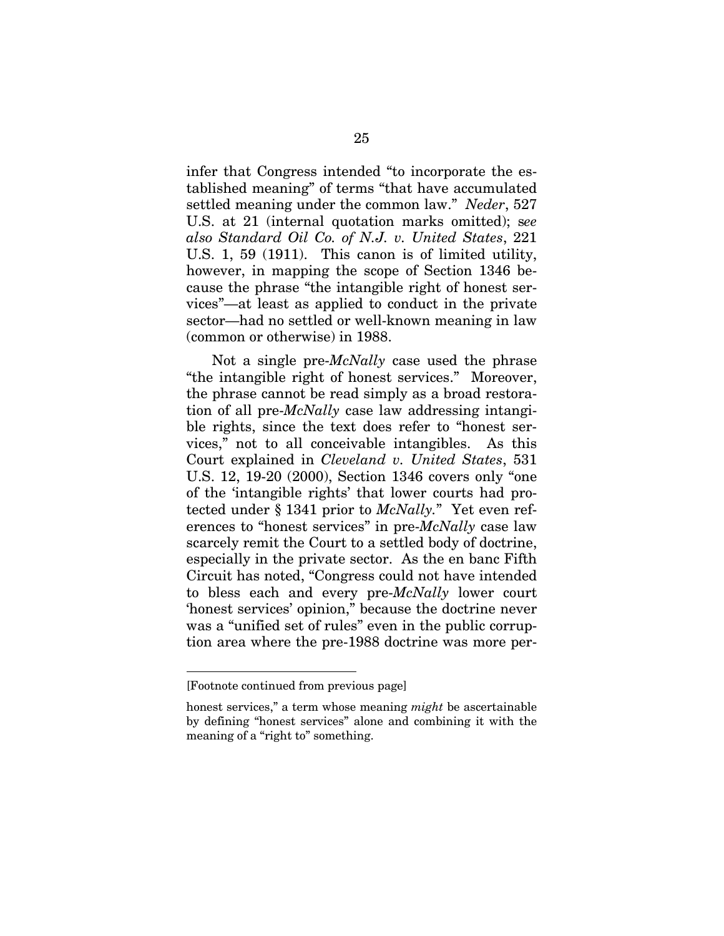infer that Congress intended "to incorporate the established meaning" of terms "that have accumulated settled meaning under the common law." *Neder*, 527 U.S. at 21 (internal quotation marks omitted); s*ee also Standard Oil Co. of N.J. v. United States*, 221 U.S. 1, 59 (1911). This canon is of limited utility, however, in mapping the scope of Section 1346 because the phrase "the intangible right of honest services"—at least as applied to conduct in the private sector—had no settled or well-known meaning in law (common or otherwise) in 1988.

Not a single pre-*McNally* case used the phrase "the intangible right of honest services." Moreover, the phrase cannot be read simply as a broad restoration of all pre-*McNally* case law addressing intangible rights, since the text does refer to "honest services," not to all conceivable intangibles. As this Court explained in *Cleveland v. United States*, 531 U.S. 12, 19-20 (2000), Section 1346 covers only "one of the 'intangible rights' that lower courts had protected under § 1341 prior to *McNally.*" Yet even references to "honest services" in pre-*McNally* case law scarcely remit the Court to a settled body of doctrine, especially in the private sector. As the en banc Fifth Circuit has noted, "Congress could not have intended to bless each and every pre-*McNally* lower court 'honest services' opinion," because the doctrine never was a "unified set of rules" even in the public corruption area where the pre-1988 doctrine was more per-

l

<sup>[</sup>Footnote continued from previous page]

honest services," a term whose meaning *might* be ascertainable by defining "honest services" alone and combining it with the meaning of a "right to" something.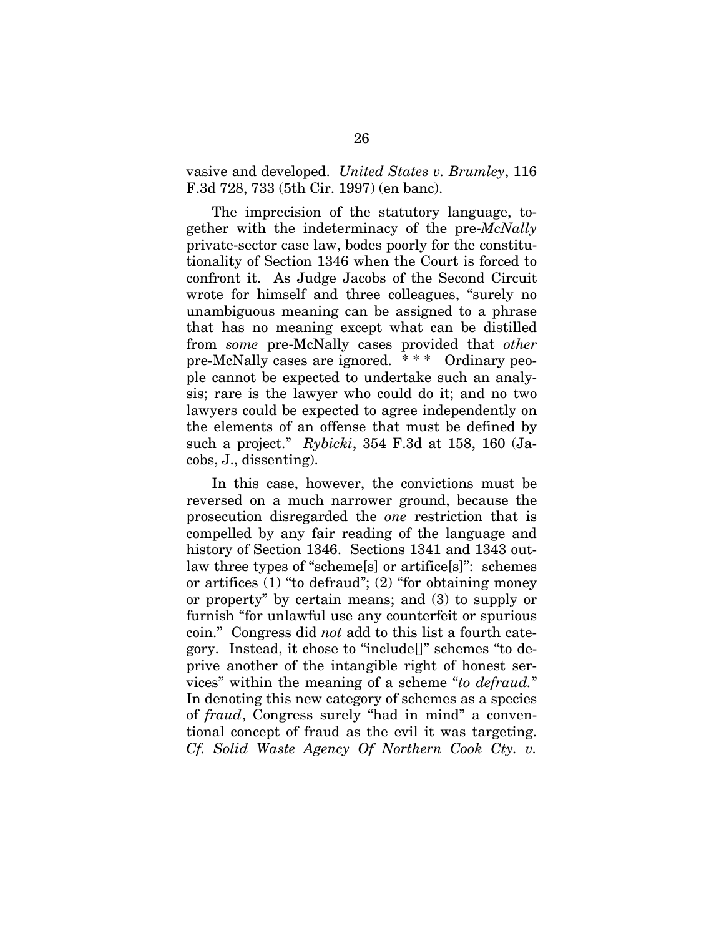vasive and developed. *United States v. Brumley*, 116 F.3d 728, 733 (5th Cir. 1997) (en banc).

The imprecision of the statutory language, together with the indeterminacy of the pre-*McNally* private-sector case law, bodes poorly for the constitutionality of Section 1346 when the Court is forced to confront it. As Judge Jacobs of the Second Circuit wrote for himself and three colleagues, "surely no unambiguous meaning can be assigned to a phrase that has no meaning except what can be distilled from *some* pre-McNally cases provided that *other* pre-McNally cases are ignored. \* \* \* Ordinary people cannot be expected to undertake such an analysis; rare is the lawyer who could do it; and no two lawyers could be expected to agree independently on the elements of an offense that must be defined by such a project." *Rybicki*, 354 F.3d at 158, 160 (Jacobs, J., dissenting).

In this case, however, the convictions must be reversed on a much narrower ground, because the prosecution disregarded the *one* restriction that is compelled by any fair reading of the language and history of Section 1346. Sections 1341 and 1343 outlaw three types of "scheme[s] or artifice[s]": schemes or artifices (1) "to defraud"; (2) "for obtaining money or property" by certain means; and (3) to supply or furnish "for unlawful use any counterfeit or spurious coin." Congress did *not* add to this list a fourth category. Instead, it chose to "include[]" schemes "to deprive another of the intangible right of honest services" within the meaning of a scheme "*to defraud.*" In denoting this new category of schemes as a species of *fraud*, Congress surely "had in mind" a conventional concept of fraud as the evil it was targeting. *Cf. Solid Waste Agency Of Northern Cook Cty. v.*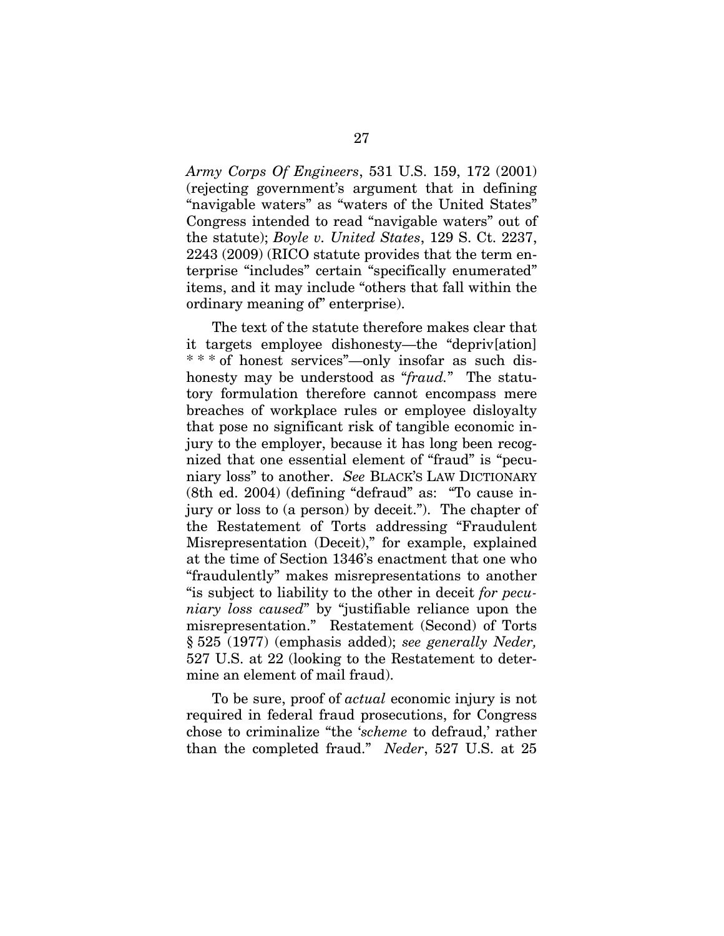*Army Corps Of Engineers*, 531 U.S. 159, 172 (2001) (rejecting government's argument that in defining "navigable waters" as "waters of the United States" Congress intended to read "navigable waters" out of the statute); *Boyle v. United States*, 129 S. Ct. 2237, 2243 (2009) (RICO statute provides that the term enterprise "includes" certain "specifically enumerated" items, and it may include "others that fall within the ordinary meaning of" enterprise).

The text of the statute therefore makes clear that it targets employee dishonesty—the "depriv[ation] \* \* \* of honest services"—only insofar as such dishonesty may be understood as "*fraud.*" The statutory formulation therefore cannot encompass mere breaches of workplace rules or employee disloyalty that pose no significant risk of tangible economic injury to the employer, because it has long been recognized that one essential element of "fraud" is "pecuniary loss" to another. *See* BLACK'S LAW DICTIONARY (8th ed. 2004) (defining "defraud" as: "To cause injury or loss to (a person) by deceit."). The chapter of the Restatement of Torts addressing "Fraudulent Misrepresentation (Deceit)," for example, explained at the time of Section 1346's enactment that one who "fraudulently" makes misrepresentations to another "is subject to liability to the other in deceit *for pecuniary loss caused*" by "justifiable reliance upon the misrepresentation." Restatement (Second) of Torts § 525 (1977) (emphasis added); *see generally Neder,*  527 U.S. at 22 (looking to the Restatement to determine an element of mail fraud).

To be sure, proof of *actual* economic injury is not required in federal fraud prosecutions, for Congress chose to criminalize "the '*scheme* to defraud,' rather than the completed fraud." *Neder*, 527 U.S. at 25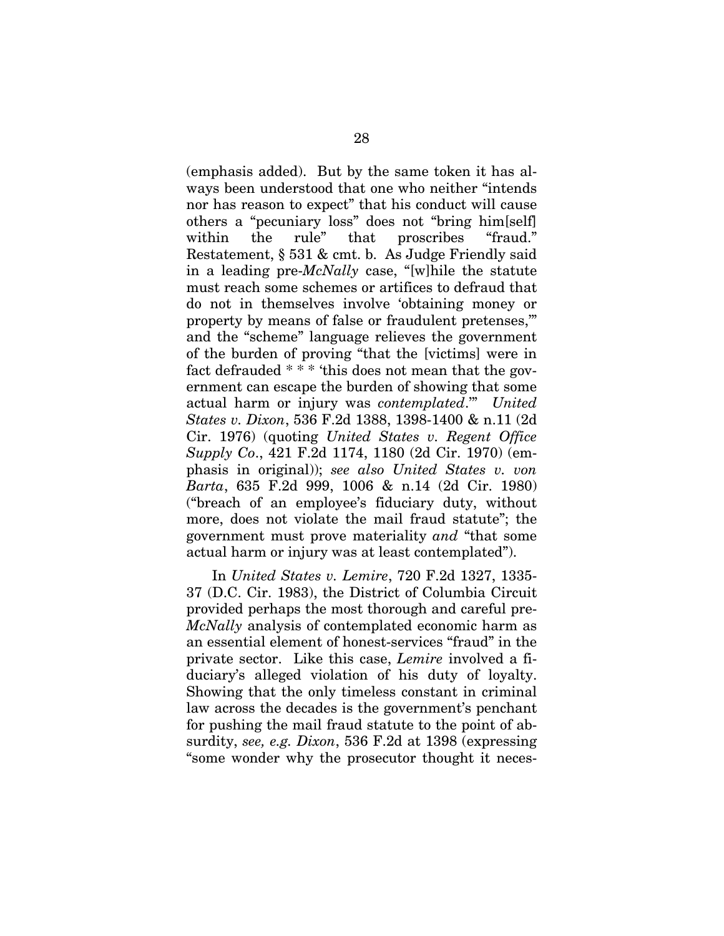(emphasis added). But by the same token it has always been understood that one who neither "intends nor has reason to expect" that his conduct will cause others a "pecuniary loss" does not "bring him[self] within the rule" that proscribes "fraud." Restatement, § 531 & cmt. b. As Judge Friendly said in a leading pre-*McNally* case, "[w]hile the statute must reach some schemes or artifices to defraud that do not in themselves involve 'obtaining money or property by means of false or fraudulent pretenses,'" and the "scheme" language relieves the government of the burden of proving "that the [victims] were in fact defrauded \* \* \* 'this does not mean that the government can escape the burden of showing that some actual harm or injury was *contemplated*.'" *United States v. Dixon*, 536 F.2d 1388, 1398-1400 & n.11 (2d Cir. 1976) (quoting *United States v. Regent Office Supply Co*., 421 F.2d 1174, 1180 (2d Cir. 1970) (emphasis in original)); *see also United States v. von Barta*, 635 F.2d 999, 1006 & n.14 (2d Cir. 1980) ("breach of an employee's fiduciary duty, without more, does not violate the mail fraud statute"; the government must prove materiality *and* "that some actual harm or injury was at least contemplated").

In *United States v. Lemire*, 720 F.2d 1327, 1335- 37 (D.C. Cir. 1983), the District of Columbia Circuit provided perhaps the most thorough and careful pre-*McNally* analysis of contemplated economic harm as an essential element of honest-services "fraud" in the private sector. Like this case, *Lemire* involved a fiduciary's alleged violation of his duty of loyalty. Showing that the only timeless constant in criminal law across the decades is the government's penchant for pushing the mail fraud statute to the point of absurdity, *see, e.g. Dixon*, 536 F.2d at 1398 (expressing "some wonder why the prosecutor thought it neces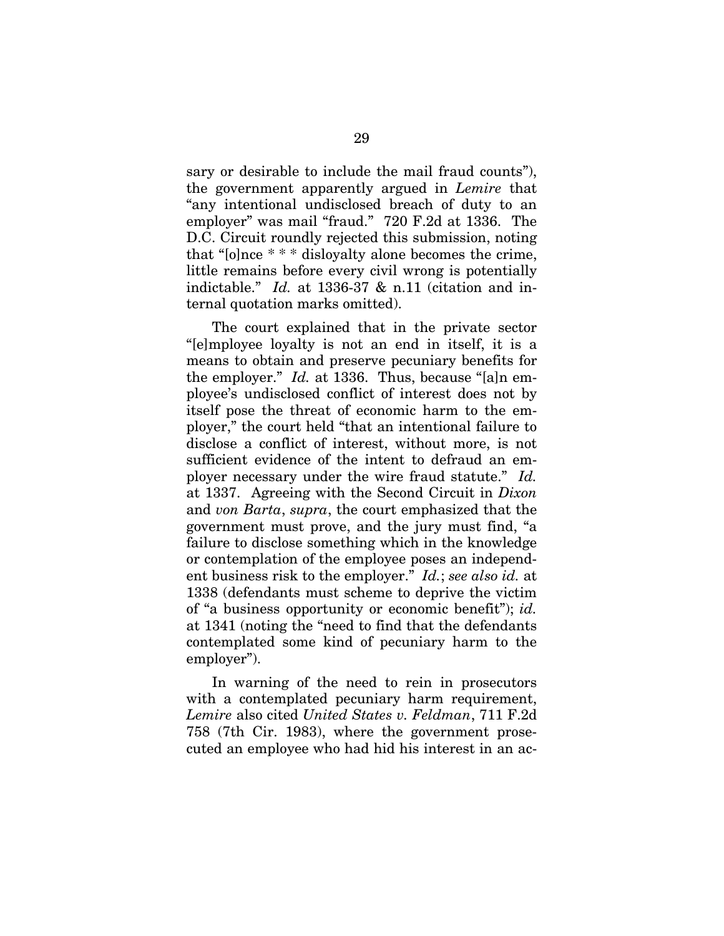sary or desirable to include the mail fraud counts"), the government apparently argued in *Lemire* that "any intentional undisclosed breach of duty to an employer" was mail "fraud." 720 F.2d at 1336. The D.C. Circuit roundly rejected this submission, noting that "[o]nce \* \* \* disloyalty alone becomes the crime, little remains before every civil wrong is potentially indictable." *Id.* at 1336-37 & n.11 (citation and internal quotation marks omitted).

The court explained that in the private sector "[e]mployee loyalty is not an end in itself, it is a means to obtain and preserve pecuniary benefits for the employer." *Id.* at 1336. Thus, because "[a]n employee's undisclosed conflict of interest does not by itself pose the threat of economic harm to the employer," the court held "that an intentional failure to disclose a conflict of interest, without more, is not sufficient evidence of the intent to defraud an employer necessary under the wire fraud statute." *Id.*  at 1337. Agreeing with the Second Circuit in *Dixon* and *von Barta*, *supra*, the court emphasized that the government must prove, and the jury must find, "a failure to disclose something which in the knowledge or contemplation of the employee poses an independent business risk to the employer." *Id.*; *see also id.* at 1338 (defendants must scheme to deprive the victim of "a business opportunity or economic benefit"); *id.*  at 1341 (noting the "need to find that the defendants contemplated some kind of pecuniary harm to the employer").

In warning of the need to rein in prosecutors with a contemplated pecuniary harm requirement, *Lemire* also cited *United States v. Feldman*, 711 F.2d 758 (7th Cir. 1983), where the government prosecuted an employee who had hid his interest in an ac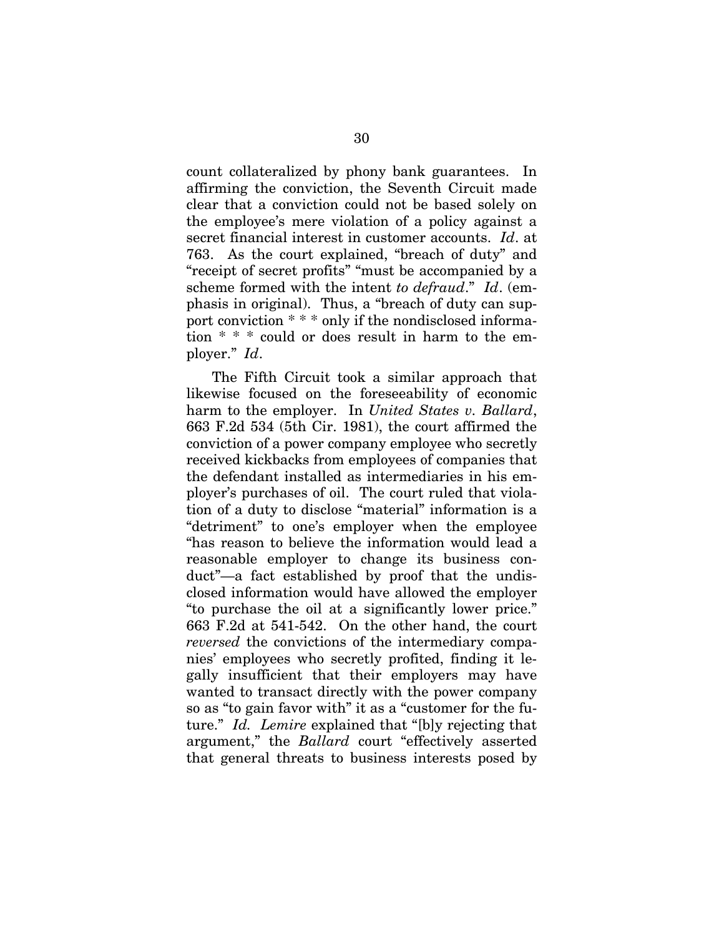count collateralized by phony bank guarantees. In affirming the conviction, the Seventh Circuit made clear that a conviction could not be based solely on the employee's mere violation of a policy against a secret financial interest in customer accounts. *Id*. at 763. As the court explained, "breach of duty" and "receipt of secret profits" "must be accompanied by a scheme formed with the intent *to defraud*." *Id*. (emphasis in original). Thus, a "breach of duty can support conviction \* \* \* only if the nondisclosed information \* \* \* could or does result in harm to the employer." *Id*.

The Fifth Circuit took a similar approach that likewise focused on the foreseeability of economic harm to the employer. In *United States v. Ballard*, 663 F.2d 534 (5th Cir. 1981), the court affirmed the conviction of a power company employee who secretly received kickbacks from employees of companies that the defendant installed as intermediaries in his employer's purchases of oil. The court ruled that violation of a duty to disclose "material" information is a "detriment" to one's employer when the employee "has reason to believe the information would lead a reasonable employer to change its business conduct"—a fact established by proof that the undisclosed information would have allowed the employer "to purchase the oil at a significantly lower price." 663 F.2d at 541-542. On the other hand, the court *reversed* the convictions of the intermediary companies' employees who secretly profited, finding it legally insufficient that their employers may have wanted to transact directly with the power company so as "to gain favor with" it as a "customer for the future." *Id. Lemire* explained that "[b]y rejecting that argument," the *Ballard* court "effectively asserted that general threats to business interests posed by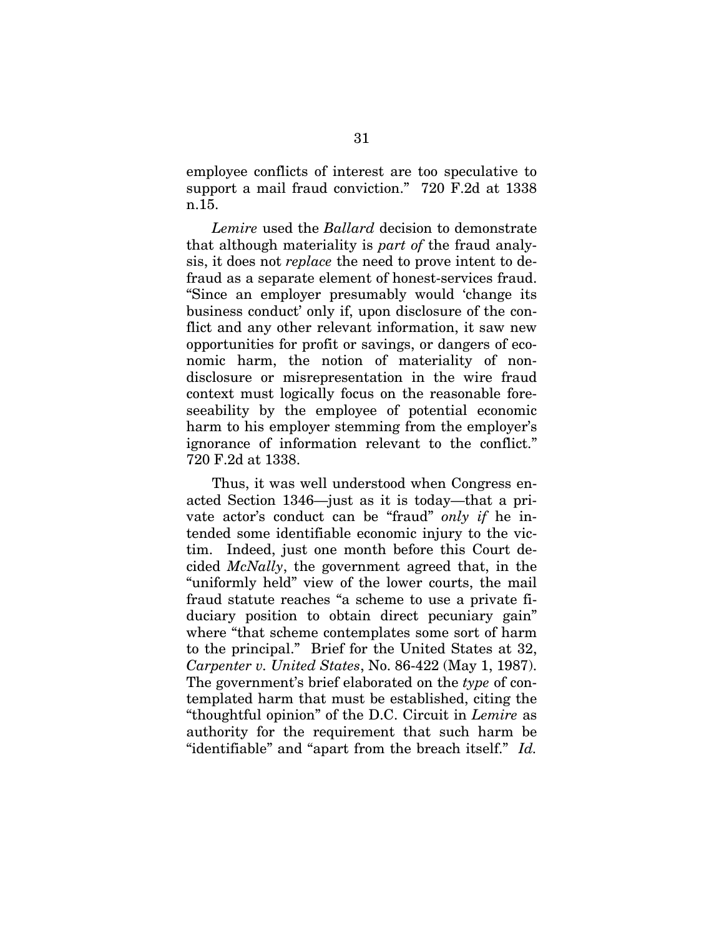employee conflicts of interest are too speculative to support a mail fraud conviction." 720 F.2d at 1338 n.15.

*Lemire* used the *Ballard* decision to demonstrate that although materiality is *part of* the fraud analysis, it does not *replace* the need to prove intent to defraud as a separate element of honest-services fraud. "Since an employer presumably would 'change its business conduct' only if, upon disclosure of the conflict and any other relevant information, it saw new opportunities for profit or savings, or dangers of economic harm, the notion of materiality of nondisclosure or misrepresentation in the wire fraud context must logically focus on the reasonable foreseeability by the employee of potential economic harm to his employer stemming from the employer's ignorance of information relevant to the conflict." 720 F.2d at 1338.

Thus, it was well understood when Congress enacted Section 1346—just as it is today—that a private actor's conduct can be "fraud" *only if* he intended some identifiable economic injury to the victim. Indeed, just one month before this Court decided *McNally*, the government agreed that, in the "uniformly held" view of the lower courts, the mail fraud statute reaches "a scheme to use a private fiduciary position to obtain direct pecuniary gain" where "that scheme contemplates some sort of harm to the principal." Brief for the United States at 32, *Carpenter v. United States*, No. 86-422 (May 1, 1987). The government's brief elaborated on the *type* of contemplated harm that must be established, citing the "thoughtful opinion" of the D.C. Circuit in *Lemire* as authority for the requirement that such harm be "identifiable" and "apart from the breach itself." *Id.*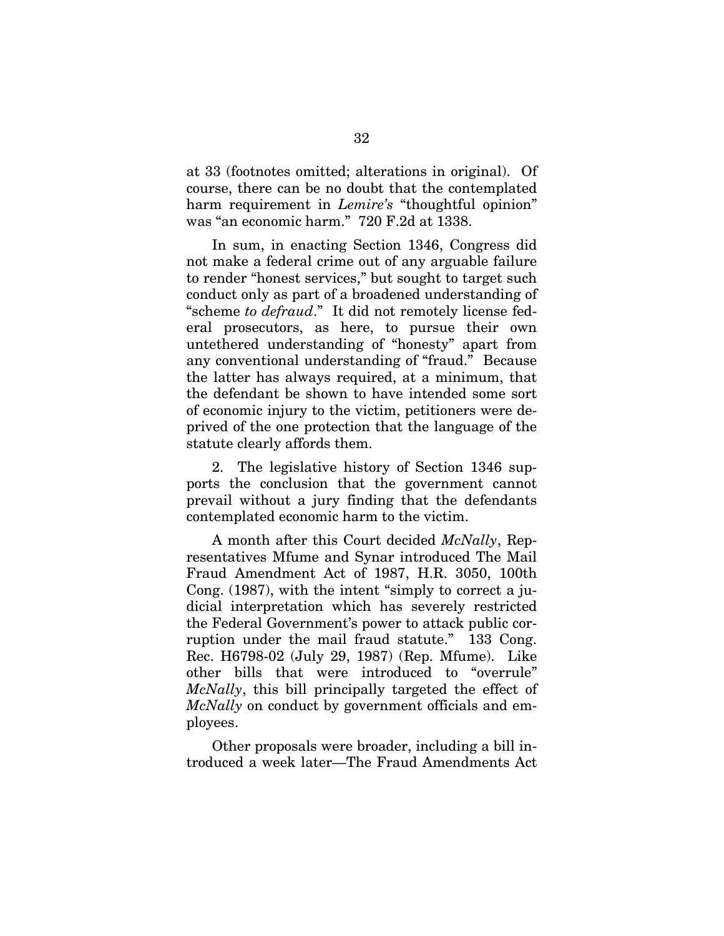at 33 (footnotes omitted; alterations in original). Of course, there can be no doubt that the contemplated harm requirement in *Lemire's* "thoughtful opinion" was "an economic harm." 720 F.2d at 1338.

In sum, in enacting Section 1346, Congress did not make a federal crime out of any arguable failure to render "honest services," but sought to target such conduct only as part of a broadened understanding of "scheme *to defraud*." It did not remotely license federal prosecutors, as here, to pursue their own untethered understanding of "honesty" apart from any conventional understanding of "fraud." Because the latter has always required, at a minimum, that the defendant be shown to have intended some sort of economic injury to the victim, petitioners were deprived of the one protection that the language of the statute clearly affords them.

2. The legislative history of Section 1346 supports the conclusion that the government cannot prevail without a jury finding that the defendants contemplated economic harm to the victim.

A month after this Court decided *McNally*, Representatives Mfume and Synar introduced The Mail Fraud Amendment Act of 1987, H.R. 3050, 100th Cong. (1987), with the intent "simply to correct a judicial interpretation which has severely restricted the Federal Government's power to attack public corruption under the mail fraud statute." 133 Cong. Rec. H6798-02 (July 29, 1987) (Rep. Mfume). Like other bills that were introduced to "overrule" *McNally*, this bill principally targeted the effect of *McNally* on conduct by government officials and employees.

Other proposals were broader, including a bill introduced a week later—The Fraud Amendments Act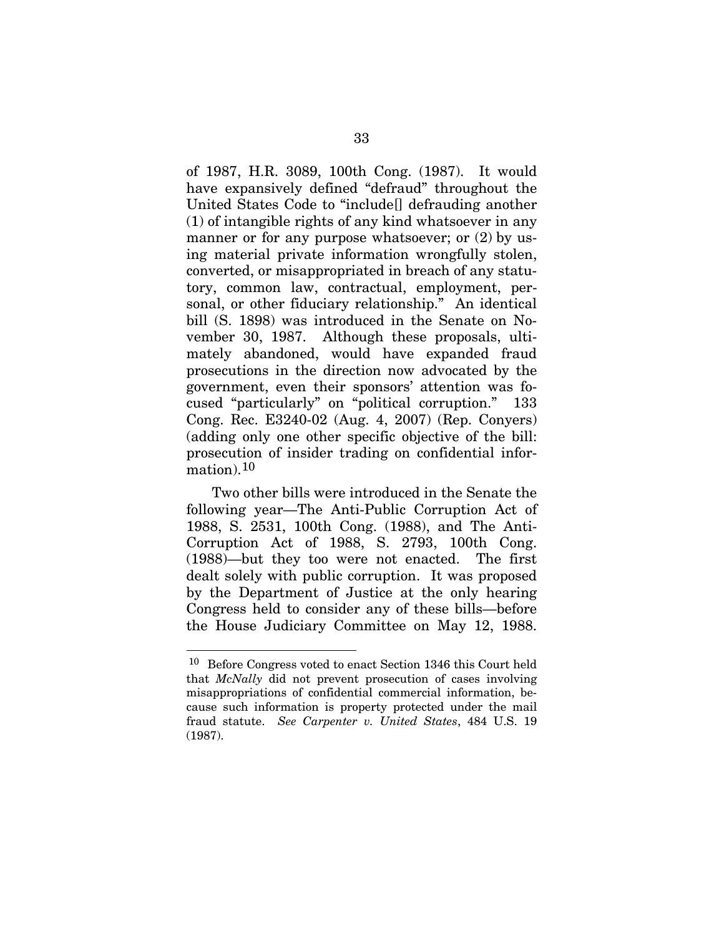of 1987, H.R. 3089, 100th Cong. (1987). It would have expansively defined "defraud" throughout the United States Code to "include[] defrauding another (1) of intangible rights of any kind whatsoever in any manner or for any purpose whatsoever; or  $(2)$  by using material private information wrongfully stolen, converted, or misappropriated in breach of any statutory, common law, contractual, employment, personal, or other fiduciary relationship." An identical bill (S. 1898) was introduced in the Senate on November 30, 1987. Although these proposals, ultimately abandoned, would have expanded fraud prosecutions in the direction now advocated by the government, even their sponsors' attention was focused "particularly" on "political corruption." 133 Cong. Rec. E3240-02 (Aug. 4, 2007) (Rep. Conyers) (adding only one other specific objective of the bill: prosecution of insider trading on confidential information).[1](#page-49-0)0

Two other bills were introduced in the Senate the following year—The Anti-Public Corruption Act of 1988, S. 2531, 100th Cong. (1988), and The Anti-Corruption Act of 1988, S. 2793, 100th Cong. (1988)—but they too were not enacted. The first dealt solely with public corruption. It was proposed by the Department of Justice at the only hearing Congress held to consider any of these bills—before the House Judiciary Committee on May 12, 1988.

 $\overline{a}$ 

<span id="page-49-0"></span><sup>10</sup> Before Congress voted to enact Section 1346 this Court held that *McNally* did not prevent prosecution of cases involving misappropriations of confidential commercial information, because such information is property protected under the mail fraud statute. *See Carpenter v. United States*, 484 U.S. 19 (1987).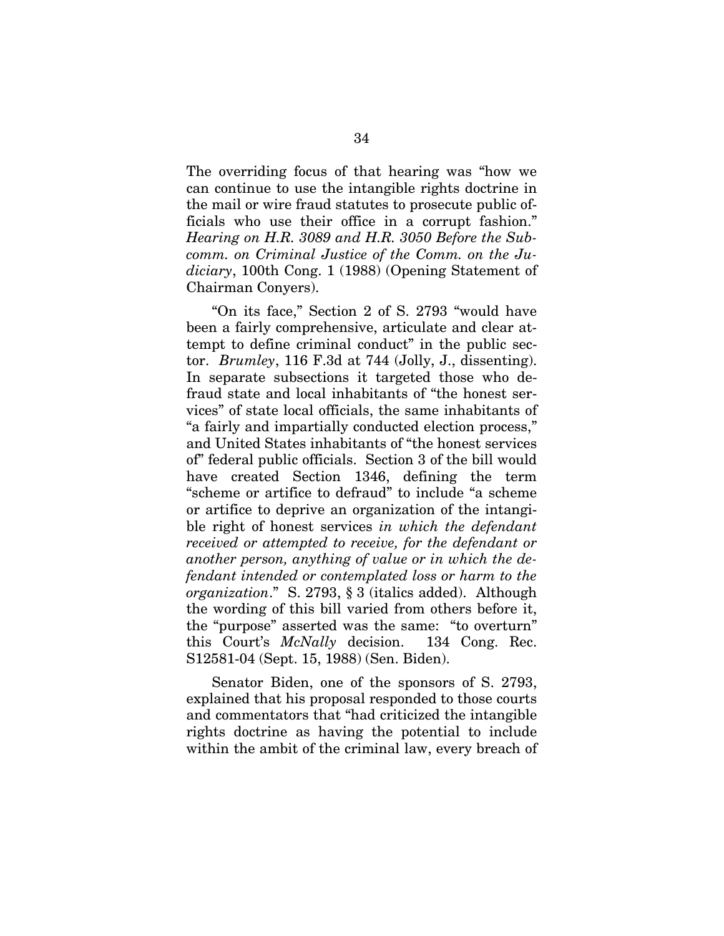The overriding focus of that hearing was "how we can continue to use the intangible rights doctrine in the mail or wire fraud statutes to prosecute public officials who use their office in a corrupt fashion." *Hearing on H.R. 3089 and H.R. 3050 Before the Subcomm. on Criminal Justice of the Comm. on the Judiciary*, 100th Cong. 1 (1988) (Opening Statement of Chairman Conyers).

"On its face," Section 2 of S. 2793 "would have been a fairly comprehensive, articulate and clear attempt to define criminal conduct" in the public sector. *Brumley*, 116 F.3d at 744 (Jolly, J., dissenting). In separate subsections it targeted those who defraud state and local inhabitants of "the honest services" of state local officials, the same inhabitants of "a fairly and impartially conducted election process," and United States inhabitants of "the honest services of" federal public officials. Section 3 of the bill would have created Section 1346, defining the term "scheme or artifice to defraud" to include "a scheme or artifice to deprive an organization of the intangible right of honest services *in which the defendant received or attempted to receive, for the defendant or another person, anything of value or in which the defendant intended or contemplated loss or harm to the organization*." S. 2793, § 3 (italics added). Although the wording of this bill varied from others before it, the "purpose" asserted was the same: "to overturn" this Court's *McNally* decision. 134 Cong. Rec. S12581-04 (Sept. 15, 1988) (Sen. Biden).

Senator Biden, one of the sponsors of S. 2793, explained that his proposal responded to those courts and commentators that "had criticized the intangible rights doctrine as having the potential to include within the ambit of the criminal law, every breach of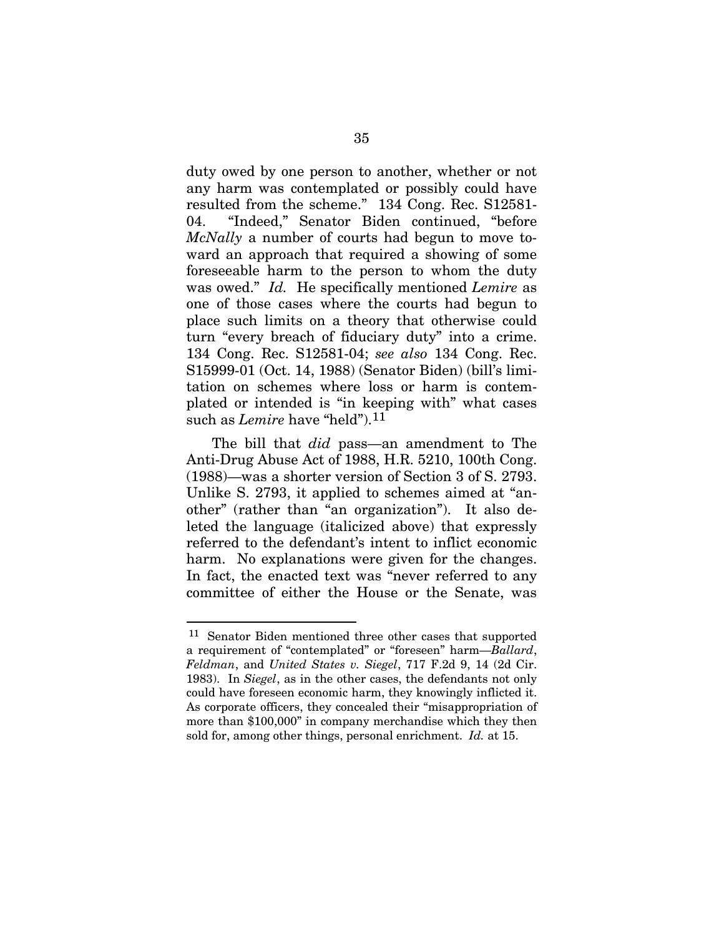duty owed by one person to another, whether or not any harm was contemplated or possibly could have resulted from the scheme." 134 Cong. Rec. S12581- 04. "Indeed," Senator Biden continued, "before *McNally* a number of courts had begun to move toward an approach that required a showing of some foreseeable harm to the person to whom the duty was owed." *Id.* He specifically mentioned *Lemire* as one of those cases where the courts had begun to place such limits on a theory that otherwise could turn "every breach of fiduciary duty" into a crime. 134 Cong. Rec. S12581-04; *see also* 134 Cong. Rec. S15999-01 (Oct. 14, 1988) (Senator Biden) (bill's limitation on schemes where loss or harm is contemplated or intended is "in keeping with" what cases such as *Lemire* have "held").<sup>[11](#page-51-0)</sup>

The bill that *did* pass—an amendment to The Anti-Drug Abuse Act of 1988, H.R. 5210, 100th Cong. (1988)—was a shorter version of Section 3 of S. 2793. Unlike S. 2793, it applied to schemes aimed at "another" (rather than "an organization"). It also deleted the language (italicized above) that expressly referred to the defendant's intent to inflict economic harm. No explanations were given for the changes. In fact, the enacted text was "never referred to any committee of either the House or the Senate, was

 $\overline{a}$ 

<span id="page-51-0"></span><sup>11</sup> Senator Biden mentioned three other cases that supported a requirement of "contemplated" or "foreseen" harm—*Ballard*, *Feldman*, and *United States v. Siegel*, 717 F.2d 9, 14 (2d Cir. 1983). In *Siegel*, as in the other cases, the defendants not only could have foreseen economic harm, they knowingly inflicted it. As corporate officers, they concealed their "misappropriation of more than \$100,000" in company merchandise which they then sold for, among other things, personal enrichment. *Id.* at 15.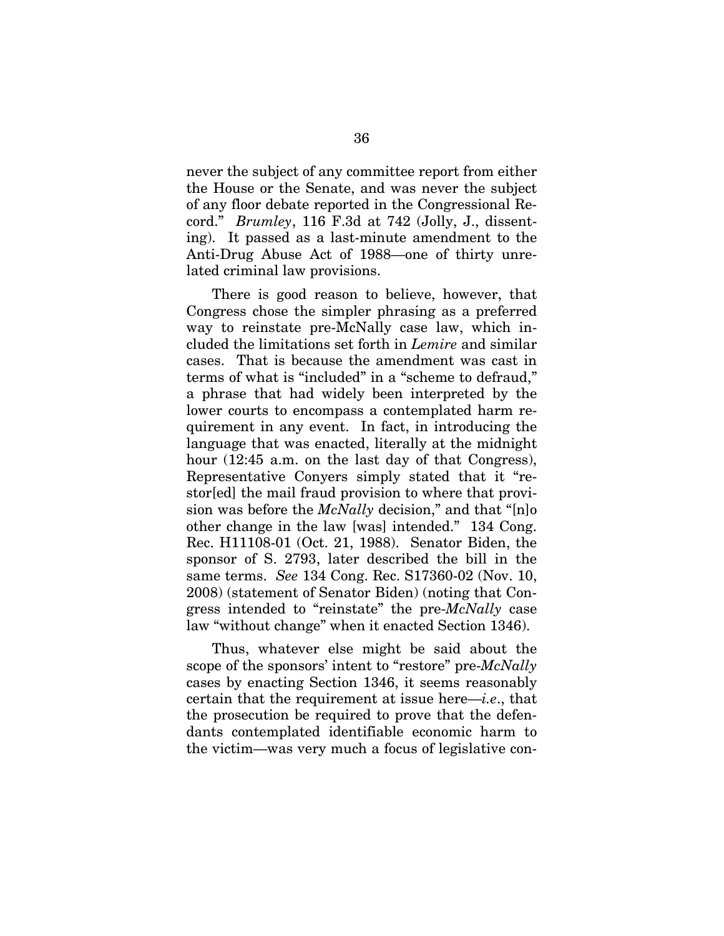never the subject of any committee report from either the House or the Senate, and was never the subject of any floor debate reported in the Congressional Record." *Brumley*, 116 F.3d at 742 (Jolly, J., dissenting). It passed as a last-minute amendment to the Anti-Drug Abuse Act of 1988—one of thirty unrelated criminal law provisions.

There is good reason to believe, however, that Congress chose the simpler phrasing as a preferred way to reinstate pre-McNally case law, which included the limitations set forth in *Lemire* and similar cases. That is because the amendment was cast in terms of what is "included" in a "scheme to defraud," a phrase that had widely been interpreted by the lower courts to encompass a contemplated harm requirement in any event. In fact, in introducing the language that was enacted, literally at the midnight hour (12:45 a.m. on the last day of that Congress), Representative Conyers simply stated that it "restor[ed] the mail fraud provision to where that provision was before the *McNally* decision," and that "[n]o other change in the law [was] intended." 134 Cong. Rec. H11108-01 (Oct. 21, 1988). Senator Biden, the sponsor of S. 2793, later described the bill in the same terms. *See* 134 Cong. Rec. S17360-02 (Nov. 10, 2008) (statement of Senator Biden) (noting that Congress intended to "reinstate" the pre-*McNally* case law "without change" when it enacted Section 1346).

Thus, whatever else might be said about the scope of the sponsors' intent to "restore" pre-*McNally* cases by enacting Section 1346, it seems reasonably certain that the requirement at issue here—*i.e*., that the prosecution be required to prove that the defendants contemplated identifiable economic harm to the victim—was very much a focus of legislative con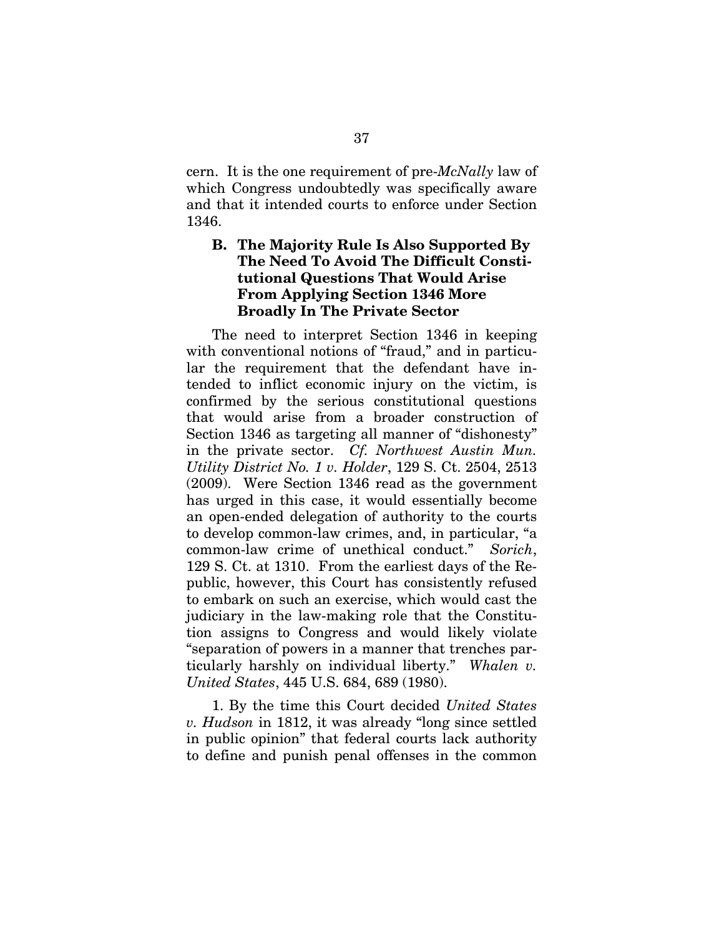cern. It is the one requirement of pre-*McNally* law of which Congress undoubtedly was specifically aware and that it intended courts to enforce under Section 1346.

## **B. The Majority Rule Is Also Supported By The Need To Avoid The Difficult Constitutional Questions That Would Arise From Applying Section 1346 More Broadly In The Private Sector**

The need to interpret Section 1346 in keeping with conventional notions of "fraud," and in particular the requirement that the defendant have intended to inflict economic injury on the victim, is confirmed by the serious constitutional questions that would arise from a broader construction of Section 1346 as targeting all manner of "dishonesty" in the private sector. *Cf. Northwest Austin Mun. Utility District No. 1 v. Holder*, 129 S. Ct. 2504, 2513 (2009). Were Section 1346 read as the government has urged in this case, it would essentially become an open-ended delegation of authority to the courts to develop common-law crimes, and, in particular, "a common-law crime of unethical conduct." *Sorich*, 129 S. Ct. at 1310. From the earliest days of the Republic, however, this Court has consistently refused to embark on such an exercise, which would cast the judiciary in the law-making role that the Constitution assigns to Congress and would likely violate "separation of powers in a manner that trenches particularly harshly on individual liberty." *Whalen v. United States*, 445 U.S. 684, 689 (1980).

1. By the time this Court decided *United States v. Hudson* in 1812, it was already "long since settled in public opinion" that federal courts lack authority to define and punish penal offenses in the common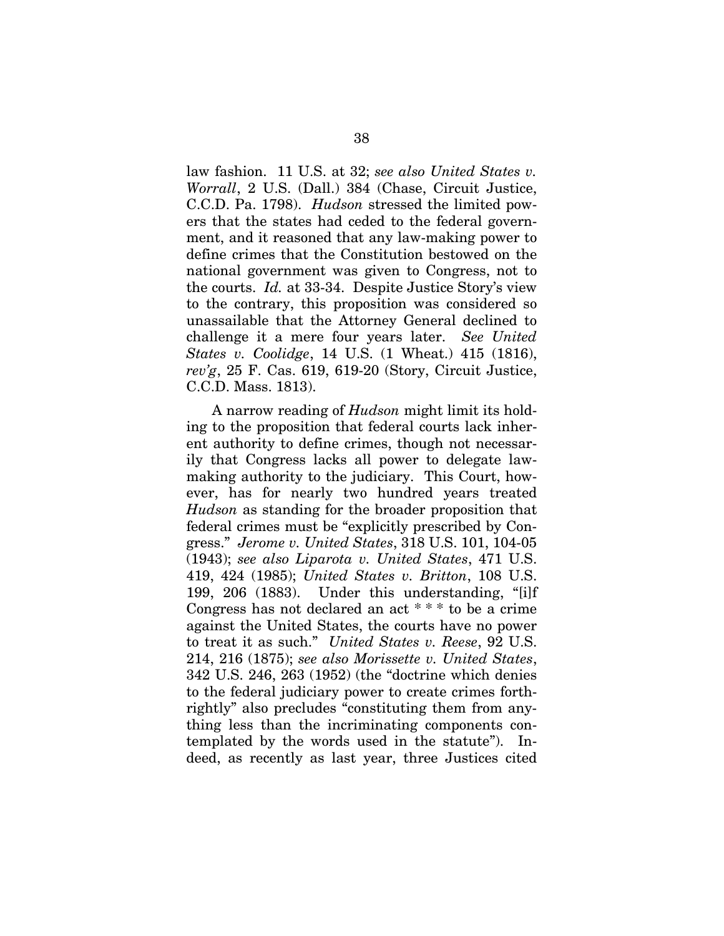law fashion. 11 U.S. at 32; *see also United States v. Worrall*, 2 U.S. (Dall.) 384 (Chase, Circuit Justice, C.C.D. Pa. 1798). *Hudson* stressed the limited powers that the states had ceded to the federal government, and it reasoned that any law-making power to define crimes that the Constitution bestowed on the national government was given to Congress, not to the courts. *Id.* at 33-34. Despite Justice Story's view to the contrary, this proposition was considered so unassailable that the Attorney General declined to challenge it a mere four years later. *See United States v. Coolidge*, 14 U.S. (1 Wheat.) 415 (1816), *rev'g*, 25 F. Cas. 619, 619-20 (Story, Circuit Justice, C.C.D. Mass. 1813).

A narrow reading of *Hudson* might limit its holding to the proposition that federal courts lack inherent authority to define crimes, though not necessarily that Congress lacks all power to delegate lawmaking authority to the judiciary. This Court, however, has for nearly two hundred years treated *Hudson* as standing for the broader proposition that federal crimes must be "explicitly prescribed by Congress." *Jerome v. United States*, 318 U.S. 101, 104-05 (1943); *see also Liparota v. United States*, 471 U.S. 419, 424 (1985); *United States v. Britton*, 108 U.S. 199, 206 (1883). Under this understanding, "[i]f Congress has not declared an act \* \* \* to be a crime against the United States, the courts have no power to treat it as such." *United States v. Reese*, 92 U.S. 214, 216 (1875); *see also Morissette v. United States*, 342 U.S. 246, 263 (1952) (the "doctrine which denies to the federal judiciary power to create crimes forthrightly" also precludes "constituting them from anything less than the incriminating components contemplated by the words used in the statute"). Indeed, as recently as last year, three Justices cited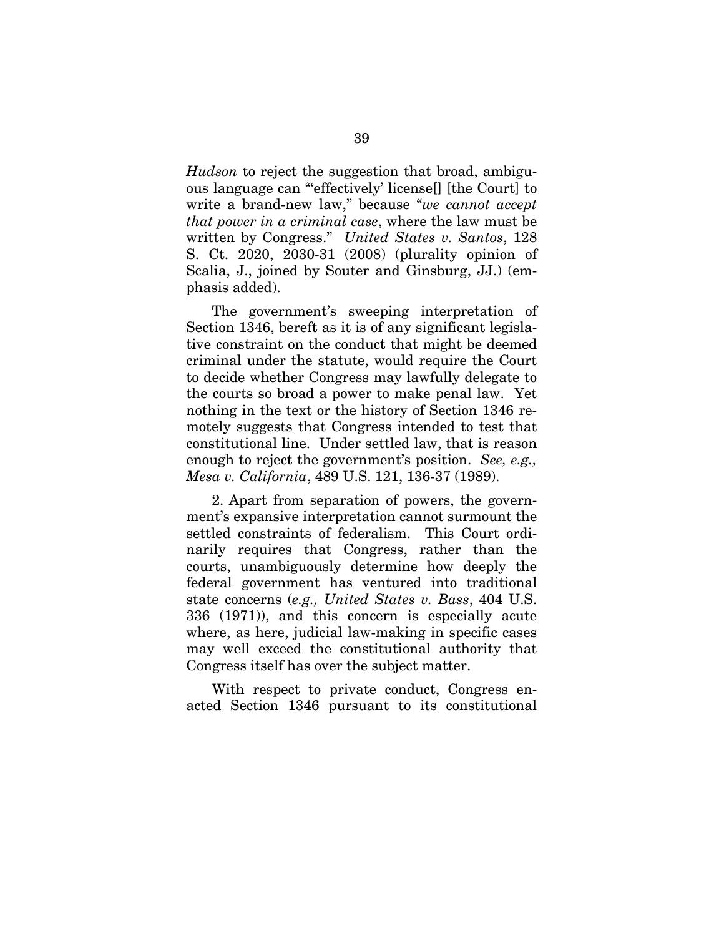*Hudson* to reject the suggestion that broad, ambiguous language can "'effectively' license[] [the Court] to write a brand-new law," because "*we cannot accept that power in a criminal case*, where the law must be written by Congress." *United States v. Santos*, 128 S. Ct. 2020, 2030-31 (2008) (plurality opinion of Scalia, J., joined by Souter and Ginsburg, JJ.) (emphasis added).

The government's sweeping interpretation of Section 1346, bereft as it is of any significant legislative constraint on the conduct that might be deemed criminal under the statute, would require the Court to decide whether Congress may lawfully delegate to the courts so broad a power to make penal law. Yet nothing in the text or the history of Section 1346 remotely suggests that Congress intended to test that constitutional line. Under settled law, that is reason enough to reject the government's position. *See, e.g., Mesa v. California*, 489 U.S. 121, 136-37 (1989).

2. Apart from separation of powers, the government's expansive interpretation cannot surmount the settled constraints of federalism. This Court ordinarily requires that Congress, rather than the courts, unambiguously determine how deeply the federal government has ventured into traditional state concerns (*e.g., United States v. Bass*, 404 U.S. 336 (1971)), and this concern is especially acute where, as here, judicial law-making in specific cases may well exceed the constitutional authority that Congress itself has over the subject matter.

With respect to private conduct, Congress enacted Section 1346 pursuant to its constitutional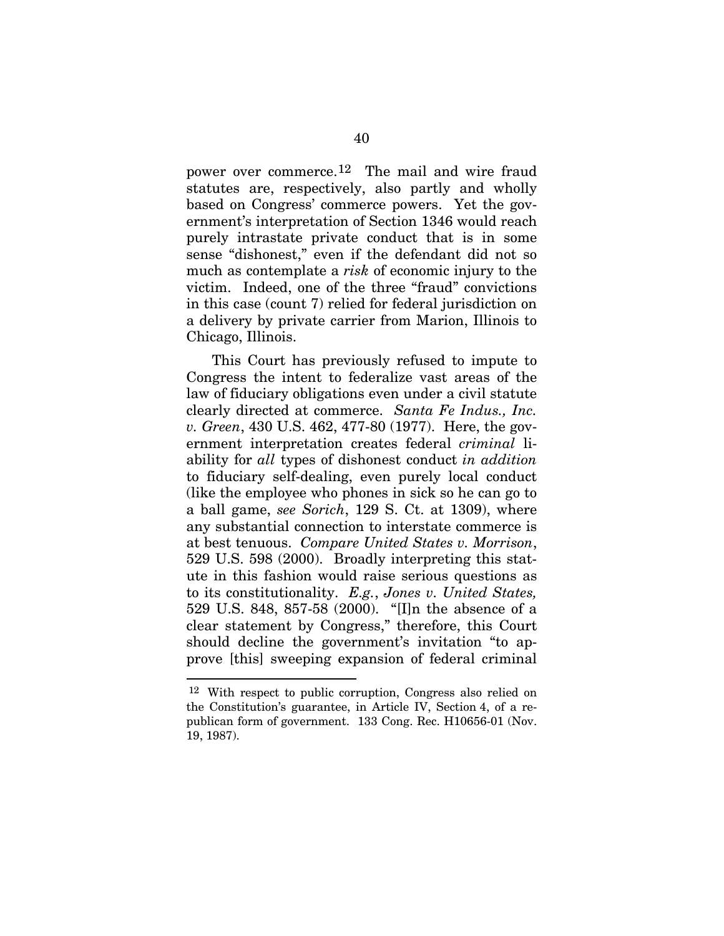power over commerce.[12](#page-56-0) The mail and wire fraud statutes are, respectively, also partly and wholly based on Congress' commerce powers. Yet the government's interpretation of Section 1346 would reach purely intrastate private conduct that is in some sense "dishonest," even if the defendant did not so much as contemplate a *risk* of economic injury to the victim. Indeed, one of the three "fraud" convictions in this case (count 7) relied for federal jurisdiction on a delivery by private carrier from Marion, Illinois to Chicago, Illinois.

This Court has previously refused to impute to Congress the intent to federalize vast areas of the law of fiduciary obligations even under a civil statute clearly directed at commerce. *Santa Fe Indus., Inc. v. Green*, 430 U.S. 462, 477-80 (1977). Here, the government interpretation creates federal *criminal* liability for *all* types of dishonest conduct *in addition* to fiduciary self-dealing, even purely local conduct (like the employee who phones in sick so he can go to a ball game, *see Sorich*, 129 S. Ct. at 1309), where any substantial connection to interstate commerce is at best tenuous. *Compare United States v. Morrison*, 529 U.S. 598 (2000). Broadly interpreting this statute in this fashion would raise serious questions as to its constitutionality. *E.g.*, *Jones v. United States,* 529 U.S. 848, 857-58 (2000). "[I]n the absence of a clear statement by Congress," therefore, this Court should decline the government's invitation "to approve [this] sweeping expansion of federal criminal

 $\overline{a}$ 

<span id="page-56-0"></span><sup>12</sup> With respect to public corruption, Congress also relied on the Constitution's guarantee, in Article IV, Section 4, of a republican form of government. 133 Cong. Rec. H10656-01 (Nov. 19, 1987).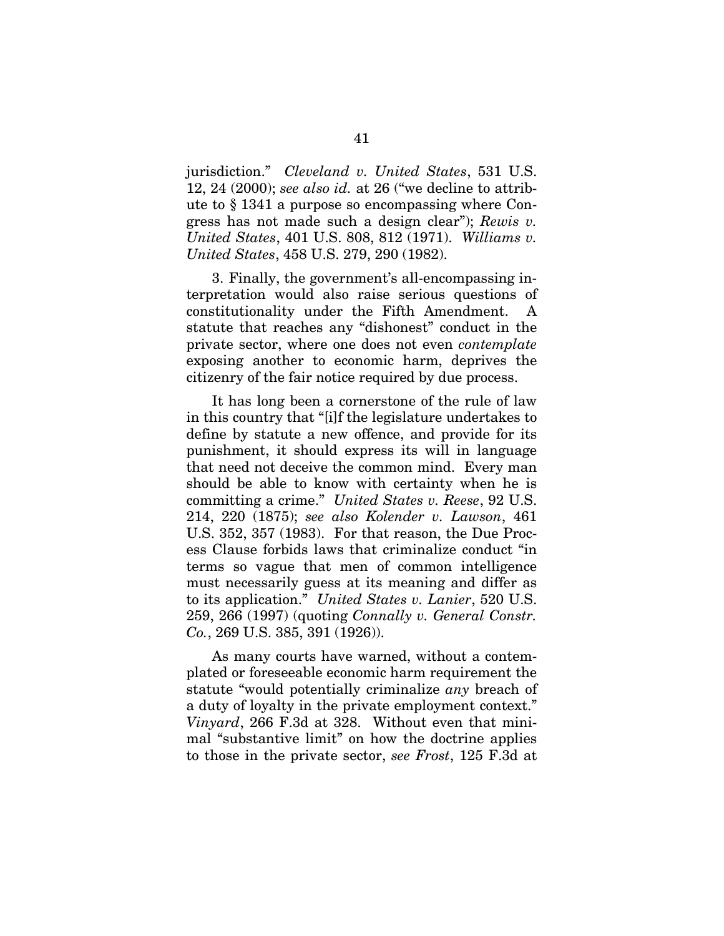jurisdiction." *Cleveland v. United States*, 531 U.S. 12, 24 (2000); *see also id.* at 26 ("we decline to attribute to § 1341 a purpose so encompassing where Congress has not made such a design clear"); *Rewis v. United States*, 401 U.S. 808, 812 (1971). *Williams v. United States*, 458 U.S. 279, 290 (1982).

3. Finally, the government's all-encompassing interpretation would also raise serious questions of constitutionality under the Fifth Amendment. A statute that reaches any "dishonest" conduct in the private sector, where one does not even *contemplate* exposing another to economic harm, deprives the citizenry of the fair notice required by due process.

It has long been a cornerstone of the rule of law in this country that "[i]f the legislature undertakes to define by statute a new offence, and provide for its punishment, it should express its will in language that need not deceive the common mind. Every man should be able to know with certainty when he is committing a crime." *United States v. Reese*, 92 U.S. 214, 220 (1875); *see also Kolender v. Lawson*, 461 U.S. 352, 357 (1983). For that reason, the Due Process Clause forbids laws that criminalize conduct "in terms so vague that men of common intelligence must necessarily guess at its meaning and differ as to its application." *United States v. Lanier*, 520 U.S. 259, 266 (1997) (quoting *Connally v. General Constr. Co.*, 269 U.S. 385, 391 (1926)).

As many courts have warned, without a contemplated or foreseeable economic harm requirement the statute "would potentially criminalize *any* breach of a duty of loyalty in the private employment context." *Vinyard*, 266 F.3d at 328. Without even that minimal "substantive limit" on how the doctrine applies to those in the private sector, *see Frost*, 125 F.3d at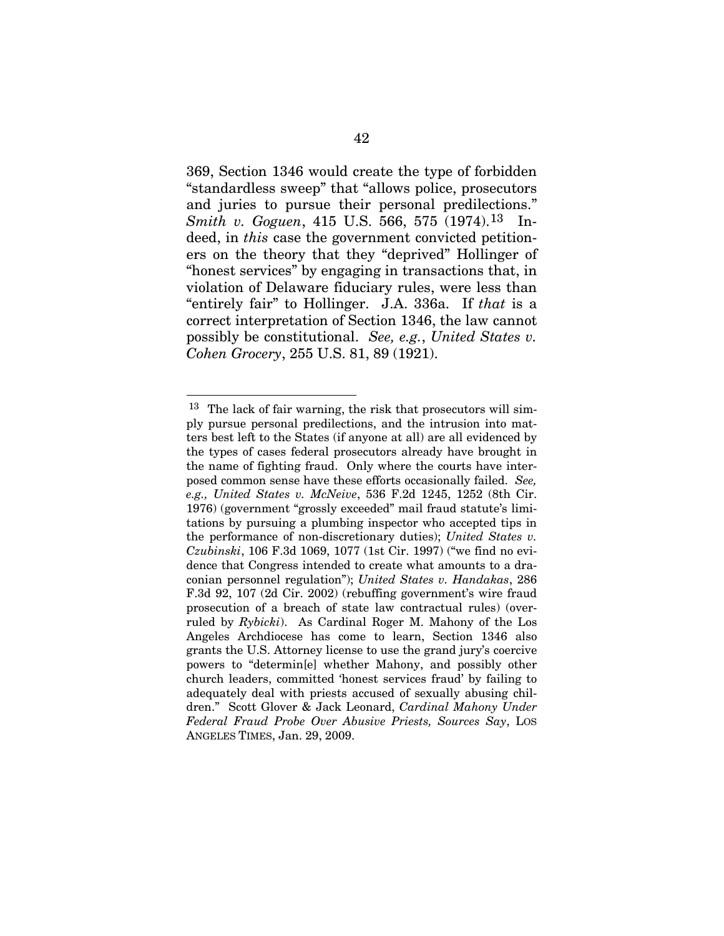369, Section 1346 would create the type of forbidden "standardless sweep" that "allows police, prosecutors and juries to pursue their personal predilections." *Smith v. Goguen, 4[1](#page-58-0)5 U.S. 566, 575 (1974).*<sup>13</sup> Indeed, in *this* case the government convicted petitioners on the theory that they "deprived" Hollinger of "honest services" by engaging in transactions that, in violation of Delaware fiduciary rules, were less than "entirely fair" to Hollinger. J.A. 336a. If *that* is a correct interpretation of Section 1346, the law cannot possibly be constitutional. *See, e.g.*, *United States v. Cohen Grocery*, 255 U.S. 81, 89 (1921).

 $\overline{a}$ 

<span id="page-58-0"></span><sup>13</sup> The lack of fair warning, the risk that prosecutors will simply pursue personal predilections, and the intrusion into matters best left to the States (if anyone at all) are all evidenced by the types of cases federal prosecutors already have brought in the name of fighting fraud. Only where the courts have interposed common sense have these efforts occasionally failed. *See, e.g., United States v. McNeive*, 536 F.2d 1245, 1252 (8th Cir. 1976) (government "grossly exceeded" mail fraud statute's limitations by pursuing a plumbing inspector who accepted tips in the performance of non-discretionary duties); *United States v. Czubinski*, 106 F.3d 1069, 1077 (1st Cir. 1997) ("we find no evidence that Congress intended to create what amounts to a draconian personnel regulation"); *United States v. Handakas*, 286 F.3d 92, 107 (2d Cir. 2002) (rebuffing government's wire fraud prosecution of a breach of state law contractual rules) (overruled by *Rybicki*). As Cardinal Roger M. Mahony of the Los Angeles Archdiocese has come to learn, Section 1346 also grants the U.S. Attorney license to use the grand jury's coercive powers to "determin[e] whether Mahony, and possibly other church leaders, committed 'honest services fraud' by failing to adequately deal with priests accused of sexually abusing children." Scott Glover & Jack Leonard, *Cardinal Mahony Under Federal Fraud Probe Over Abusive Priests, Sources Say*, LOS ANGELES TIMES, Jan. 29, 2009.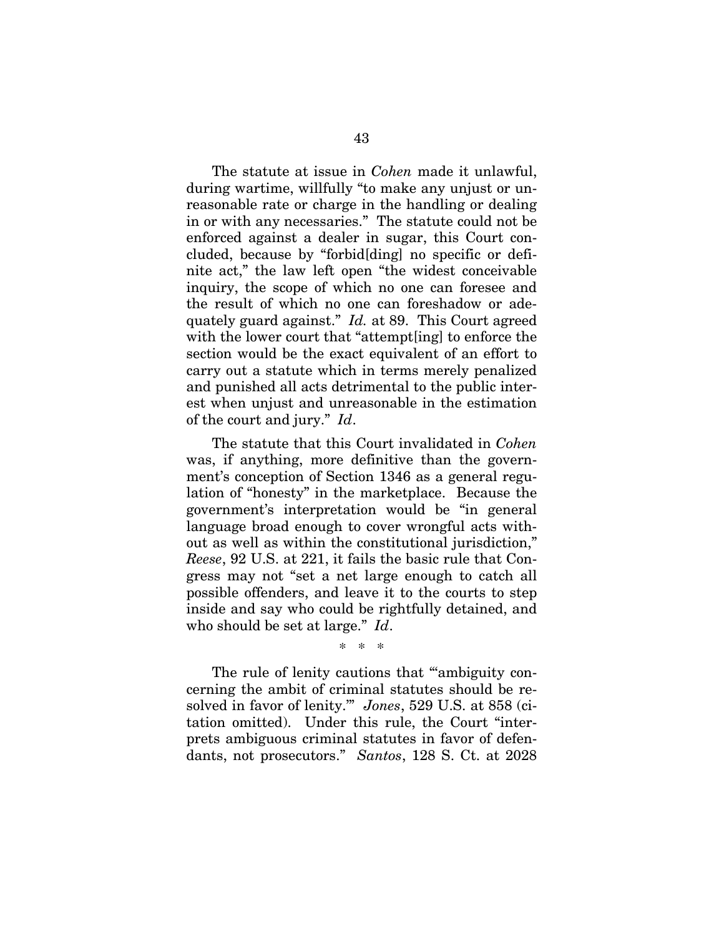The statute at issue in *Cohen* made it unlawful, during wartime, willfully "to make any unjust or unreasonable rate or charge in the handling or dealing in or with any necessaries." The statute could not be enforced against a dealer in sugar, this Court concluded, because by "forbid[ding] no specific or definite act," the law left open "the widest conceivable inquiry, the scope of which no one can foresee and the result of which no one can foreshadow or adequately guard against." *Id.* at 89. This Court agreed with the lower court that "attempt[ing] to enforce the section would be the exact equivalent of an effort to carry out a statute which in terms merely penalized and punished all acts detrimental to the public interest when unjust and unreasonable in the estimation of the court and jury." *Id*.

The statute that this Court invalidated in *Cohen* was, if anything, more definitive than the government's conception of Section 1346 as a general regulation of "honesty" in the marketplace. Because the government's interpretation would be "in general language broad enough to cover wrongful acts without as well as within the constitutional jurisdiction," *Reese*, 92 U.S. at 221, it fails the basic rule that Congress may not "set a net large enough to catch all possible offenders, and leave it to the courts to step inside and say who could be rightfully detained, and who should be set at large." *Id*.

The rule of lenity cautions that ""ambiguity concerning the ambit of criminal statutes should be resolved in favor of lenity.'" *Jones*, 529 U.S. at 858 (citation omitted). Under this rule, the Court "interprets ambiguous criminal statutes in favor of defendants, not prosecutors." *Santos*, 128 S. Ct. at 2028

\* \* \*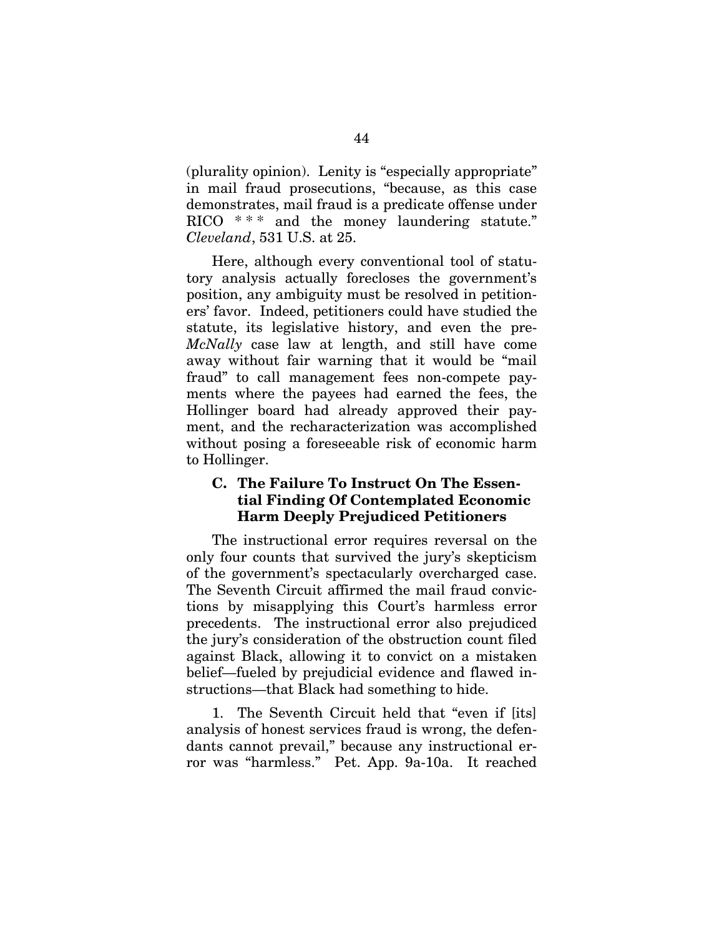(plurality opinion). Lenity is "especially appropriate" in mail fraud prosecutions, "because, as this case demonstrates, mail fraud is a predicate offense under RICO  $***$  and the money laundering statute." *Cleveland*, 531 U.S. at 25.

Here, although every conventional tool of statutory analysis actually forecloses the government's position, any ambiguity must be resolved in petitioners' favor. Indeed, petitioners could have studied the statute, its legislative history, and even the pre-*McNally* case law at length, and still have come away without fair warning that it would be "mail fraud" to call management fees non-compete payments where the payees had earned the fees, the Hollinger board had already approved their payment, and the recharacterization was accomplished without posing a foreseeable risk of economic harm to Hollinger.

#### **C. The Failure To Instruct On The Essential Finding Of Contemplated Economic Harm Deeply Prejudiced Petitioners**

The instructional error requires reversal on the only four counts that survived the jury's skepticism of the government's spectacularly overcharged case. The Seventh Circuit affirmed the mail fraud convictions by misapplying this Court's harmless error precedents. The instructional error also prejudiced the jury's consideration of the obstruction count filed against Black, allowing it to convict on a mistaken belief—fueled by prejudicial evidence and flawed instructions—that Black had something to hide.

1. The Seventh Circuit held that "even if [its] analysis of honest services fraud is wrong, the defendants cannot prevail," because any instructional error was "harmless." Pet. App. 9a-10a. It reached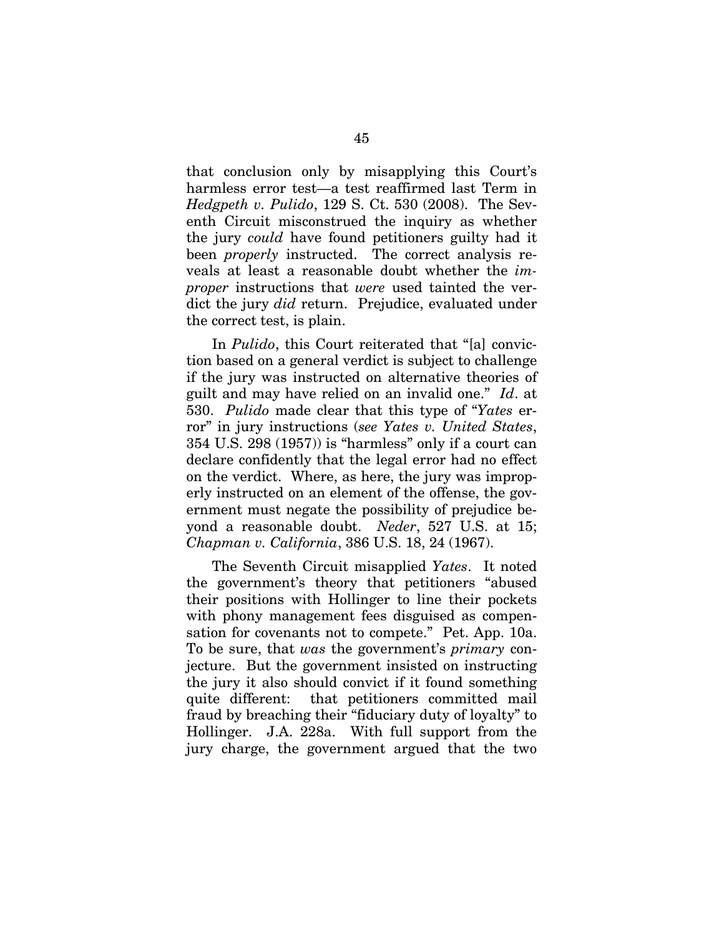that conclusion only by misapplying this Court's harmless error test—a test reaffirmed last Term in *Hedgpeth v. Pulido*, 129 S. Ct. 530 (2008). The Seventh Circuit misconstrued the inquiry as whether the jury *could* have found petitioners guilty had it been *properly* instructed. The correct analysis reveals at least a reasonable doubt whether the *improper* instructions that *were* used tainted the verdict the jury *did* return. Prejudice, evaluated under the correct test, is plain.

In *Pulido*, this Court reiterated that "[a] conviction based on a general verdict is subject to challenge if the jury was instructed on alternative theories of guilt and may have relied on an invalid one." *Id*. at 530. *Pulido* made clear that this type of "*Yates* error" in jury instructions (*see Yates v. United States*, 354 U.S. 298 (1957)) is "harmless" only if a court can declare confidently that the legal error had no effect on the verdict. Where, as here, the jury was improperly instructed on an element of the offense, the government must negate the possibility of prejudice beyond a reasonable doubt. *Neder*, 527 U.S. at 15; *Chapman v. California*, 386 U.S. 18, 24 (1967).

The Seventh Circuit misapplied *Yates*. It noted the government's theory that petitioners "abused their positions with Hollinger to line their pockets with phony management fees disguised as compensation for covenants not to compete." Pet. App. 10a. To be sure, that *was* the government's *primary* conjecture. But the government insisted on instructing the jury it also should convict if it found something quite different: that petitioners committed mail fraud by breaching their "fiduciary duty of loyalty" to Hollinger. J.A. 228a. With full support from the jury charge, the government argued that the two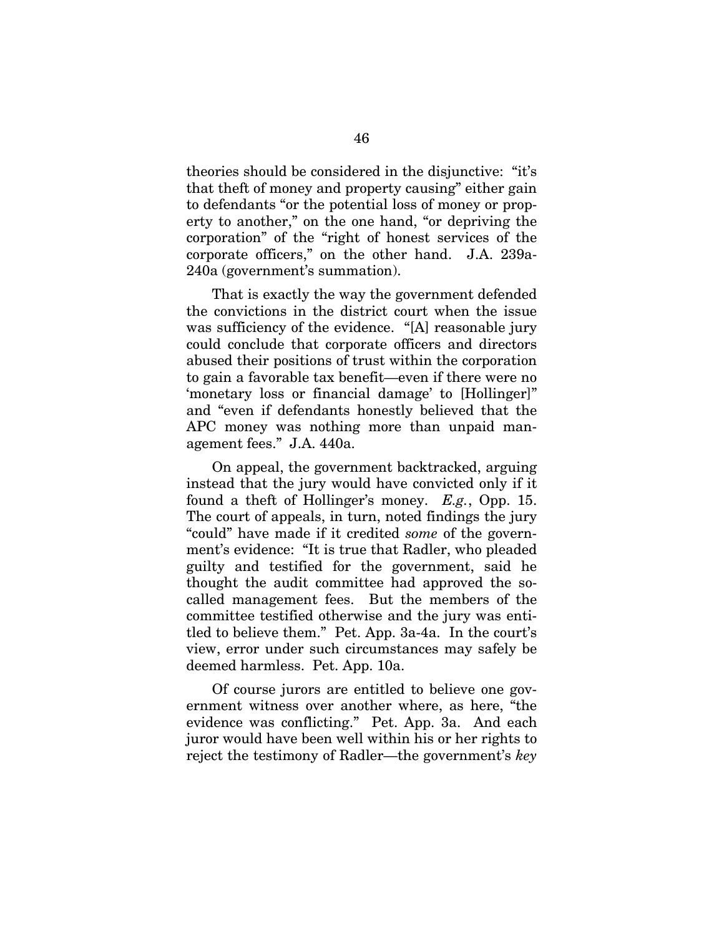theories should be considered in the disjunctive: "it's that theft of money and property causing" either gain to defendants "or the potential loss of money or property to another," on the one hand, "or depriving the corporation" of the "right of honest services of the corporate officers," on the other hand. J.A. 239a-240a (government's summation).

That is exactly the way the government defended the convictions in the district court when the issue was sufficiency of the evidence. "[A] reasonable jury could conclude that corporate officers and directors abused their positions of trust within the corporation to gain a favorable tax benefit—even if there were no 'monetary loss or financial damage' to [Hollinger]" and "even if defendants honestly believed that the APC money was nothing more than unpaid management fees." J.A. 440a.

On appeal, the government backtracked, arguing instead that the jury would have convicted only if it found a theft of Hollinger's money. *E.g.*, Opp. 15. The court of appeals, in turn, noted findings the jury "could" have made if it credited *some* of the government's evidence: "It is true that Radler, who pleaded guilty and testified for the government, said he thought the audit committee had approved the socalled management fees. But the members of the committee testified otherwise and the jury was entitled to believe them." Pet. App. 3a-4a. In the court's view, error under such circumstances may safely be deemed harmless. Pet. App. 10a.

Of course jurors are entitled to believe one government witness over another where, as here, "the evidence was conflicting." Pet. App. 3a. And each juror would have been well within his or her rights to reject the testimony of Radler—the government's *key*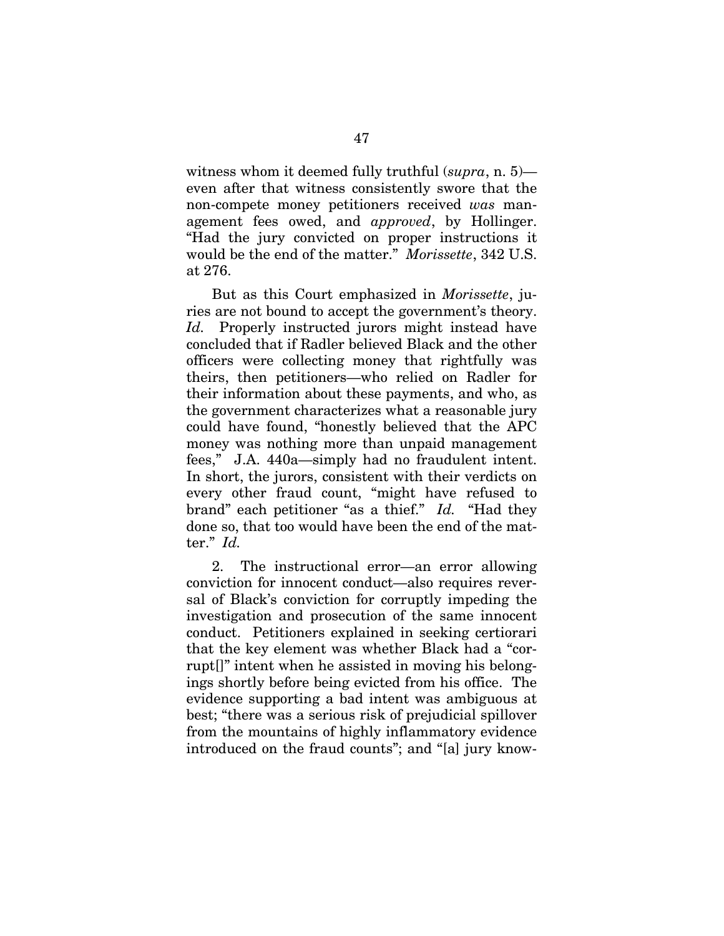witness whom it deemed fully truthful (*supra*, n. 5) even after that witness consistently swore that the non-compete money petitioners received *was* management fees owed, and *approved*, by Hollinger. "Had the jury convicted on proper instructions it would be the end of the matter." *Morissette*, 342 U.S. at 276.

But as this Court emphasized in *Morissette*, juries are not bound to accept the government's theory. *Id.* Properly instructed jurors might instead have concluded that if Radler believed Black and the other officers were collecting money that rightfully was theirs, then petitioners—who relied on Radler for their information about these payments, and who, as the government characterizes what a reasonable jury could have found, "honestly believed that the APC money was nothing more than unpaid management fees," J.A. 440a—simply had no fraudulent intent. In short, the jurors, consistent with their verdicts on every other fraud count, "might have refused to brand" each petitioner "as a thief." *Id.* "Had they done so, that too would have been the end of the matter." *Id.* 

2. The instructional error—an error allowing conviction for innocent conduct—also requires reversal of Black's conviction for corruptly impeding the investigation and prosecution of the same innocent conduct. Petitioners explained in seeking certiorari that the key element was whether Black had a "corrupt[]" intent when he assisted in moving his belongings shortly before being evicted from his office. The evidence supporting a bad intent was ambiguous at best; "there was a serious risk of prejudicial spillover from the mountains of highly inflammatory evidence introduced on the fraud counts"; and "[a] jury know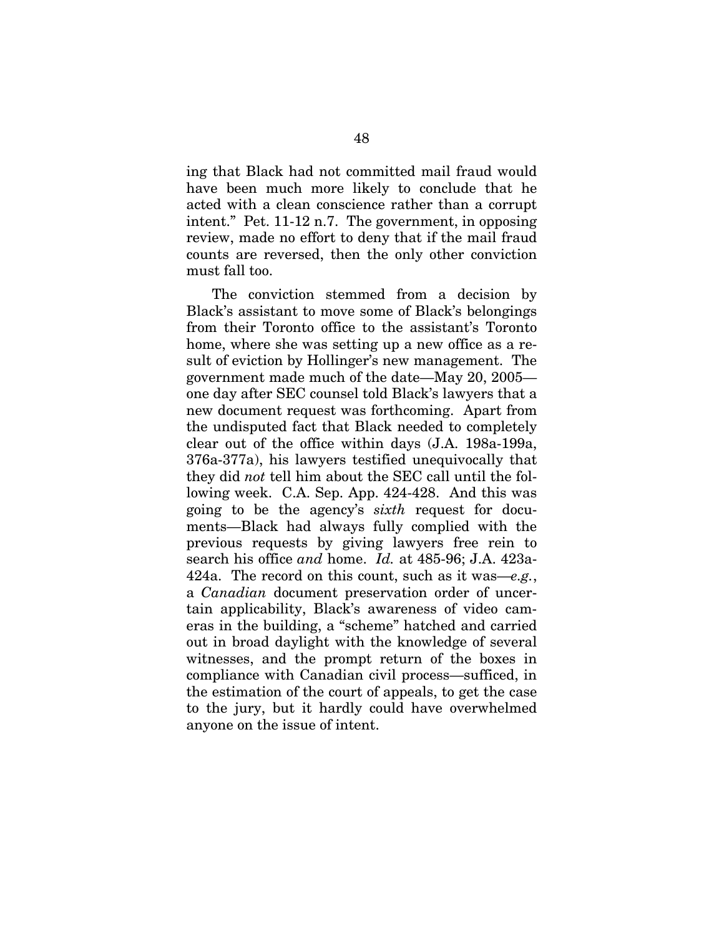ing that Black had not committed mail fraud would have been much more likely to conclude that he acted with a clean conscience rather than a corrupt intent." Pet. 11-12 n.7. The government, in opposing review, made no effort to deny that if the mail fraud counts are reversed, then the only other conviction must fall too.

The conviction stemmed from a decision by Black's assistant to move some of Black's belongings from their Toronto office to the assistant's Toronto home, where she was setting up a new office as a result of eviction by Hollinger's new management. The government made much of the date—May 20, 2005 one day after SEC counsel told Black's lawyers that a new document request was forthcoming. Apart from the undisputed fact that Black needed to completely clear out of the office within days (J.A. 198a-199a, 376a-377a), his lawyers testified unequivocally that they did *not* tell him about the SEC call until the following week. C.A. Sep. App. 424-428. And this was going to be the agency's *sixth* request for documents—Black had always fully complied with the previous requests by giving lawyers free rein to search his office *and* home. *Id.* at 485-96; J.A. 423a-424a. The record on this count, such as it was—*e.g.*, a *Canadian* document preservation order of uncertain applicability, Black's awareness of video cameras in the building, a "scheme" hatched and carried out in broad daylight with the knowledge of several witnesses, and the prompt return of the boxes in compliance with Canadian civil process—sufficed, in the estimation of the court of appeals, to get the case to the jury, but it hardly could have overwhelmed anyone on the issue of intent.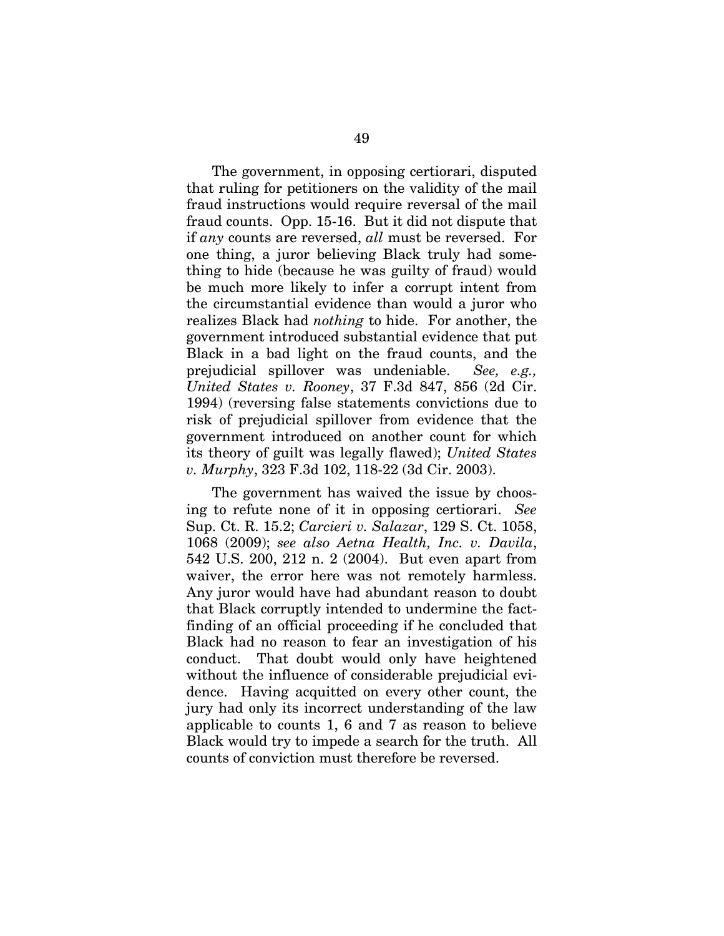The government, in opposing certiorari, disputed that ruling for petitioners on the validity of the mail fraud instructions would require reversal of the mail fraud counts. Opp. 15-16. But it did not dispute that if *any* counts are reversed, *all* must be reversed. For one thing, a juror believing Black truly had something to hide (because he was guilty of fraud) would be much more likely to infer a corrupt intent from the circumstantial evidence than would a juror who realizes Black had *nothing* to hide. For another, the government introduced substantial evidence that put Black in a bad light on the fraud counts, and the prejudicial spillover was undeniable. *See, e.g., United States v. Rooney*, 37 F.3d 847, 856 (2d Cir. 1994) (reversing false statements convictions due to risk of prejudicial spillover from evidence that the government introduced on another count for which its theory of guilt was legally flawed); *United States v. Murphy*, 323 F.3d 102, 118-22 (3d Cir. 2003).

The government has waived the issue by choosing to refute none of it in opposing certiorari. *See*  Sup. Ct. R. 15.2; *Carcieri v. Salazar*, 129 S. Ct. 1058, 1068 (2009); *see also Aetna Health, Inc. v. Davila*, 542 U.S. 200, 212 n. 2 (2004). But even apart from waiver, the error here was not remotely harmless. Any juror would have had abundant reason to doubt that Black corruptly intended to undermine the factfinding of an official proceeding if he concluded that Black had no reason to fear an investigation of his conduct. That doubt would only have heightened without the influence of considerable prejudicial evidence. Having acquitted on every other count, the jury had only its incorrect understanding of the law applicable to counts 1, 6 and 7 as reason to believe Black would try to impede a search for the truth. All counts of conviction must therefore be reversed.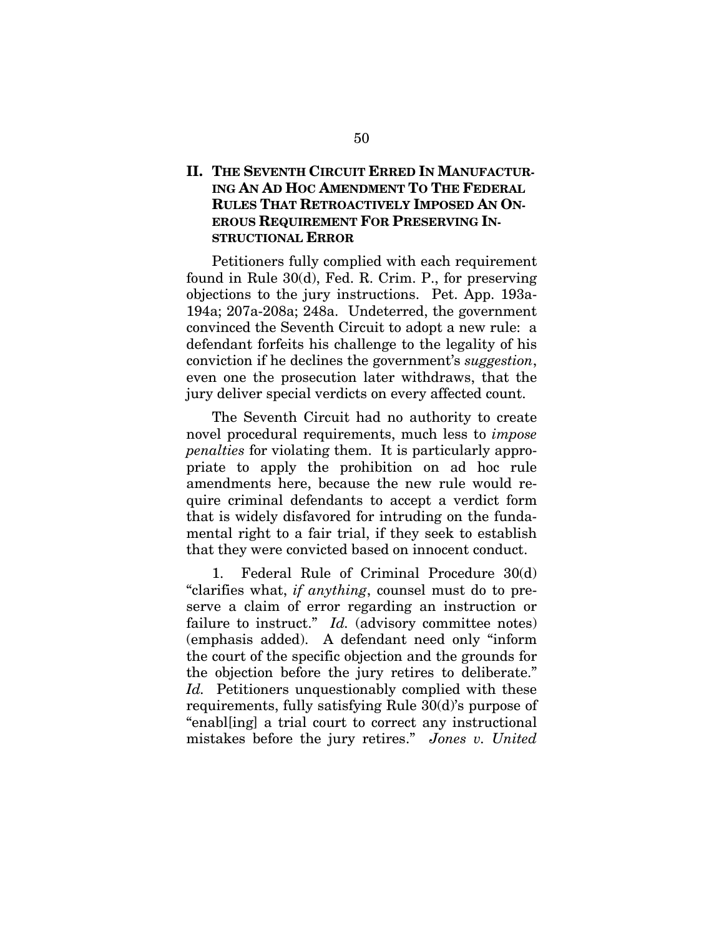# **II. THE SEVENTH CIRCUIT ERRED IN MANUFACTUR-ING AN AD HOC AMENDMENT TO THE FEDERAL RULES THAT RETROACTIVELY IMPOSED AN ON-EROUS REQUIREMENT FOR PRESERVING IN-STRUCTIONAL ERROR**

Petitioners fully complied with each requirement found in Rule 30(d), Fed. R. Crim. P., for preserving objections to the jury instructions. Pet. App. 193a-194a; 207a-208a; 248a. Undeterred, the government convinced the Seventh Circuit to adopt a new rule: a defendant forfeits his challenge to the legality of his conviction if he declines the government's *suggestion*, even one the prosecution later withdraws, that the jury deliver special verdicts on every affected count.

The Seventh Circuit had no authority to create novel procedural requirements, much less to *impose penalties* for violating them. It is particularly appropriate to apply the prohibition on ad hoc rule amendments here, because the new rule would require criminal defendants to accept a verdict form that is widely disfavored for intruding on the fundamental right to a fair trial, if they seek to establish that they were convicted based on innocent conduct.

1. Federal Rule of Criminal Procedure 30(d) "clarifies what, *if anything*, counsel must do to preserve a claim of error regarding an instruction or failure to instruct." *Id.* (advisory committee notes) (emphasis added). A defendant need only "inform the court of the specific objection and the grounds for the objection before the jury retires to deliberate." *Id.* Petitioners unquestionably complied with these requirements, fully satisfying Rule 30(d)'s purpose of "enabl[ing] a trial court to correct any instructional mistakes before the jury retires." *Jones v. United*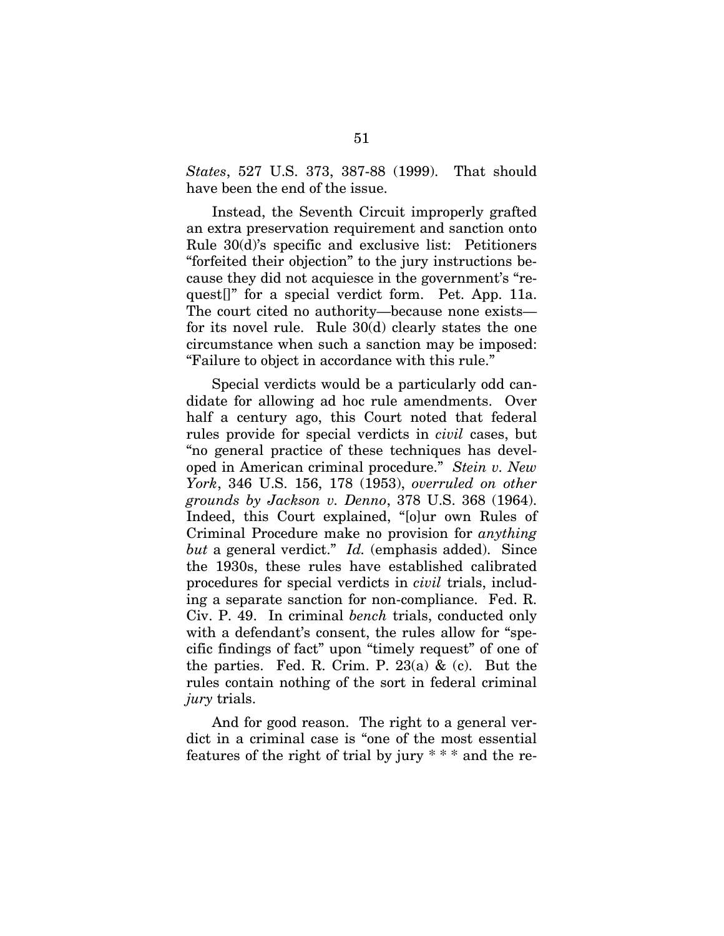*States*, 527 U.S. 373, 387-88 (1999). That should have been the end of the issue.

Instead, the Seventh Circuit improperly grafted an extra preservation requirement and sanction onto Rule 30(d)'s specific and exclusive list: Petitioners "forfeited their objection" to the jury instructions because they did not acquiesce in the government's "request[]" for a special verdict form. Pet. App. 11a. The court cited no authority—because none exists for its novel rule. Rule 30(d) clearly states the one circumstance when such a sanction may be imposed: "Failure to object in accordance with this rule."

Special verdicts would be a particularly odd candidate for allowing ad hoc rule amendments. Over half a century ago, this Court noted that federal rules provide for special verdicts in *civil* cases, but "no general practice of these techniques has developed in American criminal procedure." *Stein v. New York*, 346 U.S. 156, 178 (1953), *overruled on other grounds by Jackson v. Denno*, 378 U.S. 368 (1964). Indeed, this Court explained, "[o]ur own Rules of Criminal Procedure make no provision for *anything but* a general verdict." *Id.* (emphasis added). Since the 1930s, these rules have established calibrated procedures for special verdicts in *civil* trials, including a separate sanction for non-compliance. Fed. R. Civ. P. 49. In criminal *bench* trials, conducted only with a defendant's consent, the rules allow for "specific findings of fact" upon "timely request" of one of the parties. Fed. R. Crim. P.  $23(a)$  & (c). But the rules contain nothing of the sort in federal criminal *jury* trials.

And for good reason. The right to a general verdict in a criminal case is "one of the most essential features of the right of trial by jury  $***$  and the re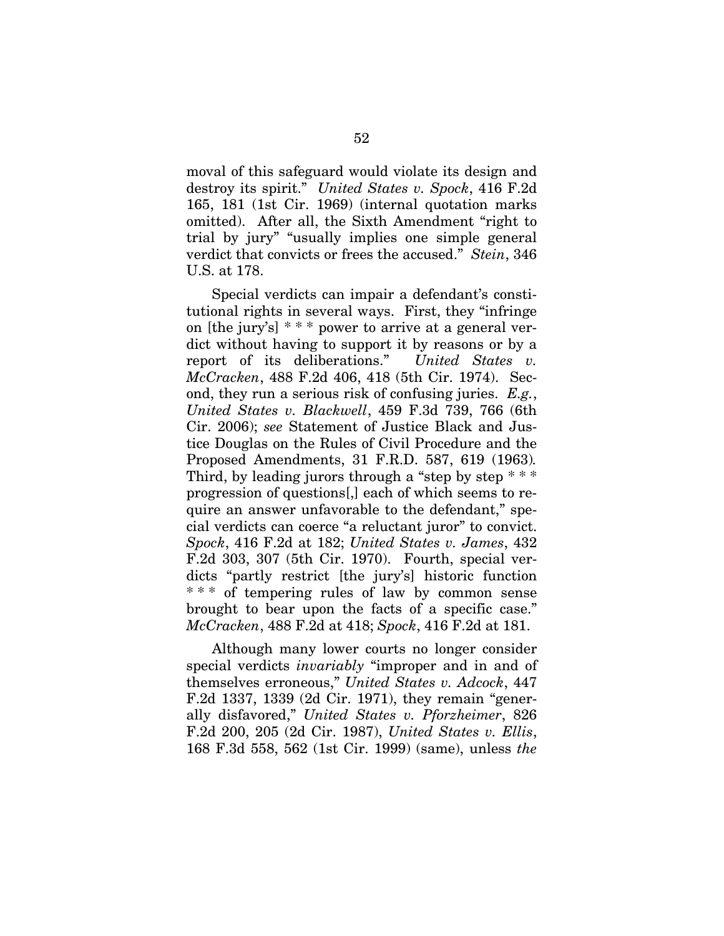moval of this safeguard would violate its design and destroy its spirit." *United States v. Spock*, 416 F.2d 165, 181 (1st Cir. 1969) (internal quotation marks omitted). After all, the Sixth Amendment "right to trial by jury" "usually implies one simple general verdict that convicts or frees the accused." *Stein*, 346 U.S. at 178.

Special verdicts can impair a defendant's constitutional rights in several ways. First, they "infringe on [the jury's] \* \* \* power to arrive at a general verdict without having to support it by reasons or by a report of its deliberations." *United States v. McCracken*, 488 F.2d 406, 418 (5th Cir. 1974). Second, they run a serious risk of confusing juries. *E.g.*, *United States v. Blackwell*, 459 F.3d 739, 766 (6th Cir. 2006); *see* Statement of Justice Black and Justice Douglas on the Rules of Civil Procedure and the Proposed Amendments, 31 F.R.D. 587, 619 (1963)*.* Third, by leading jurors through a "step by step  $***$ progression of questions[,] each of which seems to require an answer unfavorable to the defendant," special verdicts can coerce "a reluctant juror" to convict. *Spock*, 416 F.2d at 182; *United States v. James*, 432 F.2d 303, 307 (5th Cir. 1970). Fourth, special verdicts "partly restrict [the jury's] historic function \* \* \* of tempering rules of law by common sense brought to bear upon the facts of a specific case." *McCracken*, 488 F.2d at 418; *Spock*, 416 F.2d at 181.

Although many lower courts no longer consider special verdicts *invariably* "improper and in and of themselves erroneous," *United States v. Adcock*, 447 F.2d 1337, 1339 (2d Cir. 1971), they remain "generally disfavored," *United States v. Pforzheimer*, 826 F.2d 200, 205 (2d Cir. 1987), *United States v. Ellis*, 168 F.3d 558, 562 (1st Cir. 1999) (same), unless *the*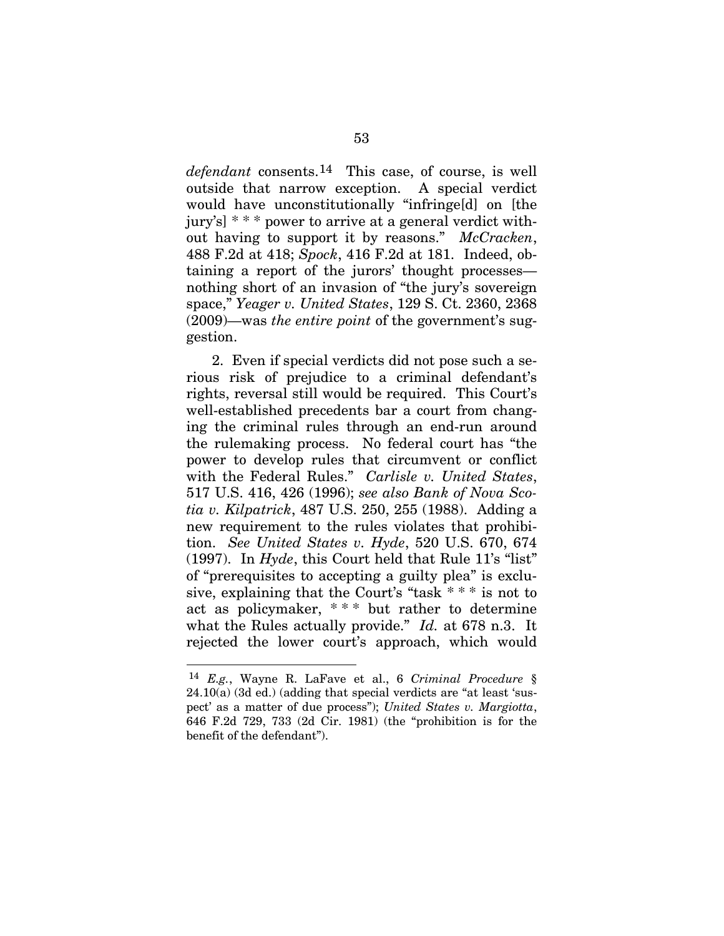*defendant* consents.[14](#page-69-0) This case, of course, is well outside that narrow exception. A special verdict would have unconstitutionally "infringe[d] on [the jury's] \* \* \* power to arrive at a general verdict without having to support it by reasons." *McCracken*, 488 F.2d at 418; *Spock*, 416 F.2d at 181. Indeed, obtaining a report of the jurors' thought processes nothing short of an invasion of "the jury's sovereign space," *Yeager v. United States*, 129 S. Ct. 2360, 2368 (2009)—was *the entire point* of the government's suggestion.

2. Even if special verdicts did not pose such a serious risk of prejudice to a criminal defendant's rights, reversal still would be required. This Court's well-established precedents bar a court from changing the criminal rules through an end-run around the rulemaking process. No federal court has "the power to develop rules that circumvent or conflict with the Federal Rules." *Carlisle v. United States*, 517 U.S. 416, 426 (1996); *see also Bank of Nova Scotia v. Kilpatrick*, 487 U.S. 250, 255 (1988). Adding a new requirement to the rules violates that prohibition. *See United States v. Hyde*, 520 U.S. 670, 674 (1997). In *Hyde*, this Court held that Rule 11's "list" of "prerequisites to accepting a guilty plea" is exclusive, explaining that the Court's "task \* \* \* is not to act as policymaker, \* \* \* but rather to determine what the Rules actually provide." *Id.* at 678 n.3. It rejected the lower court's approach, which would

 $\overline{a}$ 

<span id="page-69-0"></span><sup>14</sup> *E.g.*, Wayne R. LaFave et al., 6 *Criminal Procedure* § 24.10(a) (3d ed.) (adding that special verdicts are "at least 'suspect' as a matter of due process"); *United States v. Margiotta*, 646 F.2d 729, 733 (2d Cir. 1981) (the "prohibition is for the benefit of the defendant").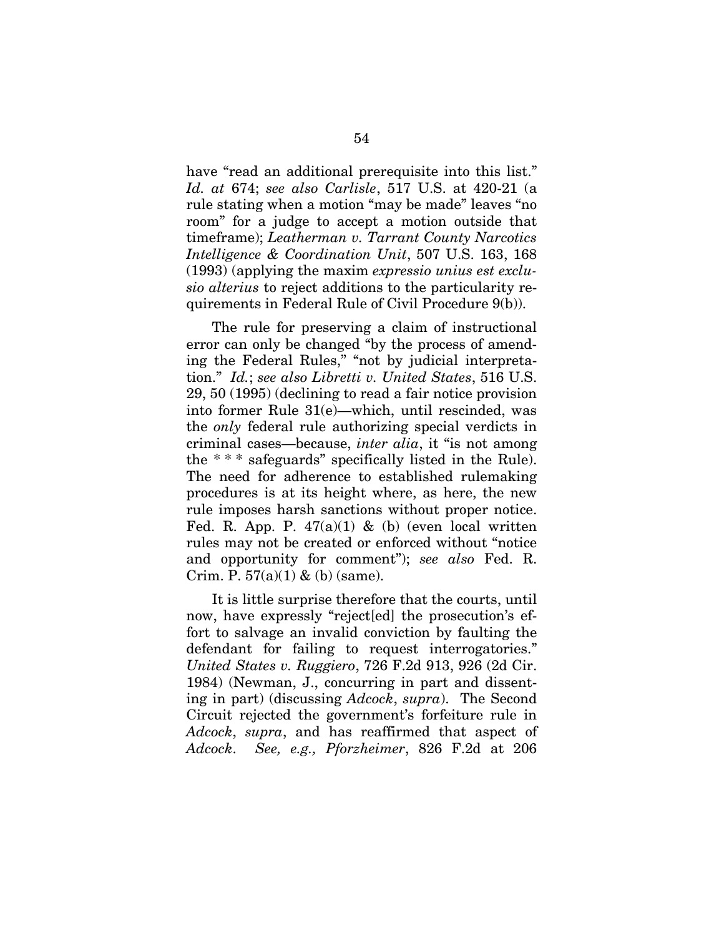have "read an additional prerequisite into this list." *Id. at* 674; *see also Carlisle*, 517 U.S. at 420-21 (a rule stating when a motion "may be made" leaves "no room" for a judge to accept a motion outside that timeframe); *Leatherman v. Tarrant County Narcotics Intelligence & Coordination Unit*, 507 U.S. 163, 168 (1993) (applying the maxim *expressio unius est exclusio alterius* to reject additions to the particularity requirements in Federal Rule of Civil Procedure 9(b)).

The rule for preserving a claim of instructional error can only be changed "by the process of amending the Federal Rules," "not by judicial interpretation." *Id.*; *see also Libretti v. United States*, 516 U.S. 29, 50 (1995) (declining to read a fair notice provision into former Rule 31(e)—which, until rescinded, was the *only* federal rule authorizing special verdicts in criminal cases—because, *inter alia*, it "is not among the \* \* \* safeguards" specifically listed in the Rule). The need for adherence to established rulemaking procedures is at its height where, as here, the new rule imposes harsh sanctions without proper notice. Fed. R. App. P.  $47(a)(1)$  & (b) (even local written rules may not be created or enforced without "notice and opportunity for comment"); *see also* Fed. R. Crim. P.  $57(a)(1)$  & (b) (same).

It is little surprise therefore that the courts, until now, have expressly "reject[ed] the prosecution's effort to salvage an invalid conviction by faulting the defendant for failing to request interrogatories." *United States v. Ruggiero*, 726 F.2d 913, 926 (2d Cir. 1984) (Newman, J., concurring in part and dissenting in part) (discussing *Adcock*, *supra*). The Second Circuit rejected the government's forfeiture rule in *Adcock*, *supra*, and has reaffirmed that aspect of *Adcock*. *See, e.g., Pforzheimer*, 826 F.2d at 206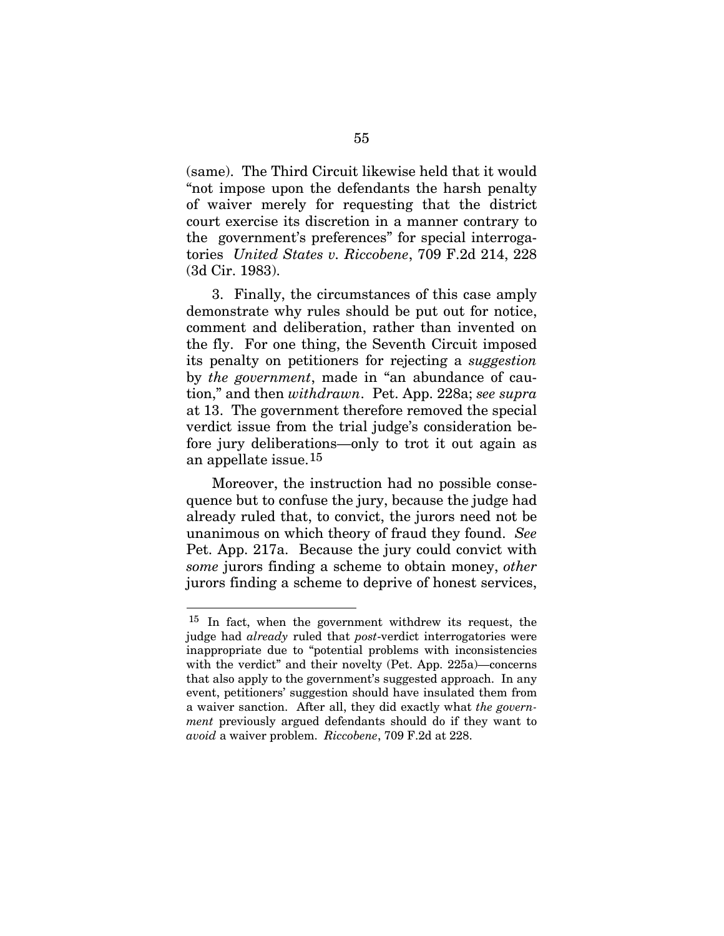(same). The Third Circuit likewise held that it would "not impose upon the defendants the harsh penalty of waiver merely for requesting that the district court exercise its discretion in a manner contrary to the government's preferences" for special interrogatories *United States v. Riccobene*, 709 F.2d 214, 228 (3d Cir. 1983).

3. Finally, the circumstances of this case amply demonstrate why rules should be put out for notice, comment and deliberation, rather than invented on the fly. For one thing, the Seventh Circuit imposed its penalty on petitioners for rejecting a *suggestion* by *the government*, made in "an abundance of caution," and then *withdrawn*. Pet. App. 228a; *see supra*  at 13. The government therefore removed the special verdict issue from the trial judge's consideration before jury deliberations—only to trot it out again as an appellate issue.[1](#page-71-0)5

Moreover, the instruction had no possible consequence but to confuse the jury, because the judge had already ruled that, to convict, the jurors need not be unanimous on which theory of fraud they found. *See*  Pet. App. 217a. Because the jury could convict with *some* jurors finding a scheme to obtain money, *other*  jurors finding a scheme to deprive of honest services,

 $\overline{a}$ 

<span id="page-71-0"></span><sup>15</sup> In fact, when the government withdrew its request, the judge had *already* ruled that *post*-verdict interrogatories were inappropriate due to "potential problems with inconsistencies with the verdict" and their novelty (Pet. App. 225a)—concerns that also apply to the government's suggested approach. In any event, petitioners' suggestion should have insulated them from a waiver sanction. After all, they did exactly what *the government* previously argued defendants should do if they want to *avoid* a waiver problem. *Riccobene*, 709 F.2d at 228.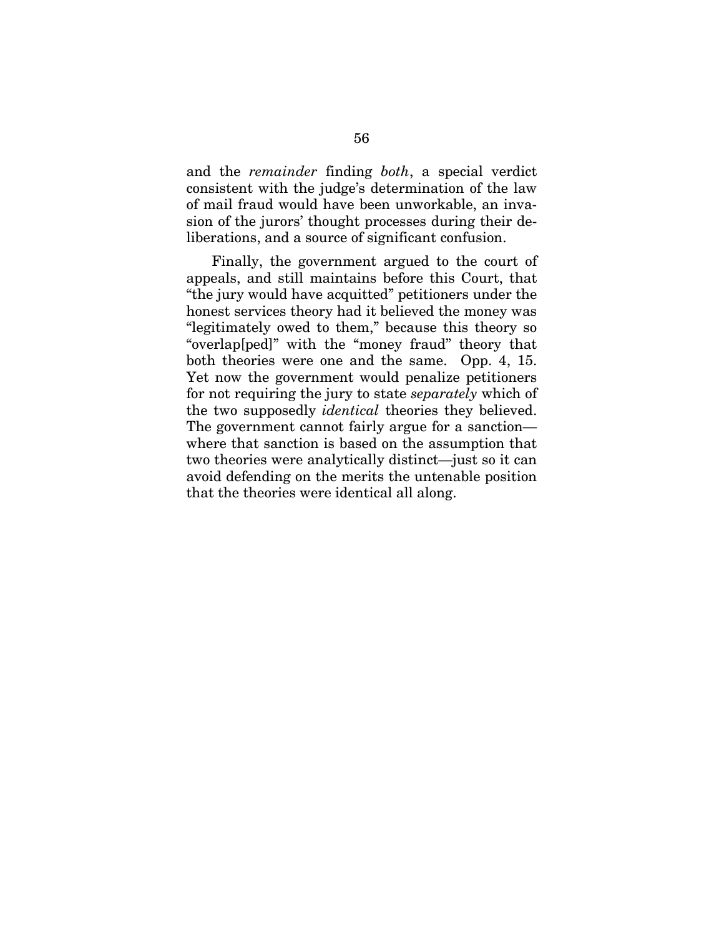and the *remainder* finding *both*, a special verdict consistent with the judge's determination of the law of mail fraud would have been unworkable, an invasion of the jurors' thought processes during their deliberations, and a source of significant confusion.

Finally, the government argued to the court of appeals, and still maintains before this Court, that "the jury would have acquitted" petitioners under the honest services theory had it believed the money was "legitimately owed to them," because this theory so "overlap[ped]" with the "money fraud" theory that both theories were one and the same. Opp. 4, 15. Yet now the government would penalize petitioners for not requiring the jury to state *separately* which of the two supposedly *identical* theories they believed. The government cannot fairly argue for a sanction where that sanction is based on the assumption that two theories were analytically distinct—just so it can avoid defending on the merits the untenable position that the theories were identical all along.